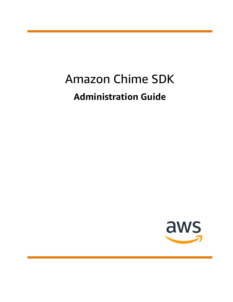# Amazon Chime SDK **Administration Guide**

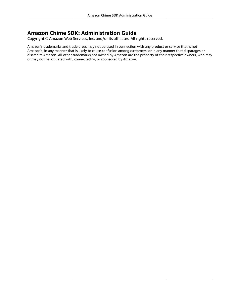### **Amazon Chime SDK: Administration Guide**

Copyright © Amazon Web Services, Inc. and/or its affiliates. All rights reserved.

Amazon's trademarks and trade dress may not be used in connection with any product or service that is not Amazon's, in any manner that is likely to cause confusion among customers, or in any manner that disparages or discredits Amazon. All other trademarks not owned by Amazon are the property of their respective owners, who may or may not be affiliated with, connected to, or sponsored by Amazon.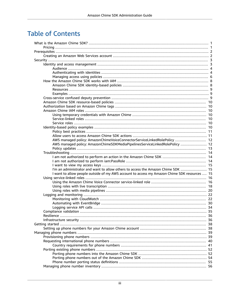# **Table of Contents**

| AWS managed policy: AmazonChimeVoiceConnectorServiceLinkedRolePolicy  12                     |  |
|----------------------------------------------------------------------------------------------|--|
| AWS managed policy: AmazonChimeSDKMediaPipelinesServiceLinkedRolePolicy  12                  |  |
|                                                                                              |  |
|                                                                                              |  |
|                                                                                              |  |
|                                                                                              |  |
|                                                                                              |  |
| I'm an administrator and want to allow others to access the Amazon Chime SDK  15             |  |
| I want to allow people outside of my AWS account to access my Amazon Chime SDK resources  15 |  |
|                                                                                              |  |
|                                                                                              |  |
|                                                                                              |  |
|                                                                                              |  |
|                                                                                              |  |
|                                                                                              |  |
|                                                                                              |  |
|                                                                                              |  |
|                                                                                              |  |
|                                                                                              |  |
|                                                                                              |  |
|                                                                                              |  |
|                                                                                              |  |
|                                                                                              |  |
|                                                                                              |  |
|                                                                                              |  |
|                                                                                              |  |
|                                                                                              |  |
|                                                                                              |  |
|                                                                                              |  |
|                                                                                              |  |
|                                                                                              |  |
|                                                                                              |  |
|                                                                                              |  |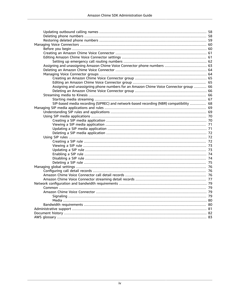| Assigning and unassigning phone numbers for an Amazon Chime Voice Connector group  66  |  |
|----------------------------------------------------------------------------------------|--|
|                                                                                        |  |
|                                                                                        |  |
|                                                                                        |  |
| SIP-based media recording (SIPREC) and network-based recording (NBR) compatibility  68 |  |
|                                                                                        |  |
|                                                                                        |  |
|                                                                                        |  |
|                                                                                        |  |
|                                                                                        |  |
|                                                                                        |  |
|                                                                                        |  |
|                                                                                        |  |
|                                                                                        |  |
|                                                                                        |  |
|                                                                                        |  |
|                                                                                        |  |
|                                                                                        |  |
|                                                                                        |  |
|                                                                                        |  |
|                                                                                        |  |
|                                                                                        |  |
|                                                                                        |  |
|                                                                                        |  |
|                                                                                        |  |
|                                                                                        |  |
|                                                                                        |  |
|                                                                                        |  |
|                                                                                        |  |
|                                                                                        |  |
|                                                                                        |  |
|                                                                                        |  |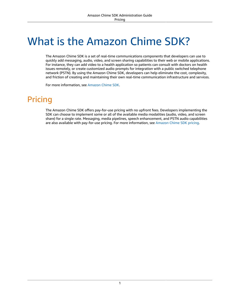# <span id="page-4-0"></span>What is the Amazon Chime SDK?

The Amazon Chime SDK is a set of real-time communications components that developers can use to quickly add messaging, audio, video, and screen sharing capabilities to their web or mobile applications. For instance, they can add video to a health application so patients can consult with doctors on health issues remotely, or create customized audio prompts for integration with a public switched telephone network (PSTN). By using the Amazon Chime SDK, developers can help eliminate the cost, complexity, and friction of creating and maintaining their own real-time communication infrastructure and services.

For more information, see [Amazon](https://aws.amazon.com/chime/chime-sdk) Chime SDK.

# <span id="page-4-1"></span>Pricing

The Amazon Chime SDK offers pay-for-use pricing with no upfront fees. Developers implementing the SDK can choose to implement some or all of the available media modalities (audio, video, and screen share) for a single rate. Messaging, media pipelines, speech enhancement, and PSTN audio capabilities are also available with pay-for-use pricing. For more information, see [Amazon](http://aws.amazon.com/chime/chime-sdk/pricing/) Chime SDK pricing.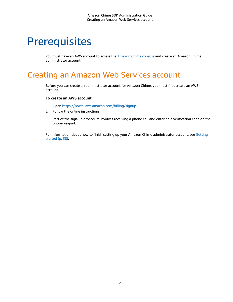# <span id="page-5-0"></span>**Prerequisites**

You must have an AWS account to access the [Amazon](https://console.chime.aws.amazon.com/) Chime console and create an Amazon Chime administrator account.

# <span id="page-5-1"></span>Creating an Amazon Web Services account

Before you can create an administrator account for Amazon Chime, you must first create an AWS account.

#### **To create an AWS account**

- 1. Open [https://portal.aws.amazon.com/billing/signup.](https://portal.aws.amazon.com/billing/signup)
- 2. Follow the online instructions.

Part of the sign-up procedure involves receiving a phone call and entering a verification code on the phone keypad.

For information about how to finish setting up your Amazon Chime administrator account, see [Getting](#page-41-0) [started \(p. 38\).](#page-41-0)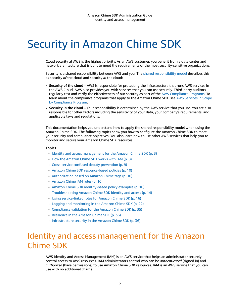# <span id="page-6-0"></span>Security in Amazon Chime SDK

Cloud security at AWS is the highest priority. As an AWS customer, you benefit from a data center and network architecture that is built to meet the requirements of the most security-sensitive organizations.

Security is a shared [responsibility](http://aws.amazon.com/compliance/shared-responsibility-model/) between AWS and you. The shared responsibility model describes this as security *of* the cloud and security *in* the cloud:

- **Security of the cloud** AWS is responsible for protecting the infrastructure that runs AWS services in the AWS Cloud. AWS also provides you with services that you can use securely. Third-party auditors regularly test and verify the effectiveness of our security as part of the AWS [Compliance](http://aws.amazon.com/compliance/programs/) Programs. To learn about the compliance programs that apply to the Amazon Chime SDK, see AWS [Services](http://aws.amazon.com/compliance/services-in-scope/) in Scope by [Compliance](http://aws.amazon.com/compliance/services-in-scope/) Program.
- **Security in the cloud** Your responsibility is determined by the AWS service that you use. You are also responsible for other factors including the sensitivity of your data, your company's requirements, and applicable laws and regulations.

This documentation helps you understand how to apply the shared responsibility model when using the Amazon Chime SDK. The following topics show you how to configure the Amazon Chime SDK to meet your security and compliance objectives. You also learn how to use other AWS services that help you to monitor and secure your Amazon Chime SDK resources.

#### **Topics**

- Identity and access [management](#page-6-1) for the Amazon Chime SDK (p. 3)
- How the Amazon Chime SDK works with [IAM \(p. 8\)](#page-11-0)
- Cross-service confused deputy [prevention \(p. 9\)](#page-12-2)
- Amazon Chime SDK [resource-based](#page-13-0) policies (p. 10)
- [Authorization](#page-13-1) based on Amazon Chime tags (p. 10)
- Amazon Chime IAM [roles \(p. 10\)](#page-13-2)
- Amazon Chime SDK identity-based policy [examples \(p. 10\)](#page-13-6)
- [Troubleshooting](#page-17-0) Amazon Chime SDK identity and access (p. 14)
- Using [service-linked](#page-19-0) roles for Amazon Chime SDK (p. 16)
- Logging and [monitoring](#page-25-0) in the Amazon Chime SDK (p. 22)
- [Compliance](#page-38-0) validation for the Amazon Chime SDK (p. 35)
- Resilience in the Amazon Chime [SDK \(p. 36\)](#page-39-0)
- [Infrastructure](#page-39-1) security in the Amazon Chime SDK (p. 36)

# <span id="page-6-1"></span>Identity and access management for the Amazon Chime SDK

AWS Identity and Access Management (IAM) is an AWS service that helps an administrator securely control access to AWS resources. IAM administrators control who can be *authenticated* (signed in) and *authorized* (have permissions) to use Amazon Chime SDK resources. IAM is an AWS service that you can use with no additional charge.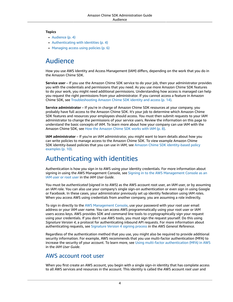#### **Topics**

- [Audience \(p. 4\)](#page-7-0)
- [Authenticating with identities \(p. 4\)](#page-7-1)
- Managing access using [policies \(p. 6\)](#page-9-0)

# <span id="page-7-0"></span>Audience

How you use AWS Identity and Access Management (IAM) differs, depending on the work that you do in the Amazon Chime SDK.

**Service user** – If you use the Amazon Chime SDK service to do your job, then your administrator provides you with the credentials and permissions that you need. As you use more Amazon Chime SDK features to do your work, you might need additional permissions. Understanding how access is managed can help you request the right permissions from your administrator. If you cannot access a feature in Amazon Chime SDK, see [Troubleshooting](#page-17-0) Amazon Chime SDK identity and acces[s \(p. 14\)](#page-17-0).

**Service administrator** – If you're in charge of Amazon Chime SDK resources at your company, you probably have full access to the Amazon Chime SDK. It's your job to determine which Amazon Chime SDK features and resources your employees should access. You must then submit requests to your IAM administrator to change the permissions of your service users. Review the information on this page to understand the basic concepts of IAM. To learn more about how your company can use IAM with the Amazon Chime SDK, see How the [Amazon](#page-11-0) Chime SDK works with IAM [\(p. 8\)](#page-11-0).

**IAM administrator** – If you're an IAM administrator, you might want to learn details about how you can write policies to manage access to the Amazon Chime SDK. To view example Amazon Chime SDK identity-based policies that you can use in IAM, see Amazon Chime SDK [identity-based](#page-13-6) policy [examples \(p. 10\)](#page-13-6).

# <span id="page-7-1"></span>Authenticating with identities

Authentication is how you sign in to AWS using your identity credentials. For more information about signing in using the AWS Management Console, see Signing in to the AWS [Management](https://docs.aws.amazon.com/IAM/latest/UserGuide/console.html) Console as an IAM [user](https://docs.aws.amazon.com/IAM/latest/UserGuide/console.html) or root user in the *IAM User Guide*.

You must be *authenticated* (signed in to AWS) as the AWS account root user, an IAM user, or by assuming an IAM role. You can also use your company's single sign-on authentication or even sign in using Google or Facebook. In these cases, your administrator previously set up identity federation using IAM roles. When you access AWS using credentials from another company, you are assuming a role indirectly.

To sign in directly to the AWS [Management](https://console.aws.amazon.com/) Console, use your password with your root user email address or your IAM user name. You can access AWS programmatically using your root user or IAM users access keys. AWS provides SDK and command line tools to cryptographically sign your request using your credentials. If you don't use AWS tools, you must sign the request yourself. Do this using *Signature Version 4*, a protocol for authenticating inbound API requests. For more information about authenticating requests, see [Signature](https://docs.aws.amazon.com/general/latest/gr/signature-version-4.html) Version 4 signing process in the *AWS General Reference*.

Regardless of the authentication method that you use, you might also be required to provide additional security information. For example, AWS recommends that you use multi-factor authentication (MFA) to increase the security of your account. To learn more, see Using multi-factor [authentication](https://docs.aws.amazon.com/IAM/latest/UserGuide/id_credentials_mfa.html) (MFA) in AWS in the *IAM User Guide*.

### AWS account root user

When you first create an AWS account, you begin with a single sign-in identity that has complete access to all AWS services and resources in the account. This identity is called the AWS account *root user* and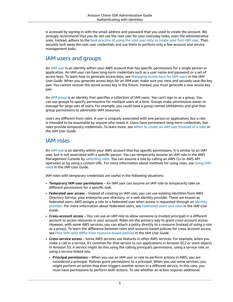is accessed by signing in with the email address and password that you used to create the account. We strongly recommend that you do not use the root user for your everyday tasks, even the administrative ones. Instead, adhere to the best [practice](https://docs.aws.amazon.com/IAM/latest/UserGuide/best-practices.html#create-iam-users) of using the root user only to create your first IAM user. Then securely lock away the root user credentials and use them to perform only a few account and service management tasks.

### IAM users and groups

An *[IAM user](https://docs.aws.amazon.com/IAM/latest/UserGuide/id_users.html)* is an identity within your AWS account that has specific permissions for a single person or application. An IAM user can have long-term credentials such as a user name and password or a set of access keys. To learn how to generate access keys, see [Managing](https://docs.aws.amazon.com/IAM/latest/UserGuide/id_credentials_access-keys.html) access keys for IAM users in the *IAM User Guide*. When you generate access keys for an IAM user, make sure you view and securely save the key pair. You cannot recover the secret access key in the future. Instead, you must generate a new access key pair.

An *[IAM group](https://docs.aws.amazon.com/IAM/latest/UserGuide/id_groups.html)* is an identity that specifies a collection of IAM users. You can't sign in as a group. You can use groups to specify permissions for multiple users at a time. Groups make permissions easier to manage for large sets of users. For example, you could have a group named *IAMAdmins* and give that group permissions to administer IAM resources.

Users are different from roles. A user is uniquely associated with one person or application, but a role is intended to be assumable by anyone who needs it. Users have permanent long-term credentials, but roles provide temporary credentials. To learn more, see When to create an IAM user [\(instead](https://docs.aws.amazon.com/IAM/latest/UserGuide/id.html#id_which-to-choose) of a role) in the *IAM User Guide*.

### IAM roles

An *[IAM role](https://docs.aws.amazon.com/IAM/latest/UserGuide/id_roles.html)* is an identity within your AWS account that has specific permissions. It is similar to an IAM user, but is not associated with a specific person. You can temporarily assume an IAM role in the AWS Management Console by [switching](https://docs.aws.amazon.com/IAM/latest/UserGuide/id_roles_use_switch-role-console.html) roles. You can assume a role by calling an AWS CLI or AWS API operation or by using a custom URL. For more information about methods for using roles, see [Using IAM](https://docs.aws.amazon.com/IAM/latest/UserGuide/id_roles_use.html) [roles](https://docs.aws.amazon.com/IAM/latest/UserGuide/id_roles_use.html) in the *IAM User Guide*.

IAM roles with temporary credentials are useful in the following situations:

- **Temporary IAM user permissions** An IAM user can assume an IAM role to temporarily take on different permissions for a specific task.
- **Federated user access** Instead of creating an IAM user, you can use existing identities from AWS Directory Service, your enterprise user directory, or a web identity provider. These are known as *federated users*. AWS assigns a role to a federated user when access is requested through an [identity](https://docs.aws.amazon.com/IAM/latest/UserGuide/id_roles_providers.html) [provider.](https://docs.aws.amazon.com/IAM/latest/UserGuide/id_roles_providers.html) For more information about federated users, see [Federated](https://docs.aws.amazon.com/IAM/latest/UserGuide/introduction_access-management.html#intro-access-roles) users and roles in the *IAM User Guide*.
- **Cross-account access** You can use an IAM role to allow someone (a trusted principal) in a different account to access resources in your account. Roles are the primary way to grant cross-account access. However, with some AWS services, you can attach a policy directly to a resource (instead of using a role as a proxy). To learn the difference between roles and resource-based policies for cross-account access, see How IAM roles differ from [resource-based](https://docs.aws.amazon.com/IAM/latest/UserGuide/id_roles_compare-resource-policies.html) policies in the *IAM User Guide*.
- **Cross-service access** Some AWS services use features in other AWS services. For example, when you make a call in a service, it's common for that service to run applications in Amazon EC2 or store objects in Amazon S3. A service might do this using the calling principal's permissions, using a service role, or using a service-linked role.
	- **Principal permissions** When you use an IAM user or role to perform actions in AWS, you are considered a principal. Policies grant permissions to a principal. When you use some services, you might perform an action that then triggers another action in a different service. In this case, you must have permissions to perform both actions. To see whether an action requires additional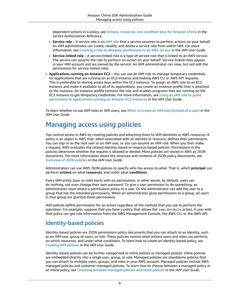dependent actions in a policy, see Actions, [resources,](https://docs.aws.amazon.com/IAM/latest/UserGuide/list_amazonchime.html) and condition keys for Amazon Chime in the *Service Authorization Reference*.

- **Service role** A service role is an IAM [role](https://docs.aws.amazon.com/IAM/latest/UserGuide/id_roles.html) that a service assumes to perform actions on your behalf. An IAM administrator can create, modify, and delete a service role from within IAM. For more information, see Creating a role to delegate [permissions](https://docs.aws.amazon.com/IAM/latest/UserGuide/id_roles_create_for-service.html) to an AWS service in the *IAM User Guide*.
- **Service-linked role** A service-linked role is a type of service role that is linked to an AWS service. The service can assume the role to perform an action on your behalf. Service-linked roles appear in your IAM account and are owned by the service. An IAM administrator can view, but not edit the permissions for service-linked roles.
- **Applications running on Amazon EC2** You can use an IAM role to manage temporary credentials for applications that are running on an EC2 instance and making AWS CLI or AWS API requests. This is preferable to storing access keys within the EC2 instance. To assign an AWS role to an EC2 instance and make it available to all of its applications, you create an instance profile that is attached to the instance. An instance profile contains the role and enables programs that are running on the EC2 instance to get temporary credentials. For more information, see [Using](https://docs.aws.amazon.com/IAM/latest/UserGuide/id_roles_use_switch-role-ec2.html) an IAM role to grant permissions to [applications](https://docs.aws.amazon.com/IAM/latest/UserGuide/id_roles_use_switch-role-ec2.html) running on Amazon EC2 instances in the *IAM User Guide*.

To learn whether to use IAM roles or IAM users, see When to create an IAM role [\(instead](https://docs.aws.amazon.com/IAM/latest/UserGuide/id.html#id_which-to-choose_role) of a user) in the *IAM User Guide*.

# <span id="page-9-0"></span>Managing access using policies

You control access in AWS by creating policies and attaching them to IAM identities or AWS resources. A policy is an object in AWS that, when associated with an identity or resource, defines their permissions. You can sign in as the root user or an IAM user, or you can assume an IAM role. When you then make a request, AWS evaluates the related identity-based or resource-based policies. Permissions in the policies determine whether the request is allowed or denied. Most policies are stored in AWS as JSON documents. For more information about the structure and contents of JSON policy documents, see [Overview](https://docs.aws.amazon.com/IAM/latest/UserGuide/access_policies.html#access_policies-json) of JSON policies in the *IAM User Guide*.

Administrators can use AWS JSON policies to specify who has access to what. That is, which **principal** can perform **actions** on what **resources**, and under what **conditions**.

Every IAM entity (user or role) starts with no permissions. In other words, by default, users can do nothing, not even change their own password. To give a user permission to do something, an administrator must attach a permissions policy to a user. Or the administrator can add the user to a group that has the intended permissions. When an administrator gives permissions to a group, all users in that group are granted those permissions.

IAM policies define permissions for an action regardless of the method that you use to perform the operation. For example, suppose that you have a policy that allows the iam:GetRole action. A user with that policy can get role information from the AWS Management Console, the AWS CLI, or the AWS API.

### Identity-based policies

Identity-based policies are JSON permissions policy documents that you can attach to an identity, such as an IAM user, group of users, or role. These policies control what actions users and roles can perform, on which resources, and under what conditions. To learn how to create an identity-based policy, see [Creating](https://docs.aws.amazon.com/IAM/latest/UserGuide/access_policies_create.html) IAM policies in the *IAM User Guide*.

Identity-based policies can be further categorized as *inline policies* or *managed policies*. Inline policies are embedded directly into a single user, group, or role. Managed policies are standalone policies that you can attach to multiple users, groups, and roles in your AWS account. Managed policies include AWS managed policies and customer managed policies. To learn how to choose between a managed policy or an inline policy, see Choosing between [managed](https://docs.aws.amazon.com/IAM/latest/UserGuide/access_policies_managed-vs-inline.html#choosing-managed-or-inline) policies and inline policies in the *IAM User Guide*.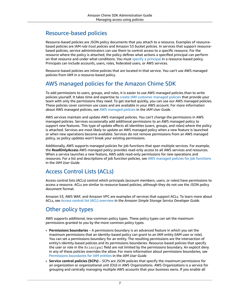### Resource-based policies

Resource-based policies are JSON policy documents that you attach to a resource. Examples of resourcebased policies are IAM *role trust policies* and Amazon S3 *bucket policies*. In services that support resourcebased policies, service administrators can use them to control access to a specific resource. For the resource where the policy is attached, the policy defines what actions a specified principal can perform on that resource and under what conditions. You must specify a [principal](https://docs.aws.amazon.com/IAM/latest/UserGuide/reference_policies_elements_principal.html) in a resource-based policy. Principals can include accounts, users, roles, federated users, or AWS services.

Resource-based policies are inline policies that are located in that service. You can't use AWS managed policies from IAM in a resource-based policy.

### AWS managed policies for the Amazon Chime SDK

To add permissions to users, groups, and roles, it is easier to use AWS managed policies than to write policies yourself. It takes time and expertise to create IAM customer [managed](https://docs.aws.amazon.com/IAM/latest/UserGuide/access_policies_create-console.html) policies that provide your team with only the permissions they need. To get started quickly, you can use our AWS managed policies. These policies cover common use cases and are available in your AWS account. For more information about AWS managed policies, see AWS [managed](https://docs.aws.amazon.com/IAM/latest/UserGuide/access_policies_managed-vs-inline.html#aws-managed-policies) policies in the *IAM User Guide*.

AWS services maintain and update AWS managed policies. You can't change the permissions in AWS managed policies. Services occasionally add additional permissions to an AWS managed policy to support new features. This type of update affects all identities (users, groups, and roles) where the policy is attached. Services are most likely to update an AWS managed policy when a new feature is launched or when new operations become available. Services do not remove permissions from an AWS managed policy, so policy updates won't break your existing permissions.

Additionally, AWS supports managed policies for job functions that span multiple services. For example, the **ReadOnlyAccess** AWS managed policy provides read-only access to all AWS services and resources. When a service launches a new feature, AWS adds read-only permissions for new operations and resources. For a list and descriptions of job function policies, see AWS managed policies for job [functions](https://docs.aws.amazon.com/IAM/latest/UserGuide/access_policies_job-functions.html) in the *IAM User Guide*.

### Access Control Lists (ACLs)

Access control lists (ACLs) control which principals (account members, users, or roles) have permissions to access a resource. ACLs are similar to resource-based policies, although they do not use the JSON policy document format.

Amazon S3, AWS WAF, and Amazon VPC are examples of services that support ACLs. To learn more about ACLs, see Access control list (ACL) [overview](https://docs.aws.amazon.com/AmazonS3/latest/dev/acl-overview.html) in the *Amazon Simple Storage Service Developer Guide*.

## Other policy types

AWS supports additional, less-common policy types. These policy types can set the maximum permissions granted to you by the more common policy types.

- **Permissions boundaries** A permissions boundary is an advanced feature in which you set the maximum permissions that an identity-based policy can grant to an IAM entity (IAM user or role). You can set a permissions boundary for an entity. The resulting permissions are the intersection of entity's identity-based policies and its permissions boundaries. Resource-based policies that specify the user or role in the Principal field are not limited by the permissions boundary. An explicit deny in any of these policies overrides the allow. For more information about permissions boundaries, see [Permissions](https://docs.aws.amazon.com/IAM/latest/UserGuide/access_policies_boundaries.html) boundaries for IAM entities in the *IAM User Guide*.
- **Service control policies (SCPs)** SCPs are JSON policies that specify the maximum permissions for an organization or organizational unit (OU) in AWS Organizations. AWS Organizations is a service for grouping and centrally managing multiple AWS accounts that your business owns. If you enable all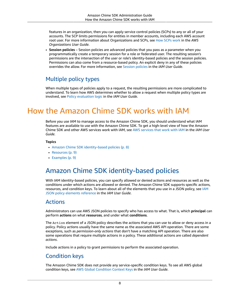features in an organization, then you can apply service control policies (SCPs) to any or all of your accounts. The SCP limits permissions for entities in member accounts, including each AWS account root user. For more information about Organizations and SCPs, see How SCPs [work](https://docs.aws.amazon.com/organizations/latest/userguide/orgs_manage_policies_about-scps.html) in the *AWS Organizations User Guide*.

• **Session policies** – Session policies are advanced policies that you pass as a parameter when you programmatically create a temporary session for a role or federated user. The resulting session's permissions are the intersection of the user or role's identity-based policies and the session policies. Permissions can also come from a resource-based policy. An explicit deny in any of these policies overrides the allow. For more information, see [Session policies](https://docs.aws.amazon.com/IAM/latest/UserGuide/access_policies.html#policies_session) in the *IAM User Guide*.

### Multiple policy types

When multiple types of policies apply to a request, the resulting permissions are more complicated to understand. To learn how AWS determines whether to allow a request when multiple policy types are involved, see Policy [evaluation](https://docs.aws.amazon.com/IAM/latest/UserGuide/reference_policies_evaluation-logic.html) logic in the *IAM User Guide*.

# <span id="page-11-0"></span>How the Amazon Chime SDK works with IAM

Before you use IAM to manage access to the Amazon Chime SDK, you should understand what IAM features are available to use with the Amazon Chime SDK. To get a high-level view of how the Amazon Chime SDK and other AWS services work with IAM, see AWS [services](https://docs.aws.amazon.com/IAM/latest/UserGuide/reference_aws-services-that-work-with-iam.html) that work with IAM in the *IAM User Guide*.

#### **Topics**

- Amazon Chime SDK [identity-based](#page-11-1) policies (p. 8)
- [Resources \(p. 9\)](#page-12-0)
- [Examples \(p. 9\)](#page-12-1)

# <span id="page-11-1"></span>Amazon Chime SDK identity-based policies

With IAM identity-based policies, you can specify allowed or denied actions and resources as well as the conditions under which actions are allowed or denied. The Amazon Chime SDK supports specific actions, resources, and condition keys. To learn about all of the elements that you use in a JSON policy, see [IAM](https://docs.aws.amazon.com/IAM/latest/UserGuide/reference_policies_elements.html) JSON policy elements [reference](https://docs.aws.amazon.com/IAM/latest/UserGuide/reference_policies_elements.html) in the *IAM User Guide*.

### Actions

Administrators can use AWS JSON policies to specify who has access to what. That is, which **principal** can perform **actions** on what **resources**, and under what **conditions**.

The Action element of a JSON policy describes the actions that you can use to allow or deny access in a policy. Policy actions usually have the same name as the associated AWS API operation. There are some exceptions, such as *permission-only actions* that don't have a matching API operation. There are also some operations that require multiple actions in a policy. These additional actions are called *dependent actions*.

Include actions in a policy to grant permissions to perform the associated operation.

### Condition keys

The Amazon Chime SDK does not provide any service-specific condition keys. To see all AWS global condition keys, see AWS Global [Condition](https://docs.aws.amazon.com/IAM/latest/UserGuide/reference_policies_condition-keys.html) Context Keys in the *IAM User Guide*.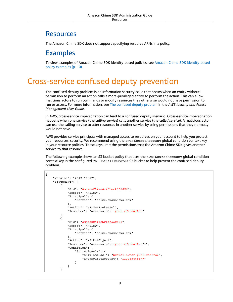## <span id="page-12-0"></span>Resources

<span id="page-12-1"></span>The Amazon Chime SDK does not support specifying resource ARNs in a policy.

## Examples

{

To view examples of Amazon Chime SDK identity-based policies, see Amazon Chime SDK [identity-based](#page-13-6) policy [examples \(p. 10\).](#page-13-6)

# <span id="page-12-2"></span>Cross-service confused deputy prevention

The confused deputy problem is an information security issue that occurs when an entity without permission to perform an action calls a more-privileged entity to perform the action. This can allow malicious actors to run commands or modify resources they otherwise would not have permission to run or access. For more information, see The [confused](https://docs.aws.amazon.com/IAM/latest/UserGuide/confused-deputy.html) deputy problem in the *AWS Identity and Access Management User Guide*.

In AWS, cross-service impersonation can lead to a confused deputy scenario. Cross-service impersonation happens when one service (the *calling service*) calls another service (the *called service*). A malicious actor can use the calling service to alter resources in another service by using permissions that they normally would not have.

AWS provides service principals with managed access to resources on your account to help you protect your resources' security. We recommend using the aws:SourceAccount global condition context key in your resource policies. These keys limit the permissions that the Amazon Chime SDK gives another service to that resource.

The following example shows an S3 bucket policy that uses the aws:SourceAccount global condition context key in the configured CallDetailRecords S3 bucket to help prevent the confused deputy problem.

```
 "Version": "2012-10-17",
    "Statement": [
         {
             "Sid": "AmazonChimeAclCheck668426",
             "Effect": "Allow",
             "Principal": {
                 "Service": "chime.amazonaws.com"
             },
             "Action": "s3:GetBucketAcl",
             "Resource": "arn:aws:s3:::your-cdr-bucket"
         },
\overline{\mathcal{A}} "Sid": "AmazonChimeWrite668426",
             "Effect": "Allow",
             "Principal": {
                 "Service": "chime.amazonaws.com"
             },
             "Action": "s3:PutObject",
             "Resource": "arn:aws:s3:::your-cdr-bucket/*",
             "Condition": {
                 "StringEquals": {
                     "s3:x-amz-acl": "bucket-owner-full-control",
                     "aws:SourceAccount": "112233446677" 
 }
 }
 }
```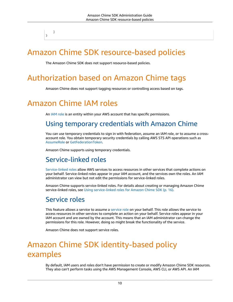] }

# <span id="page-13-0"></span>Amazon Chime SDK resource-based policies

The Amazon Chime SDK does not support resource-based policies.

# <span id="page-13-1"></span>Authorization based on Amazon Chime tags

Amazon Chime does not support tagging resources or controlling access based on tags.

# <span id="page-13-3"></span><span id="page-13-2"></span>Amazon Chime IAM roles

An [IAM](https://docs.aws.amazon.com/IAM/latest/UserGuide/id_roles.html) role is an entity within your AWS account that has specific permissions.

# Using temporary credentials with Amazon Chime

You can use temporary credentials to sign in with federation, assume an IAM role, or to assume a crossaccount role. You obtain temporary security credentials by calling AWS STS API operations such as [AssumeRole](https://docs.aws.amazon.com/STS/latest/APIReference/API_AssumeRole.html) or [GetFederationToken.](https://docs.aws.amazon.com/STS/latest/APIReference/API_GetFederationToken.html)

Amazon Chime supports using temporary credentials.

# <span id="page-13-4"></span>Service-linked roles

[Service-linked](https://docs.aws.amazon.com/IAM/latest/UserGuide/id_roles_terms-and-concepts.html#iam-term-service-linked-role) roles allow AWS services to access resources in other services that complete actions on your behalf. Service-linked roles appear in your IAM account, and the services own the roles. An IAM administrator can view but not edit the permissions for service-linked roles.

Amazon Chime supports service-linked roles. For details about creating or managing Amazon Chime service-linked roles, see Using [service-linked](#page-19-0) roles for Amazon Chime SD[K \(p. 16\)](#page-19-0).

# <span id="page-13-5"></span>Service roles

This feature allows a service to assume a [service](https://docs.aws.amazon.com/IAM/latest/UserGuide/id_roles_terms-and-concepts.html#iam-term-service-role) role on your behalf. This role allows the service to access resources in other services to complete an action on your behalf. Service roles appear in your IAM account and are owned by the account. This means that an IAM administrator can change the permissions for this role. However, doing so might break the functionality of the service.

Amazon Chime does not support service roles.

# <span id="page-13-6"></span>Amazon Chime SDK identity-based policy examples

By default, IAM users and roles don't have permission to create or modify Amazon Chime SDK resources. They also can't perform tasks using the AWS Management Console, AWS CLI, or AWS API. An IAM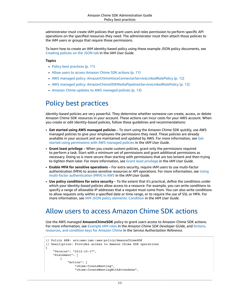administrator must create IAM policies that grant users and roles permission to perform specific API operations on the specified resources they need. The administrator must then attach those policies to the IAM users or groups that require those permissions.

To learn how to create an IAM identity-based policy using these example JSON policy documents, see [Creating](https://docs.aws.amazon.com/IAM/latest/UserGuide/access_policies_create.html#access_policies_create-json-editor) policies on the JSON tab in the *IAM User Guide*.

#### **Topics**

- Policy best [practices \(p. 11\)](#page-14-0)
- Allow users to access Amazon Chime SDK [actions \(p. 11\)](#page-14-1)
- AWS managed policy: [AmazonChimeVoiceConnectorServiceLinkedRolePolicy \(p. 12\)](#page-15-0)
- AWS managed policy: [AmazonChimeSDKMediaPipelinesServiceLinkedRolePolicy \(p. 12\)](#page-15-1)
- Amazon Chime updates to AWS managed [policies \(p. 13\)](#page-16-0)

# <span id="page-14-0"></span>Policy best practices

Identity-based policies are very powerful. They determine whether someone can create, access, or delete Amazon Chime SDK resources in your account. These actions can incur costs for your AWS account. When you create or edit identity-based policies, follow these guidelines and recommendations:

- **Get started using AWS managed policies** To start using the Amazon Chime SDK quickly, use AWS managed policies to give your employees the permissions they need. These policies are already available in your account and are maintained and updated by AWS. For more information, see [Get](https://docs.aws.amazon.com/IAM/latest/UserGuide/best-practices.html#bp-use-aws-defined-policies) started using [permissions](https://docs.aws.amazon.com/IAM/latest/UserGuide/best-practices.html#bp-use-aws-defined-policies) with AWS managed policies in the *IAM User Guide*.
- **Grant least privilege** When you create custom policies, grant only the permissions required to perform a task. Start with a minimum set of permissions and grant additional permissions as necessary. Doing so is more secure than starting with permissions that are too lenient and then trying to tighten them later. For more information, see [Grant least privilege](https://docs.aws.amazon.com/IAM/latest/UserGuide/best-practices.html#grant-least-privilege) in the *IAM User Guide*.
- **Enable MFA for sensitive operations** For extra security, require IAM users to use multi-factor authentication (MFA) to access sensitive resources or API operations. For more information, see [Using](https://docs.aws.amazon.com/IAM/latest/UserGuide/id_credentials_mfa.html) multi-factor [authentication](https://docs.aws.amazon.com/IAM/latest/UserGuide/id_credentials_mfa.html) (MFA) in AWS in the *IAM User Guide*.
- **Use policy conditions for extra security** To the extent that it's practical, define the conditions under which your identity-based policies allow access to a resource. For example, you can write conditions to specify a range of allowable IP addresses that a request must come from. You can also write conditions to allow requests only within a specified date or time range, or to require the use of SSL or MFA. For more information, see IAM JSON policy elements: [Condition](https://docs.aws.amazon.com/IAM/latest/UserGuide/reference_policies_elements_condition.html) in the *IAM User Guide*.

# <span id="page-14-1"></span>Allow users to access Amazon Chime SDK actions

Use the AWS managed **AmazonChimeSDK** policy to grant users access to Amazon Chime SDK actions. For more information, see [Example](https://docs.aws.amazon.com/chime/latest/dg/iam-roles.html) IAM roles in the *Amazon Chime SDK Developer GUide*, and [Actions,](https://docs.aws.amazon.com/service-authorization/latest/reference/list_amazonchime.html) [resources,](https://docs.aws.amazon.com/service-authorization/latest/reference/list_amazonchime.html) and condition keys for Amazon Chime in the *Service Authorization Reference*.

```
// Policy ARN: arn:aws:iam::aws:policy/AmazonChimeSDK 
// Description: Provides access to Amazon Chime SDK operations
{
     "Version": "2012-10-17",
     "Statement": [
         {
             "Action": [
                 "chime:CreateMeeting",
                 "chime:CreateMeetingWithAttendees",
```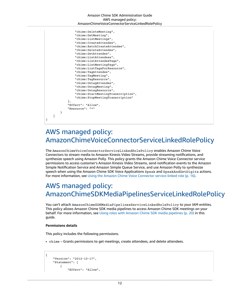

# <span id="page-15-0"></span>AWS managed policy: AmazonChimeVoiceConnectorServiceLinkedRolePolicy

The AmazonChimeVoiceConnectorServiceLinkedRolePolicy enables Amazon Chime Voice Connectors to stream media to Amazon Kinesis Video Streams, provide streaming notifications, and synthesize speech using Amazon Polly. This policy grants the Amazon Chime Voice Connector service permissions to access customer's Amazon Kinesis Video Streams, send notification events to the Amazon Simple Notification Service and Amazon Simple Queue Service, and use Amazon Polly to synthesize speech when using the Amazon Chime SDK Voice Applications Speak and SpeakAndGetDigits actions. For more information, see Using the Amazon Chime Voice Connector [service-linked](#page-19-1) rol[e \(p. 16\)](#page-19-1).

# <span id="page-15-1"></span>AWS managed policy: AmazonChimeSDKMediaPipelinesServiceLinkedRolePolicy

You can't attach AmazonChimeSDKMediaPipelinesServiceLinkedRolePolicy to your IAM entities. This policy allows Amazon Chime SDK media pipelines to access Amazon Chime SDK meetings on your behalf. For more information, see Using roles with Amazon Chime SDK media [pipelines \(p. 20\)](#page-23-0) in this guide.

#### **Permissions details**

This policy includes the following permissions.

• chime – Grants permissions to get meetings, create attendees, and delete attendees.

```
{
     "Version": "2012-10-17",
     "Statement": [
          {
              "Effect": "Allow",
```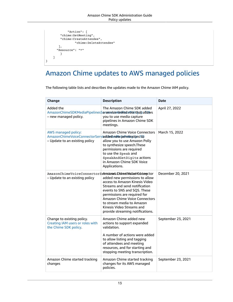```
 "Action": [
         "chime:GetMeeting",
         "chime:CreateAttendee",
                  "chime:DeleteAttendee"
        ],
       "Resource": "*"
         }
     ]
}
```
# <span id="page-16-0"></span>Amazon Chime updates to AWS managed policies

The following table lists and describes the updates made to the Amazon Chime IAM policy.

| Change                                                                                                            | <b>Description</b>                                                                                                                                                                                                                                                                               | <b>Date</b>        |
|-------------------------------------------------------------------------------------------------------------------|--------------------------------------------------------------------------------------------------------------------------------------------------------------------------------------------------------------------------------------------------------------------------------------------------|--------------------|
| Added the<br>AmazonChimeSDKMediaPipelinesSarsetvideHinkedadBldithapallaws<br>- new managed policy.                | The Amazon Chime SDK added<br>you to use media capture<br>pipelines in Amazon Chime SDK<br>meetings.                                                                                                                                                                                             | April 27, 2022     |
| AWS managed policy:<br>AmazonChimeVoiceConnectorServiaddedtedewopePmiissigns1td<br>- Update to an existing policy | <b>Amazon Chime Voice Connectors</b><br>allow you to use Amazon Polly<br>to synthesize speech.These<br>permissions are required<br>to use the Speak and<br>SpeakAndGetDigits actions<br>in Amazon Chime SDK Voice<br>Applications.                                                               | March 15, 2022     |
| AmazonChimeVoiceConnectorSeAnnazonfhkneRkolaeP6dnagctor<br>- Update to an existing policy                         | added new permissions to allow<br>access to Amazon Kinesis Video<br>Streams and send notification<br>events to SNS and SQS. These<br>permissions are required for<br>Amazon Chime Voice Connectors<br>to stream media to Amazon<br>Kinesis Video Streams and<br>provide streaming notifications. | December 20, 2021  |
| Change to existing policy.<br>Creating IAM users or roles with<br>the Chime SDK policy.                           | Amazon Chime added new<br>actions to support expanded<br>validation.                                                                                                                                                                                                                             | September 23, 2021 |
|                                                                                                                   | A number of actions were added<br>to allow listing and tagging<br>of attendees and meeting<br>resources, and for starting and<br>stopping meeting transcription.                                                                                                                                 |                    |
| Amazon Chime started tracking<br>changes                                                                          | Amazon Chime started tracking<br>changes for its AWS managed<br>policies.                                                                                                                                                                                                                        | September 23, 2021 |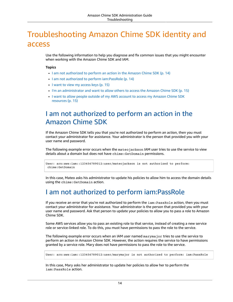# <span id="page-17-0"></span>Troubleshooting Amazon Chime SDK identity and access

Use the following information to help you diagnose and fix common issues that you might encounter when working with the Amazon Chime SDK and IAM.

#### **Topics**

- I am not authorized to perform an action in the Amazon Chime [SDK \(p. 14\)](#page-17-1)
- I am not authorized to perform [iam:PassRole \(p. 14\)](#page-17-2)
- I want to view my access [keys \(p. 15\)](#page-18-0)
- I'm an [administrator](#page-18-1) and want to allow others to access the Amazon Chime SDK (p. 15)
- I want to allow people outside of my AWS account to access my [Amazon](#page-18-2) Chime SDK [resources \(p. 15\)](#page-18-2)

# <span id="page-17-1"></span>I am not authorized to perform an action in the Amazon Chime SDK

If the Amazon Chime SDK tells you that you're not authorized to perform an action, then you must contact your administrator for assistance. Your administrator is the person that provided you with your user name and password.

The following example error occurs when the mateojackson IAM user tries to use the service to view details about a domain but does not have chime:GetDomain permissions.

```
User: arn:aws:iam::123456789012:user/mateojackson is not authorized to perform:
 chime:GetDomain
```
In this case, Mateo asks his administrator to update his policies to allow him to access the domain details using the chime:GetDomain action.

# <span id="page-17-2"></span>I am not authorized to perform iam:PassRole

If you receive an error that you're not authorized to perform the iam: PassRole action, then you must contact your administrator for assistance. Your administrator is the person that provided you with your user name and password. Ask that person to update your policies to allow you to pass a role to Amazon Chime SDK.

Some AWS services allow you to pass an existing role to that service, instead of creating a new service role or service-linked role. To do this, you must have permissions to pass the role to the service.

The following example error occurs when an IAM user named marymajor tries to use the service to perform an action in Amazon Chime SDK. However, the action requires the service to have permissions granted by a service role. Mary does not have permissions to pass the role to the service.

User: arn:aws:iam::123456789012:user/marymajor is not authorized to perform: iam:PassRole

In this case, Mary asks her administrator to update her policies to allow her to perform the iam:PassRole action.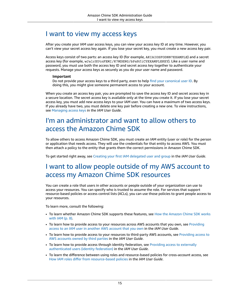## <span id="page-18-0"></span>I want to view my access keys

After you create your IAM user access keys, you can view your access key ID at any time. However, you can't view your secret access key again. If you lose your secret key, you must create a new access key pair.

Access keys consist of two parts: an access key ID (for example, AKIAIOSFODNN7EXAMPLE) and a secret access key (for example, wJalrXUtnFEMI/K7MDENG/bPxRfiCYEXAMPLEKEY). Like a user name and password, you must use both the access key ID and secret access key together to authenticate your requests. Manage your access keys as securely as you do your user name and password.

#### **Important**

Do not provide your access keys to a third party, even to help find your [canonical](https://docs.aws.amazon.com/general/latest/gr/acct-identifiers.html#FindingCanonicalId) user ID. By doing this, you might give someone permanent access to your account.

When you create an access key pair, you are prompted to save the access key ID and secret access key in a secure location. The secret access key is available only at the time you create it. If you lose your secret access key, you must add new access keys to your IAM user. You can have a maximum of two access keys. If you already have two, you must delete one key pair before creating a new one. To view instructions, see [Managing](https://docs.aws.amazon.com/IAM/latest/UserGuide/id_credentials_access-keys.html#Using_CreateAccessKey) access keys in the *IAM User Guide*.

# <span id="page-18-1"></span>I'm an administrator and want to allow others to access the Amazon Chime SDK

To allow others to access Amazon Chime SDK, you must create an IAM entity (user or role) for the person or application that needs access. They will use the credentials for that entity to access AWS. You must then attach a policy to the entity that grants them the correct permissions in Amazon Chime SDK.

To get started right away, see Creating your first IAM [delegated](https://docs.aws.amazon.com/IAM/latest/UserGuide/getting-started_create-delegated-user.html) user and group in the *IAM User Guide*.

# <span id="page-18-2"></span>I want to allow people outside of my AWS account to access my Amazon Chime SDK resources

You can create a role that users in other accounts or people outside of your organization can use to access your resources. You can specify who is trusted to assume the role. For services that support resource-based policies or access control lists (ACLs), you can use those policies to grant people access to your resources.

To learn more, consult the following:

- To learn whether Amazon Chime SDK supports these features, see How the [Amazon](#page-11-0) Chime SDK works [with IAM \(p. 8\).](#page-11-0)
- To learn how to provide access to your resources across AWS accounts that you own, see [Providing](https://docs.aws.amazon.com/IAM/latest/UserGuide/id_roles_common-scenarios_aws-accounts.html) access to an IAM user in [another](https://docs.aws.amazon.com/IAM/latest/UserGuide/id_roles_common-scenarios_aws-accounts.html) AWS account that you own in the *IAM User Guide*.
- To learn how to provide access to your resources to third-party AWS accounts, see [Providing](https://docs.aws.amazon.com/IAM/latest/UserGuide/id_roles_common-scenarios_third-party.html) access to AWS [accounts](https://docs.aws.amazon.com/IAM/latest/UserGuide/id_roles_common-scenarios_third-party.html) owned by third parties in the *IAM User Guide*.
- To learn how to provide access through identity federation, see Providing access to [externally](https://docs.aws.amazon.com/IAM/latest/UserGuide/id_roles_common-scenarios_federated-users.html) [authenticated](https://docs.aws.amazon.com/IAM/latest/UserGuide/id_roles_common-scenarios_federated-users.html) users (identity federation) in the *IAM User Guide*.
- To learn the difference between using roles and resource-based policies for cross-account access, see How IAM roles differ from [resource-based](https://docs.aws.amazon.com/IAM/latest/UserGuide/id_roles_compare-resource-policies.html) policies in the *IAM User Guide*.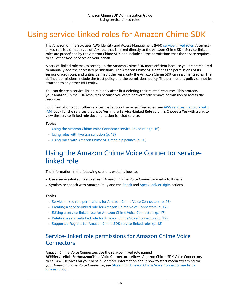# <span id="page-19-0"></span>Using service-linked roles for Amazon Chime SDK

The Amazon Chime SDK uses AWS Identity and Access Management (IAM) [service-linked](https://docs.aws.amazon.com/IAM/latest/UserGuide/id_roles_terms-and-concepts.html#iam-term-service-linked-role) roles. A servicelinked role is a unique type of IAM role that is linked directly to the Amazon Chime SDK. Service-linked roles are predefined by the Amazon Chime SDK and include all the permissions that the service requires to call other AWS services on your behalf.

A service-linked role makes setting up the Amazon Chime SDK more efficient because you aren't required to manually add the necessary permissions. The Amazon Chime SDK defines the permissions of its service-linked roles, and unless defined otherwise, only the Amazon Chime SDK can assume its roles. The defined permissions include the trust policy and the permissions policy. The permissions policy cannot be attached to any other IAM entity.

You can delete a service-linked role only after first deleting their related resources. This protects your Amazon Chime SDK resources because you can't inadvertently remove permission to access the resources.

For information about other services that support service-linked roles, see AWS [services](https://docs.aws.amazon.com/IAM/latest/UserGuide/reference_aws-services-that-work-with-iam.html) that work with [IAM](https://docs.aws.amazon.com/IAM/latest/UserGuide/reference_aws-services-that-work-with-iam.html). Look for the services that have **Yes** in the **Service-Linked Role** column. Choose a **Yes** with a link to view the service-linked role documentation for that service.

#### **Topics**

- Using the Amazon Chime Voice Connector [service-linked](#page-19-1) role (p. 16)
- Using roles with live [transcription \(p. 18\)](#page-21-0)
- Using roles with Amazon Chime SDK media [pipelines \(p. 20\)](#page-23-0)

# <span id="page-19-1"></span>Using the Amazon Chime Voice Connector servicelinked role

The information in the following sections explains how to:

- Use a service-linked role to stream Amazon Chime Voice Connector media to Kinesis
- Synthesize speech with Amazon Polly and the [Speak](https://docs.aws.amazon.com/chime-sdk/latest/dg/speak.html) and [SpeakAndGetDigits](https://docs.aws.amazon.com/chime-sdk/latest/dg/speak-and-get-digits.html) actions.

#### **Topics**

- Service-linked role permissions for Amazon Chime Voice [Connectors \(p. 16\)](#page-19-2)
- Creating a service-linked role for Amazon Chime Voice [Connectors \(p. 17\)](#page-20-0)
- Editing a service-linked role for Amazon Chime Voice [Connectors \(p. 17\)](#page-20-1)
- Deleting a service-linked role for Amazon Chime Voice [Connectors \(p. 17\)](#page-20-2)
- Supported Regions for Amazon Chime SDK [service-linked](#page-21-1) roles (p. 18)

### <span id="page-19-2"></span>Service-linked role permissions for Amazon Chime Voice **Connectors**

Amazon Chime Voice Connectors use the service-linked role named **AWSServiceRoleForAmazonChimeVoiceConnector** – Allows Amazon Chime SDK Voice Connectors to call AWS services on your behalf. For more information about how to start media streaming for your Amazon Chime Voice Connector, see Streaming Amazon Chime Voice [Connector](#page-69-2) media to [Kinesis \(p. 66\).](#page-69-2)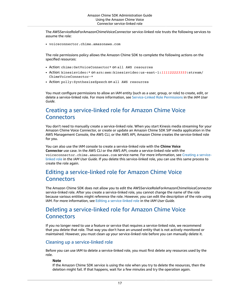The AWSServiceRoleForAmazonChimeVoiceConnector service-linked role trusts the following services to assume the role:

• voiceconnector.chime.amazonaws.com

The role permissions policy allows the Amazon Chime SDK to complete the following actions on the specified resources:

- Action: chime:GetVoiceConnector\* on all AWS resources
- Action: kinesisvideo:\* on arn:aws:kinesisvideo:us-east-1:*111122223333*:stream/ ChimeVoiceConnector-\*
- Action: polly:SynthesizeSpeech on all AWS resources

You must configure permissions to allow an IAM entity (such as a user, group, or role) to create, edit, or delete a service-linked role. For more information, see [Service-Linked](https://docs.aws.amazon.com/IAM/latest/UserGuide/using-service-linked-roles.html#service-linked-role-permissions) Role Permissions in the *IAM User Guide*.

### <span id="page-20-0"></span>Creating a service-linked role for Amazon Chime Voice **Connectors**

You don't need to manually create a service-linked role. When you start Kinesis media streaming for your Amazon Chime Voice Connector, or create or update an Amazon Chime SDK SIP media application in the AWS Management Console, the AWS CLI, or the AWS API, Amazon Chime creates the service-linked role for you.

You can also use the IAM console to create a service-linked role with the **Chime Voice Connector** use case. In the AWS CLI or the AWS API, create a service-linked role with the voiceconnector.chime.amazonaws.com service name. For more information, see [Creating](https://docs.aws.amazon.com/IAM/latest/UserGuide/using-service-linked-roles.html#create-service-linked-role) a service[linked](https://docs.aws.amazon.com/IAM/latest/UserGuide/using-service-linked-roles.html#create-service-linked-role) role in the *IAM User Guide*. If you delete this service-linked role, you can use this same process to create the role again.

### <span id="page-20-1"></span>Editing a service-linked role for Amazon Chime Voice **Connectors**

The Amazon Chime SDK does not allow you to edit the AWSServiceRoleForAmazonChimeVoiceConnector service-linked role. After you create a service-linked role, you cannot change the name of the role because various entities might reference the role. However, you can edit the description of the role using IAM. For more information, see Editing a [service-linked](https://docs.aws.amazon.com/IAM/latest/UserGuide/using-service-linked-roles.html#edit-service-linked-role) role in the *IAM User Guide*.

### <span id="page-20-2"></span>Deleting a service-linked role for Amazon Chime Voice **Connectors**

If you no longer need to use a feature or service that requires a service-linked role, we recommend that you delete that role. That way you don't have an unused entity that is not actively monitored or maintained. However, you must clean up your service-linked role before you can manually delete it.

#### Cleaning up a service-linked role

Before you can use IAM to delete a service-linked role, you must first delete any resources used by the role.

#### **Note**

If the Amazon Chime SDK service is using the role when you try to delete the resources, then the deletion might fail. If that happens, wait for a few minutes and try the operation again.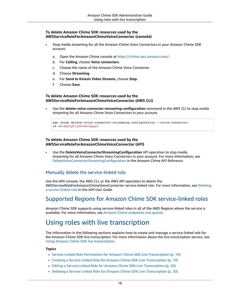#### **To delete Amazon Chime SDK resources used by the AWSServiceRoleForAmazonChimeVoiceConnector (console)**

- Stop media streaming for all the Amazon Chime Voice Connectors in your Amazon Chime SDK account.
	- a. Open the Amazon Chime console at [https://chime.aws.amazon.com/.](https://chime.aws.amazon.com)
	- b. For **Calling**, choose **Voice connectors**.
	- c. Choose the name of the Amazon Chime Voice Connector.
	- d. Choose **Streaming**.
	- e. For **Send to Kinesis Video Streams**, choose **Stop**.
	- f. Choose **Save**.

#### **To delete Amazon Chime SDK resources used by the AWSServiceRoleForAmazonChimeVoiceConnector (AWS CLI)**

• Use the **delete-voice-connector-streaming-configuration** command in the AWS CLI to stop media streaming for all Amazon Chime Voice Connectors in your account.

aws chime delete-voice-connector-streaming-configuration --voice-connectorid *abcdef1ghij2klmno3pqr4*

#### **To delete Amazon Chime SDK resources used by the AWSServiceRoleForAmazonChimeVoiceConnector (API)**

• Use the **DeleteVoiceConnectorStreamingConfiguration** API operation to stop media streaming for all Amazon Chime Voice Connectors in your account. For more information, see [DeleteVoiceConnectorStreamingConfiguration](https://docs.aws.amazon.com/chime/latest/APIReference/API_DeleteVoiceConnectorStreamingConfiguration.html) in the *Amazon Chime API Reference*.

#### Manually delete the service-linked role

Use the IAM console, the AWS CLI, or the AWS API operation to delete the AWSServiceRoleForAmazonChimeVoiceConnector service-linked role. For more information, see [Deleting](https://docs.aws.amazon.com/IAM/latest/UserGuide/using-service-linked-roles.html#delete-service-linked-role) a [service-linked](https://docs.aws.amazon.com/IAM/latest/UserGuide/using-service-linked-roles.html#delete-service-linked-role) role in the *IAM User Guide*.

### <span id="page-21-1"></span>Supported Regions for Amazon Chime SDK service-linked roles

Amazon Chime SDK supports using service-linked roles in all of the AWS Regions where the service is available. For more information, see Amazon Chime [endpoints](https://docs.aws.amazon.com/general/latest/gr/chime.html#chime_region) and quotas.

# <span id="page-21-0"></span>Using roles with live transcription

The information in the following sections explains how to create and manage a service-linked role for the Amazon Chime SDK live transcription. For more information about the live transcription service, see Using Amazon Chime SDK live [transcription.](https://docs.aws.amazon.com/chime/latest/dg/meeting-transcription.html)

#### **Topics**

- Service-Linked Role Permissions for Amazon Chime SDK Live [Transcription \(p. 19\)](#page-22-0)
- Creating a Service-Linked Role for Amazon Chime SDK Live [Transcription \(p. 19\)](#page-22-1)
- Editing a Service-Linked Role for Amazon Chime SDK Live [Transcription \(p. 20\)](#page-23-1)
- Deleting a Service-Linked Role for Amazon Chime SDK Live [Transcription \(p. 20\)](#page-23-2)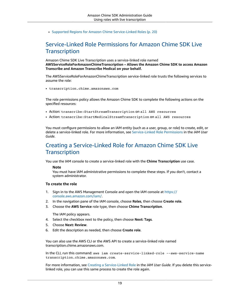• Supported Regions for Amazon Chime [Service-Linked](#page-23-3) Roles (p. 20)

### <span id="page-22-0"></span>Service-Linked Role Permissions for Amazon Chime SDK Live **Transcription**

Amazon Chime SDK Live Transcription uses a service-linked role named **AWSServiceRoleForAmazonChimeTranscription – Allows the Amazon Chime SDK to access Amazon Transcribe and Amazon Transcribe Medical on your behalf.**

The AWSServiceRoleForAmazonChimeTranscription service-linked role trusts the following services to assume the role:

• transcription.chime.amazonaws.com

The role permissions policy allows the Amazon Chime SDK to complete the following actions on the specified resources:

- Action: transcribe:StartStreamTranscription on all AWS resources
- Action: transcribe:StartMedicalStreamTranscription on all AWS resources

You must configure permissions to allow an IAM entity (such as a user, group, or role) to create, edit, or delete a service-linked role. For more information, see [Service-Linked](https://docs.aws.amazon.com/IAM/latest/UserGuide/using-service-linked-roles.html#service-linked-role-permissions) Role Permissions in the *IAM User Guide*.

### <span id="page-22-1"></span>Creating a Service-Linked Role for Amazon Chime SDK Live **Transcription**

You use the IAM console to create a service-linked role with the **Chime Transcription** use case.

#### **Note**

You must have IAM administrative permissions to complete these steps. If you don't, contact a system administrator.

#### **To create the role**

- 1. Sign in to the AWS Management Console and open the IAM console at [https://](https://console.aws.amazon.com/iam/) [console.aws.amazon.com/iam/](https://console.aws.amazon.com/iam/).
- 2. In the navigation pane of the IAM console, choose **Roles**, then choose **Create role**.
- 3. Choose the **AWS Service** role type, then choose **Chime Transcription**.

The IAM policy appears.

- 4. Select the checkbox next to the policy, then choose **Next: Tags**.
- 5. Choose **Next: Review**.
- 6. Edit the description as needed, then choose **Create role**.

You can also use the AWS CLI or the AWS API to create a service-linked role named transcription.chime.amazonaws.com.

In the CLI, run this command: aws iam create-service-linked-role --aws-service-name transcription.chime.amazonaws.com.

For more information, see Creating a [Service-Linked](https://docs.aws.amazon.com/IAM/latest/UserGuide/using-service-linked-roles.html#create-service-linked-role) Role in the *IAM User Guide*. If you delete this servicelinked role, you can use this same process to create the role again.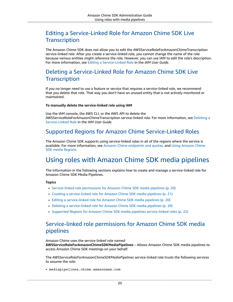### <span id="page-23-1"></span>Editing a Service-Linked Role for Amazon Chime SDK Live **Transcription**

The Amazon Chime SDK does not allow you to edit the AWSServiceRoleForAmazonChimeTranscription service-linked role. After you create a service-linked role, you cannot change the name of the role because various entities might reference the role. However, you can use IAM to edit the role's description. For more information, see Editing a [Service-Linked](https://docs.aws.amazon.com/IAM/latest/UserGuide/using-service-linked-roles.html#edit-service-linked-role) Role in the *IAM User Guide*.

### <span id="page-23-2"></span>Deleting a Service-Linked Role for Amazon Chime SDK Live **Transcription**

If you no longer need to use a feature or service that requires a service-linked role, we recommend that you delete that role. That way you don't have an unused entity that is not actively monitored or maintained.

#### **To manually delete the service-linked role using IAM**

Use the IAM console, the AWS CLI, or the AWS API to delete the AWSServiceRoleForAmazonChimeTranscription service-linked role. For more information, see [Deleting a](https://docs.aws.amazon.com/IAM/latest/UserGuide/using-service-linked-roles.html#delete-service-linked-role) [Service-Linked](https://docs.aws.amazon.com/IAM/latest/UserGuide/using-service-linked-roles.html#delete-service-linked-role) Role in the *IAM User Guide*.

### <span id="page-23-3"></span>Supported Regions for Amazon Chime Service-Linked Roles

The Amazon Chime SDK supports using service-linked roles in all of the regions where the service is available. For more information, see Amazon Chime [endpoints](https://docs.aws.amazon.com/general/latest/gr/chime.html#chime_region) and quotas, and Using [Amazon](/chime/latest/dg/chime-sdk-meetings-regions.html) Chime SDK media [Regions.](/chime/latest/dg/chime-sdk-meetings-regions.html)

# <span id="page-23-0"></span>Using roles with Amazon Chime SDK media pipelines

The information in the following sections explains how to create and manage a service-linked role for Amazon Chime SDK Media Pipelines.

#### **Topics**

- Service-linked role permissions for Amazon Chime SDK media [pipelines \(p. 20\)](#page-23-4)
- Creating a service-linked role for Amazon Chime SDK media [pipelines \(p. 21\)](#page-24-0)
- Editing a service-linked role for Amazon Chime SDK media [pipelines \(p. 20\)](#page-23-1)
- Deleting a service-linked role for Amazon Chime SDK media [pipelines \(p. 20\)](#page-23-2)
- Supported Regions for Amazon Chime SDK media pipelines [service-linked](#page-25-2) roles (p. 22)

### <span id="page-23-4"></span>Service-linked role permissions for Amazon Chime SDK media pipelines

Amazon Chime uses the service-linked role named **AWSServiceRoleForAmazonChimeSDKMediaPipelines** – Allows Amazon Chime SDK media pipelines to access Amazon Chime SDK meetings on your behalf.

The *AWSServiceRoleForAmazonChimeSDKMediaPipelines* service-linked role trusts the following services to assume the role:

• mediapipelines.chime.amazonaws.com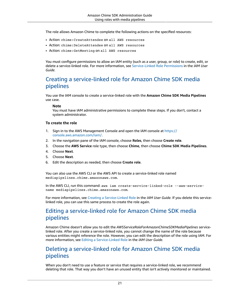The role allows Amazon Chime to complete the following actions on the specified resources:

- Action: chime:CreateAttendee on all AWS resources
- Action: chime:DeleteAttendee on all AWS resources
- Action: chime:GetMeeting on all AWS resources

You must configure permissions to allow an IAM entity (such as a user, group, or role) to create, edit, or delete a service-linked role. For more information, see [Service-Linked](https://docs.aws.amazon.com/IAM/latest/UserGuide/using-service-linked-roles.html#service-linked-role-permissions) Role Permissions in the *IAM User Guide*.

### <span id="page-24-0"></span>Creating a service-linked role for Amazon Chime SDK media pipelines

You use the IAM console to create a service-linked role with the **Amazon Chime SDK Media Pipelines** use case.

#### **Note**

You must have IAM administrative permissions to complete these steps. If you don't, contact a system administrator.

#### **To create the role**

- 1. Sign in to the AWS Management Console and open the IAM console at [https://](https://console.aws.amazon.com/iam/) [console.aws.amazon.com/iam/](https://console.aws.amazon.com/iam/).
- 2. In the navigation pane of the IAM console, choose **Roles**, then choose **Create role**.
- 3. Choose the **AWS Service** role type, then choose **Chime**, then choose **Chime SDK Media Pipelines**.
- 4. Choose **Next**.
- 5. Choose **Next**.
- 6. Edit the description as needed, then choose **Create role**.

You can also use the AWS CLI or the AWS API to create a service-linked role named mediapipelines.chime.amazonaws.com.

In the AWS CLI, run this command: aws iam create-service-linked-role --aws-servicename mediapipelines.chime.amazonaws.com.

For more information, see Creating a [Service-Linked](https://docs.aws.amazon.com/IAM/latest/UserGuide/using-service-linked-roles.html#create-service-linked-role) Role in the *IAM User Guide*. If you delete this servicelinked role, you can use this same process to create the role again.

### Editing a service-linked role for Amazon Chime SDK media pipelines

Amazon Chime doesn't allow you to edit the *AWSServiceRoleForAmazonChimeSDKMediaPipelines* servicelinked role. After you create a service-linked role, you cannot change the name of the role because various entities might reference the role. However, you can edit the description of the role using IAM. For more information, see Editing a [Service-Linked](https://docs.aws.amazon.com/IAM/latest/UserGuide/using-service-linked-roles.html#edit-service-linked-role) Role in the *IAM User Guide*.

### Deleting a service-linked role for Amazon Chime SDK media pipelines

When you don't need to use a feature or service that requires a service-linked role, we recommend deleting that role. That way you don't have an unused entity that isn't actively monitored or maintained.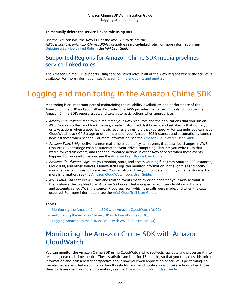#### **To manually delete the service-linked role using IAM**

Use the IAM console, the AWS CLI, or the AWS API to delete the *AWSServiceRoleForAmazonChimeSDKMediaPipelines* service-linked role. For more information, see Deleting a [Service-Linked](https://docs.aws.amazon.com/IAM/latest/UserGuide/using-service-linked-roles.html#delete-service-linked-role) Role in the *IAM User Guide*.

### <span id="page-25-2"></span>Supported Regions for Amazon Chime SDK media pipelines service-linked roles

The Amazon Chime SDK supports using service-linked roles in all of the AWS Regions where the service is available. For more information, see Amazon Chime [endpoints](https://docs.aws.amazon.com/general/latest/gr/chime.html#chime_region) and quotas.

# <span id="page-25-0"></span>Logging and monitoring in the Amazon Chime SDK

Monitoring is an important part of maintaining the reliability, availability, and performance of the Amazon Chime SDK and your other AWS solutions. AWS provides the following tools to monitor the Amazon Chime SDK, report issues, and take automatic actions when appropriate:

- *Amazon CloudWatch* monitors in real time your AWS resources and the applications that you run on AWS. You can collect and track metrics, create customized dashboards, and set alarms that notify you or take actions when a specified metric reaches a threshold that you specify. For example, you can have CloudWatch track CPU usage or other metrics of your Amazon EC2 instances and automatically launch new instances when needed. For more information, see the Amazon [CloudWatch](https://docs.aws.amazon.com/AmazonCloudWatch/latest/monitoring/) User Guide.
- *Amazon EventBridge* delivers a near real-time stream of system events that describe changes in AWS resources. EventBridge enables automated event-driven computing. This lets you write rules that watch for certain events, and trigger automated actions in other AWS services when these events happen. For more information, see the Amazon [EventBridge](https://docs.aws.amazon.com/eventbridge/latest/userguide/) User Guide.
- *Amazon CloudWatch Logs* lets you monitor, store, and access your log files from Amazon EC2 instances, CloudTrail, and other sources. CloudWatch Logs can monitor information in the log files and notify you when certain thresholds are met. You can also archive your log data in highly durable storage. For more information, see the Amazon [CloudWatch](https://docs.aws.amazon.com/AmazonCloudWatch/latest/logs/) Logs User Guide.
- *AWS CloudTrail* captures API calls and related events made by or on behalf of your AWS account. It then delivers the log files to an Amazon S3 bucket that you specify. You can identify which users and accounts called AWS, the source IP address from which the calls were made, and when the calls occurred. For more information, see the AWS [CloudTrail](https://docs.aws.amazon.com/awscloudtrail/latest/userguide/) User Guide.

#### **Topics**

- Monitoring the Amazon Chime SDK with Amazon [CloudWatch \(p. 22\)](#page-25-1)
- Automating the Amazon Chime SDK with [EventBridge \(p. 30\)](#page-33-0)
- Logging Amazon Chime SDK API calls with AWS [CloudTrail \(p. 34\)](#page-37-0)

# <span id="page-25-1"></span>Monitoring the Amazon Chime SDK with Amazon **CloudWatch**

You can monitor the Amazon Chime SDK using CloudWatch, which collects raw data and processes it into readable, near real-time metrics. These statistics are kept for 15 months, so that you can access historical information and gain a better perspective about how your web application or service is performing. You can also set alarms that watch for certain thresholds, and send notifications or take actions when those thresholds are met. For more information, see the Amazon [CloudWatch](https://docs.aws.amazon.com/AmazonCloudWatch/latest/monitoring/) User Guide.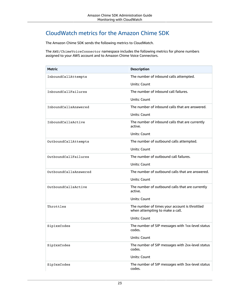## CloudWatch metrics for the Amazon Chime SDK

The Amazon Chime SDK sends the following metrics to CloudWatch.

The AWS/ChimeVoiceConnector namespace includes the following metrics for phone numbers assigned to your AWS account and to Amazon Chime Voice Connectors.

| <b>Metric</b>         | <b>Description</b>                                                               |
|-----------------------|----------------------------------------------------------------------------------|
| InboundCallAttempts   | The number of inbound calls attempted.                                           |
|                       | <b>Units: Count</b>                                                              |
| InboundCallFailures   | The number of inbound call failures.                                             |
|                       | Units: Count                                                                     |
| InboundCallsAnswered  | The number of inbound calls that are answered.                                   |
|                       | Units: Count                                                                     |
| InboundCallsActive    | The number of inbound calls that are currently<br>active.                        |
|                       | <b>Units: Count</b>                                                              |
| OutboundCallAttempts  | The number of outbound calls attempted.                                          |
|                       | Units: Count                                                                     |
| OutboundCallFailures  | The number of outbound call failures.                                            |
|                       | <b>Units: Count</b>                                                              |
| OutboundCallsAnswered | The number of outbound calls that are answered.                                  |
|                       | <b>Units: Count</b>                                                              |
| OutboundCallsActive   | The number of outbound calls that are currently<br>active.                       |
|                       | <b>Units: Count</b>                                                              |
| Throttles             | The number of times your account is throttled<br>when attempting to make a call. |
|                       | Units: Count                                                                     |
| Sip1xxCodes           | The number of SIP messages with 1xx-level status<br>codes.                       |
|                       | <b>Units: Count</b>                                                              |
| Sip2xxCodes           | The number of SIP messages with 2xx-level status<br>codes.                       |
|                       | <b>Units: Count</b>                                                              |
| Sip3xxCodes           | The number of SIP messages with 3xx-level status<br>codes.                       |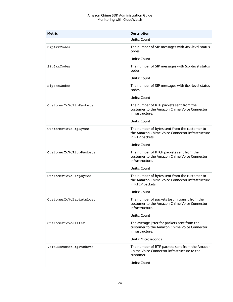| Metric                  | <b>Description</b>                                                                                                   |
|-------------------------|----------------------------------------------------------------------------------------------------------------------|
|                         | <b>Units: Count</b>                                                                                                  |
| Sip4xxCodes             | The number of SIP messages with 4xx-level status<br>codes.                                                           |
|                         | <b>Units: Count</b>                                                                                                  |
| Sip5xxCodes             | The number of SIP messages with 5xx-level status<br>codes.                                                           |
|                         | <b>Units: Count</b>                                                                                                  |
| Sip6xxCodes             | The number of SIP messages with 6xx-level status<br>codes.                                                           |
|                         | <b>Units: Count</b>                                                                                                  |
| CustomerToVcRtpPackets  | The number of RTP packets sent from the<br>customer to the Amazon Chime Voice Connector<br>infrastructure.           |
|                         | <b>Units: Count</b>                                                                                                  |
| CustomerToVcRtpBytes    | The number of bytes sent from the customer to<br>the Amazon Chime Voice Connector infrastructure<br>in RTP packets.  |
|                         | <b>Units: Count</b>                                                                                                  |
| CustomerToVcRtcpPackets | The number of RTCP packets sent from the<br>customer to the Amazon Chime Voice Connector<br>infrastructure.          |
|                         | <b>Units: Count</b>                                                                                                  |
| CustomerToVcRtcpBytes   | The number of bytes sent from the customer to<br>the Amazon Chime Voice Connector infrastructure<br>in RTCP packets. |
|                         | <b>Units: Count</b>                                                                                                  |
| CustomerToVcPacketsLost | The number of packets lost in transit from the<br>customer to the Amazon Chime Voice Connector<br>infrastructure.    |
|                         | <b>Units: Count</b>                                                                                                  |
| CustomerToVcJitter      | The average jitter for packets sent from the<br>customer to the Amazon Chime Voice Connector<br>infrastructure.      |
|                         | <b>Units: Microseconds</b>                                                                                           |
| VcToCustomerRtpPackets  | The number of RTP packets sent from the Amazon<br>Chime Voice Connector infrastructure to the<br>customer.           |
|                         | Units: Count                                                                                                         |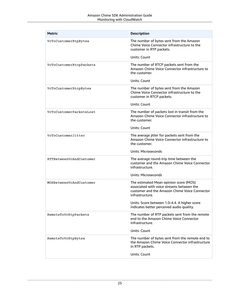| Metric                  | <b>Description</b>                                                                                                                                      |
|-------------------------|---------------------------------------------------------------------------------------------------------------------------------------------------------|
| VcToCustomerRtpBytes    | The number of bytes sent from the Amazon<br>Chime Voice Connector infrastructure to the<br>customer in RTP packets.                                     |
|                         | Units: Count                                                                                                                                            |
| VcToCustomerRtcpPackets | The number of RTCP packets sent from the<br>Amazon Chime Voice Connector infrastructure to<br>the customer.                                             |
|                         | <b>Units: Count</b>                                                                                                                                     |
| VcToCustomerRtcpBytes   | The number of bytes sent from the Amazon<br>Chime Voice Connector infrastructure to the<br>customer in RTCP packets.                                    |
|                         | Units: Count                                                                                                                                            |
| VcToCustomerPacketsLost | The number of packets lost in transit from the<br>Amazon Chime Voice Connector infrastructure to<br>the customer.                                       |
|                         | Units: Count                                                                                                                                            |
| VcToCustomerJitter      | The average jitter for packets sent from the<br>Amazon Chime Voice Connector infrastructure to<br>the customer.                                         |
|                         | Units: Microseconds                                                                                                                                     |
| RTTBetweenVcAndCustomer | The average round-trip time between the<br>customer and the Amazon Chime Voice Connector<br>infrastructure.                                             |
|                         | <b>Units: Microseconds</b>                                                                                                                              |
| MOSBetweenVcAndCustomer | The estimated Mean opinion score (MOS)<br>associated with voice streams between the<br>customer and the Amazon Chime Voice Connector<br>infrastructure. |
|                         | Units: Score between 1.0-4.4. A higher score<br>indicates better perceived audio quality.                                                               |
| RemoteToVcRtpPackets    | The number of RTP packets sent from the remote<br>end to the Amazon Chime Voice Connector<br>infrastructure.                                            |
|                         | <b>Units: Count</b>                                                                                                                                     |
| RemoteToVcRtpBytes      | The number of bytes sent from the remote end to<br>the Amazon Chime Voice Connector infrastructure<br>in RTP packets.                                   |
|                         | Units: Count                                                                                                                                            |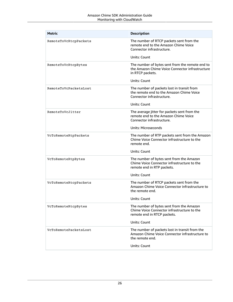| Metric                | <b>Description</b>                                                                                                     |
|-----------------------|------------------------------------------------------------------------------------------------------------------------|
| RemoteToVcRtcpPackets | The number of RTCP packets sent from the<br>remote end to the Amazon Chime Voice<br>Connector infrastructure.          |
|                       | Units: Count                                                                                                           |
| RemoteToVcRtcpBytes   | The number of bytes sent from the remote end to<br>the Amazon Chime Voice Connector infrastructure<br>in RTCP packets. |
|                       | <b>Units: Count</b>                                                                                                    |
| RemoteToVcPacketsLost | The number of packets lost in transit from<br>the remote end to the Amazon Chime Voice<br>Connector infrastructure.    |
|                       | Units: Count                                                                                                           |
| RemoteToVcJitter      | The average jitter for packets sent from the<br>remote end to the Amazon Chime Voice<br>Connector infrastructure.      |
|                       | Units: Microseconds                                                                                                    |
| VcToRemoteRtpPackets  | The number of RTP packets sent from the Amazon<br>Chime Voice Connector infrastructure to the<br>remote end.           |
|                       | Units: Count                                                                                                           |
| VcToRemoteRtpBytes    | The number of bytes sent from the Amazon<br>Chime Voice Connector infrastructure to the<br>remote end in RTP packets.  |
|                       | <b>Units: Count</b>                                                                                                    |
| VcToRemoteRtcpPackets | The number of RTCP packets sent from the<br>Amazon Chime Voice Connector infrastructure to<br>the remote end.          |
|                       | <b>Units: Count</b>                                                                                                    |
| VcToRemoteRtcpBytes   | The number of bytes sent from the Amazon<br>Chime Voice Connector infrastructure to the<br>remote end in RTCP packets. |
|                       | <b>Units: Count</b>                                                                                                    |
| VCToRemotePacketsLost | The number of packets lost in transit from the<br>Amazon Chime Voice Connector infrastructure to<br>the remote end.    |
|                       | <b>Units: Count</b>                                                                                                    |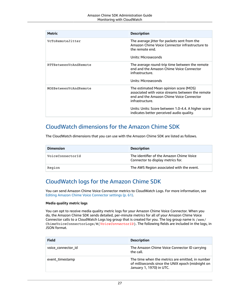| Metric                | <b>Description</b>                                                                                                                                                                                                                                            |
|-----------------------|---------------------------------------------------------------------------------------------------------------------------------------------------------------------------------------------------------------------------------------------------------------|
| VcToRemoteJitter      | The average jitter for packets sent from the<br>Amazon Chime Voice Connector infrastructure to<br>the remote end.<br>Units: Microseconds                                                                                                                      |
| RTTBetweenVcAndRemote | The average round-trip time between the remote<br>end and the Amazon Chime Voice Connector<br>infrastructure.<br>Units: Microseconds                                                                                                                          |
| MOSBetweenVcAndRemote | The estimated Mean opinion score (MOS)<br>associated with voice streams between the remote<br>end and the Amazon Chime Voice Connector<br>infrastructure.<br>Units: Units: Score between 1.0-4.4. A higher score<br>indicates better perceived audio quality. |

### CloudWatch dimensions for the Amazon Chime SDK

The CloudWatch dimensions that you can use with the Amazon Chime SDK are listed as follows.

| <b>Dimension</b> | <b>Description</b>                                                            |
|------------------|-------------------------------------------------------------------------------|
| VoiceConnectorId | The identifier of the Amazon Chime Voice<br>Connector to display metrics for. |
| Region           | The AWS Region associated with the event.                                     |

### CloudWatch logs for the Amazon Chime SDK

You can send Amazon Chime Voice Connector metrics to CloudWatch Logs. For more information, see Editing Amazon Chime Voice [Connector](#page-64-1) setting[s \(p. 61\)](#page-64-1).

#### **Media quality metric logs**

You can opt to receive media quality metric logs for your Amazon Chime Voice Connector. When you do, the Amazon Chime SDK sends detailed, per-minute metrics for all of your Amazon Chime Voice Connector calls to a CloudWatch Logs log group that is created for you. The log group name is /aws/ ChimeVoiceConnectorLogs/\${*VoiceConnectorID*}. The following fields are included in the logs, in JSON format.

| <b>Field</b>       | <b>Description</b>                                                                                                                |
|--------------------|-----------------------------------------------------------------------------------------------------------------------------------|
| voice connector id | The Amazon Chime Voice Connector ID carrying<br>the call.                                                                         |
| event timestamp    | The time when the metrics are emitted, in number<br>of milliseconds since the UNIX epoch (midnight on<br>January 1, 1970) in UTC. |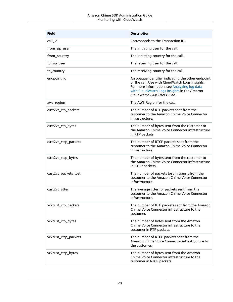| <b>Field</b>         | <b>Description</b>                                                                                                                                                                                                                  |
|----------------------|-------------------------------------------------------------------------------------------------------------------------------------------------------------------------------------------------------------------------------------|
| call_id              | Corresponds to the Transaction ID.                                                                                                                                                                                                  |
| from_sip_user        | The initiating user for the call.                                                                                                                                                                                                   |
| from_country         | The initiating country for the call.                                                                                                                                                                                                |
| to_sip_user          | The receiving user for the call.                                                                                                                                                                                                    |
| to_country           | The receiving country for the call.                                                                                                                                                                                                 |
| endpoint_id          | An opaque identifier indicating the other endpoint<br>of the call. Use with CloudWatch Logs Insights.<br>For more information, see Analyzing log data<br>with CloudWatch Logs Insights in the Amazon<br>CloudWatch Logs User Guide. |
| aws_region           | The AWS Region for the call.                                                                                                                                                                                                        |
| cust2vc_rtp_packets  | The number of RTP packets sent from the<br>customer to the Amazon Chime Voice Connector<br>infrastructure.                                                                                                                          |
| cust2vc_rtp_bytes    | The number of bytes sent from the customer to<br>the Amazon Chime Voice Connector infrastructure<br>in RTP packets.                                                                                                                 |
| cust2vc_rtcp_packets | The number of RTCP packets sent from the<br>customer to the Amazon Chime Voice Connector<br>infrastructure.                                                                                                                         |
| cust2vc_rtcp_bytes   | The number of bytes sent from the customer to<br>the Amazon Chime Voice Connector infrastructure<br>in RTCP packets.                                                                                                                |
| cust2vc_packets_lost | The number of packets lost in transit from the<br>customer to the Amazon Chime Voice Connector<br>infrastructure.                                                                                                                   |
| cust2vc_jitter       | The average jitter for packets sent from the<br>customer to the Amazon Chime Voice Connector<br>infrastructure.                                                                                                                     |
| vc2cust_rtp_packets  | The number of RTP packets sent from the Amazon<br>Chime Voice Connector infrastructure to the<br>customer.                                                                                                                          |
| vc2cust_rtp_bytes    | The number of bytes sent from the Amazon<br>Chime Voice Connector infrastructure to the<br>customer in RTP packets.                                                                                                                 |
| vc2cust_rtcp_packets | The number of RTCP packets sent from the<br>Amazon Chime Voice Connector infrastructure to<br>the customer.                                                                                                                         |
| vc2cust_rtcp_bytes   | The number of bytes sent from the Amazon<br>Chime Voice Connector infrastructure to the<br>customer in RTCP packets.                                                                                                                |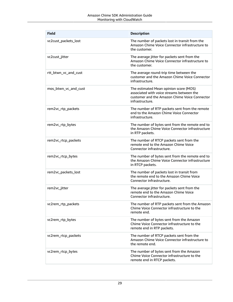| <b>Field</b>         | <b>Description</b>                                                                                                                                      |
|----------------------|---------------------------------------------------------------------------------------------------------------------------------------------------------|
| vc2cust_packets_lost | The number of packets lost in transit from the<br>Amazon Chime Voice Connector infrastructure to<br>the customer.                                       |
| vc2cust_jitter       | The average jitter for packets sent from the<br>Amazon Chime Voice Connector infrastructure to<br>the customer.                                         |
| rtt_btwn_vc_and_cust | The average round-trip time between the<br>customer and the Amazon Chime Voice Connector<br>infrastructure.                                             |
| mos_btwn_vc_and_cust | The estimated Mean opinion score (MOS)<br>associated with voice streams between the<br>customer and the Amazon Chime Voice Connector<br>infrastructure. |
| rem2vc_rtp_packets   | The number of RTP packets sent from the remote<br>end to the Amazon Chime Voice Connector<br>infrastructure.                                            |
| rem2vc_rtp_bytes     | The number of bytes sent from the remote end to<br>the Amazon Chime Voice Connector infrastructure<br>in RTP packets.                                   |
| rem2vc_rtcp_packets  | The number of RTCP packets sent from the<br>remote end to the Amazon Chime Voice<br>Connector infrastructure.                                           |
| rem2vc_rtcp_bytes    | The number of bytes sent from the remote end to<br>the Amazon Chime Voice Connector infrastructure<br>in RTCP packets.                                  |
| rem2vc_packets_lost  | The number of packets lost in transit from<br>the remote end to the Amazon Chime Voice<br>Connector infrastructure.                                     |
| rem2vc_jitter        | The average jitter for packets sent from the<br>remote end to the Amazon Chime Voice<br>Connector infrastructure.                                       |
| vc2rem_rtp_packets   | The number of RTP packets sent from the Amazon<br>Chime Voice Connector infrastructure to the<br>remote end.                                            |
| vc2rem_rtp_bytes     | The number of bytes sent from the Amazon<br>Chime Voice Connector infrastructure to the<br>remote end in RTP packets.                                   |
| vc2rem_rtcp_packets  | The number of RTCP packets sent from the<br>Amazon Chime Voice Connector infrastructure to<br>the remote end.                                           |
| vc2rem_rtcp_bytes    | The number of bytes sent from the Amazon<br>Chime Voice Connector infrastructure to the<br>remote end in RTCP packets.                                  |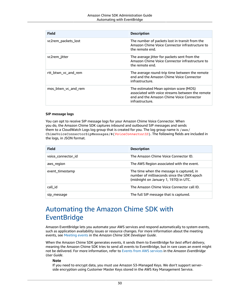| <b>Field</b>        | <b>Description</b>                                                                                                                                        |
|---------------------|-----------------------------------------------------------------------------------------------------------------------------------------------------------|
| vc2rem_packets_lost | The number of packets lost in transit from the<br>Amazon Chime Voice Connector infrastructure to<br>the remote end.                                       |
| vc2rem_jitter       | The average jitter for packets sent from the<br>Amazon Chime Voice Connector infrastructure to<br>the remote end.                                         |
| rtt_btwn_vc_and_rem | The average round-trip time between the remote<br>end and the Amazon Chime Voice Connector<br>infrastructure.                                             |
| mos_btwn_vc_and_rem | The estimated Mean opinion score (MOS)<br>associated with voice streams between the remote<br>end and the Amazon Chime Voice Connector<br>infrastructure. |

#### **SIP message logs**

You can opt to receive SIP message logs for your Amazon Chime Voice Connector. When you do, the Amazon Chime SDK captures inbound and outbound SIP messages and sends them to a CloudWatch Logs log group that is created for you. The log group name is /aws/ ChimeVoiceConnectorSipMessages/\${*VoiceConnectorID*}. The following fields are included in the logs, in JSON format.

| <b>Field</b>       | <b>Description</b>                                                                                                                |
|--------------------|-----------------------------------------------------------------------------------------------------------------------------------|
| voice connector id | The Amazon Chime Voice Connector ID.                                                                                              |
| aws_region         | The AWS Region associated with the event.                                                                                         |
| event timestamp    | The time when the message is captured, in<br>number of milliseconds since the UNIX epoch<br>(midnight on January 1, 1970) in UTC. |
| call id            | The Amazon Chime Voice Connector call ID.                                                                                         |
| sip_message        | The full SIP message that is captured.                                                                                            |

# <span id="page-33-0"></span>Automating the Amazon Chime SDK with **EventBridge**

Amazon EventBridge lets you automate your AWS services and respond automatically to system events, such as application availability issues or resource changes. For more information about the meeting events, see [Meeting](https://docs.aws.amazon.com/chime/latest/dg/using-events.html) events in the *Amazon Chime SDK Developer Guide*.

When the Amazon Chime SDK generates events, it sends them to EventBridge for *best effort delivery*, meaning the Amazon Chime SDK tries to send all events to EventBridge, but in rare cases an event might not be delivered. For more information, refer to Events from AWS [services](https://docs.aws.amazon.com/eventbridge/latest/userguide/eb-service-event.html) in the *Amazon EventBridge User Guide*.

#### **Note**

If you need to encrypt data, you must use Amazon S3-Managed Keys. We don't support serverside encryption using Customer Master Keys stored in the AWS Key Management Service.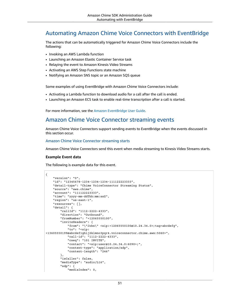### Automating Amazon Chime Voice Connectors with EventBridge

The actions that can be automatically triggered for Amazon Chime Voice Connectors include the following:

- Invoking an AWS Lambda function
- Launching an Amazon Elastic Container Service task
- Relaying the event to Amazon Kinesis Video Streams
- Activating an AWS Step Functions state machine
- Notifying an Amazon SNS topic or an Amazon SQS queue

Some examples of using EventBridge with Amazon Chime Voice Connectors include:

- Activating a Lambda function to download audio for a call after the call is ended.
- Launching an Amazon ECS task to enable real-time transcription after a call is started.

For more information, see the Amazon [EventBridge](https://docs.aws.amazon.com/eventbridge/latest/userguide/) User Guide.

### Amazon Chime Voice Connector streaming events

Amazon Chime Voice Connectors support sending events to EventBridge when the events discussed in this section occur.

#### Amazon Chime Voice Connector streaming starts

Amazon Chime Voice Connectors send this event when media streaming to Kinesis Video Streams starts.

#### **Example Event data**

The following is example data for this event.

```
{
     "version": "0",
     "id": "12345678-1234-1234-1234-111122223333",
     "detail-type": "Chime VoiceConnector Streaming Status",
     "source": "aws.chime",
     "account": "111122223333",
     "time": "yyyy-mm-ddThh:mm:ssZ",
    "region": "us-east-1",
     "resources": [],
     "detail": {
         "callId": "1112-2222-4333",
         "direction": "Outbound",
         "fromNumber": "+12065550100",
         "inviteHeaders": {
             "from": "\"John\" <sip:+12065550100@10.24.34.0>;tag=abcdefg",
             "to": "<sip:
+13605550199@abcdef1ghij2klmno3pqr4.voiceconnector.chime.aws:5060>",
             "call-id": "1112-2222-4333",
             "cseq": "101 INVITE",
             "contact": "<sip:user@10.24.34.0:6090>;",
             "content-type": "application/sdp",
             "content-length": "246"
         },
         "isCaller": false,
         "mediaType": "audio/L16",
         "sdp": {
             "mediaIndex": 0,
```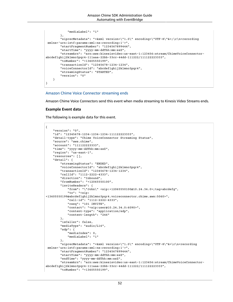```
 "mediaLabel": "1"
         },
         "siprecMetadata": "<&xml version=\"1.0\" encoding=\"UTF-8\"&>;\r\n<recording
 xmlns='urn:ietf:params:xml:ns:recording:1'>",
         "startFragmentNumber": "1234567899444",
         "startTime": "yyyy-mm-ddThh:mm:ssZ",
         "streamArn": "arn:aws:kinesisvideo:us-east-1:123456:stream/ChimeVoiceConnector-
abcdef1ghij2klmno3pqr4-111aaa-22bb-33cc-44dd-111222/111122223333",
         "toNumber": "+13605550199",
         "transactionId": "12345678-1234-1234",
         "voiceConnectorId": "abcdef1ghij2klmno3pqr4",
         "streamingStatus": "STARTED",
         "version": "0"
    }
}
```
#### Amazon Chime Voice Connector streaming ends

Amazon Chime Voice Connectors send this event when media streaming to Kinesis Video Streams ends.

#### **Example Event data**

The following is example data for this event.

```
{
     "version": "0",
     "id": "12345678-1234-1234-1234-111122223333",
     "detail-type": "Chime VoiceConnector Streaming Status",
     "source": "aws.chime",
     "account": "111122223333",
     "time": "yyyy-mm-ddThh:mm:ssZ",
     "region": "us-east-1",
     "resources": [],
     "detail": {
         "streamingStatus": "ENDED",
         "voiceConnectorId": "abcdef1ghij2klmno3pqr4",
         "transactionId": "12345678-1234-1234",
         "callId": "1112-2222-4333",
         "direction": "Inbound",
         "fromNumber": "+12065550100",
         "inviteHeaders": {
             "from": "\"John\" <sip:+12065550100@10.24.34.0>;tag=abcdefg",
             "to": "<sip:
+13605550199@abcdef1ghij2klmno3pqr4.voiceconnector.chime.aws:5060>",
             "call-id": "1112-2222-4333",
             "cseq": "101 INVITE",
             "contact": "<sip:user@10.24.34.0:6090>",
             "content-type": "application/sdp",
             "content-length": "246"
         },
         "isCaller": false,
         "mediaType": "audio/L16",
         "sdp": {
             "mediaIndex": 0,
             "mediaLabel": "1"
         },
         "siprecMetadata": "<&xml version=\"1.0\" encoding=\"UTF-8\"&>\r\n<recording
 xmlns='urn:ietf:params:xml:ns:recording:1'>",
         "startFragmentNumber": "1234567899444",
         "startTime": "yyyy-mm-ddThh:mm:ssZ",
         "endTime": "yyyy-mm-ddThh:mm:ssZ",
         "streamArn": "arn:aws:kinesisvideo:us-east-1:123456:stream/ChimeVoiceConnector-
abcdef1ghij2klmno3pqr4-111aaa-22bb-33cc-44dd-111222/111122223333",
         "toNumber": "+13605550199",
```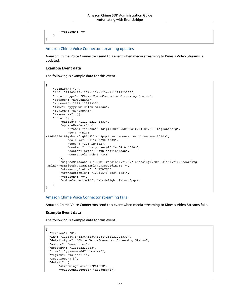"version": "0" }

}

#### Amazon Chime Voice Connector streaming updates

Amazon Chime Voice Connectors send this event when media streaming to Kinesis Video Streams is updated.

#### **Example Event data**

The following is example data for this event.

```
{
     "version": "0",
     "id": "12345678-1234-1234-1234-111122223333",
     "detail-type": "Chime VoiceConnector Streaming Status",
    "source": "aws.chime",
    "account": "111122223333",
    "time": "yyyy-mm-ddThh:mm:ssZ",
     "region": "us-east-1",
     "resources": [],
     "detail": {
         "callId": "1112-2222-4333",
         "updateHeaders": {
             "from": "\"John\" <sip:+12065550100@10.24.34.0>;;tag=abcdefg",
             "to": "<sip:
+13605550199@abcdef1ghij2klmno3pqr4.voiceconnector.chime.aws:5060>",
             "call-id": "1112-2222-4333",
             "cseq": "101 INVITE",
             "contact": "<sip:user@10.24.34.0:6090>",
             "content-type": "application/sdp",
             "content-length": "246"
         },
         "siprecMetadata": "<&xml version=\"1.0\" encoding=\"UTF-8\"&>\r\n<recording
 xmlns='urn:ietf:params:xml:ns:recording:1'>",
         "streamingStatus": "UPDATED",
         "transactionId": "12345678-1234-1234",
         "version": "0",
         "voiceConnectorId": "abcdef1ghij2klmno3pqr4"
    }
}
```
#### Amazon Chime Voice Connector streaming fails

Amazon Chime Voice Connectors send this event when media streaming to Kinesis Video Streams fails.

#### **Example Event data**

The following is example data for this event.

```
{
   "version": "0",
  "id": "12345678-1234-1234-1234-111122223333",
   "detail-type": "Chime VoiceConnector Streaming Status",
   "source": "aws.chime",
   "account": "111122223333",
   "time": "yyyy-mm-ddThh:mm:ssZ",
   "region": "us-east-1",
   "resources": [],
   "detail": {
        "streamingStatus":"FAILED",
        "voiceConnectorId":"abcdefghi",
```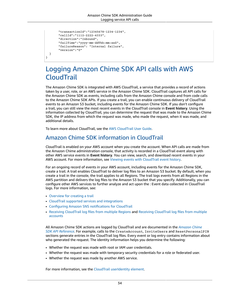```
 "transactionId":"12345678-1234-1234",
 "callId":"1112-2222-4333",
 "direction":"Inbound",
 "failTime":"yyyy-mm-ddThh:mm:ssZ",
 "failureReason": "Internal failure",
 "version":"0"
```
 } }

### Logging Amazon Chime SDK API calls with AWS **CloudTrail**

The Amazon Chime SDK is integrated with AWS CloudTrail, a service that provides a record of actions taken by a user, role, or an AWS service in the Amazon Chime SDK. CloudTrail captures all API calls for the Amazon Chime SDK as events, including calls from the Amazon Chime console and from code calls to the Amazon Chime SDK APIs. If you create a trail, you can enable continuous delivery of CloudTrail events to an Amazon S3 bucket, including events for the Amazon Chime SDK. If you don't configure a trail, you can still view the most recent events in the CloudTrail console in **Event history**. Using the information collected by CloudTrail, you can determine the request that was made to the Amazon Chime SDK, the IP address from which the request was made, who made the request, when it was made, and additional details.

To learn more about CloudTrail, see the AWS [CloudTrail](https://docs.aws.amazon.com/awscloudtrail/latest/userguide/) User Guide.

### Amazon Chime SDK information in CloudTrail

CloudTrail is enabled on your AWS account when you create the account. When API calls are made from the Amazon Chime administration console, that activity is recorded in a CloudTrail event along with other AWS service events in **Event history**. You can view, search, and download recent events in your AWS account. For more information, see Viewing events with [CloudTrail](https://docs.aws.amazon.com/awscloudtrail/latest/userguide/view-cloudtrail-events.html) event history.

For an ongoing record of events in your AWS account, including events for the Amazon Chime SDK, create a trail. A trail enables CloudTrail to deliver log files to an Amazon S3 bucket. By default, when you create a trail in the console, the trail applies to all Regions. The trail logs events from all Regions in the AWS partition and delivers the log files to the Amazon S3 bucket that you specify. Additionally, you can configure other AWS services to further analyze and act upon the : Event data collected in CloudTrail logs. For more information, see:

- [Overview](https://docs.aws.amazon.com/awscloudtrail/latest/userguide/cloudtrail-create-and-update-a-trail.html) for creating a trail
- CloudTrail supported services and [integrations](https://docs.aws.amazon.com/awscloudtrail/latest/userguide/cloudtrail-aws-service-specific-topics.html#cloudtrail-aws-service-specific-topics-integrations)
- Configuring Amazon SNS [notifications](https://docs.aws.amazon.com/awscloudtrail/latest/userguide/getting_notifications_top_level.html) for CloudTrail
- Receiving [CloudTrail](https://docs.aws.amazon.com/awscloudtrail/latest/userguide/receive-cloudtrail-log-files-from-multiple-regions.html) log files from multiple Regions and Receiving [CloudTrail](https://docs.aws.amazon.com/awscloudtrail/latest/userguide/cloudtrail-receive-logs-from-multiple-accounts.html) log files from multiple [accounts](https://docs.aws.amazon.com/awscloudtrail/latest/userguide/cloudtrail-receive-logs-from-multiple-accounts.html)

All Amazon Chime SDK actions are logged by CloudTrail and are documented in the *[Amazon Chime](https://docs.aws.amazon.com/chime-sdk/latest/APIReference/Welcome.html) SDK API [Reference](https://docs.aws.amazon.com/chime-sdk/latest/APIReference/Welcome.html)*. For example, calls to the CreateAccount, InviteUsers and ResetPersonalPIN sections generate entries in the CloudTrail log files. Every event or log entry contains information about who generated the request. The identity information helps you determine the following:

- Whether the request was made with root or IAM user credentials.
- Whether the request was made with temporary security credentials for a role or federated user.
- Whether the request was made by another AWS service.

For more information, see the CloudTrail [userIdentity](https://docs.aws.amazon.com/awscloudtrail/latest/userguide/cloudtrail-event-reference-user-identity.html) element.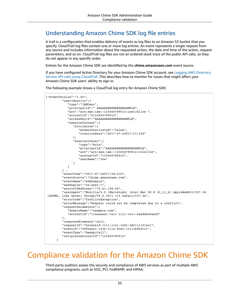### Understanding Amazon Chime SDK log file entries

A trail is a configuration that enables delivery of events as log files to an Amazon S3 bucket that you specify. CloudTrail log files contain one or more log entries. An event represents a single request from any source and includes information about the requested action, the date and time of the action, request parameters, and so on. CloudTrail log files are not an ordered stack trace of the public API calls, so they do not appear in any specific order.

Entries for the Amazon Chime SDK are identified by the **chime.amazonaws.com** event source.

If you have configured Active Directory for your Amazon Chime SDK account, see Logging AWS [Directory](https://docs.aws.amazon.com/directoryservice/latest/devguide/cloudtrail_logging.html) Service API calls using [CloudTrail](https://docs.aws.amazon.com/directoryservice/latest/devguide/cloudtrail_logging.html). This describes how to monitor for issues that might affect your Amazon Chime SDK users' ability to sign in.

The following example shows a CloudTrail log entry for Amazon Chime SDK:

```
{"eventVersion":"1.05",
          "userIdentity":{ 
             "type":"IAMUser",
             "principalId":" AAAAAABBBBBBBBEXAMPLE",
             "arn":"arn:aws:iam::123456789012:user/Alice ",
             "accountId":"0123456789012",
             "accessKeyId":"AAAAAABBBBBBBBEXAMPLE",
             "sessionContext":{ 
                "attributes":{ 
                   "mfaAuthenticated":"false",
                   "creationDate":"2017-07-24T17:57:43Z"
                },
                "sessionIssuer":{ 
                   "type":"Role",
                   "principalId":"AAAAAABBBBBBBBEXAMPLE",
                   "arn":"arn:aws:iam::123456789012:role/Joe",
                   "accountId":"123456789012",
                   "userName":"Joe"
 }
 }
          } ,
          "eventTime":"2017-07-24T17:58:21Z",
          "eventSource":"chime.amazonaws.com",
          "eventName":"AddDomain",
          "awsRegion":"us-east-1",
          "sourceIPAddress":"72.21.198.64",
          "userAgent":"Mozilla/5.0 (Macintosh; Intel Mac OS X 10_11_6) AppleWebKit/537.36
 (KHTML, like Gecko) Chrome/59.0.3071.115 Safari/537.36",
          "errorCode":"ConflictException",
          "errorMessage":"Request could not be completed due to a conflict",
          "requestParameters":{ 
             "domainName":"example.com",
             "accountId":"11aaaaaa1-1a11-1111-1a11-aaadd0a0aa00"
          },
          "responseElements":null,
          "requestID":"be1bee1d-1111-11e1-1eD1-0dc1111f1ac1",
          "eventID":"00fbeee1-123e-111e-93e3-11111bfbfcc1",
          "eventType":"AwsApiCall",
          "recipientAccountId":"123456789012"
       }
```
## Compliance validation for the Amazon Chime SDK

Third-party auditors assess the security and compliance of AWS services as part of multiple AWS compliance programs, such as SOC, PCI, FedRAMP, and HIPAA.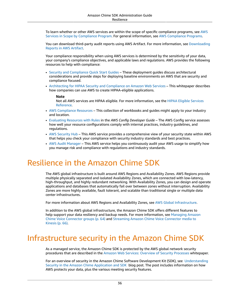To learn whether or other AWS services are within the scope of specific compliance programs, see [AWS](http://aws.amazon.com/compliance/services-in-scope/) Services in Scope by [Compliance](http://aws.amazon.com/compliance/services-in-scope/) Program. For general information, see AWS [Compliance](http://aws.amazon.com/compliance/programs/) Programs.

You can download third-party audit reports using AWS Artifact. For more information, see [Downloading](https://docs.aws.amazon.com/artifact/latest/ug/downloading-documents.html) [Reports](https://docs.aws.amazon.com/artifact/latest/ug/downloading-documents.html) in AWS Artifact.

Your compliance responsibility when using AWS services is determined by the sensitivity of your data, your company's compliance objectives, and applicable laws and regulations. AWS provides the following resources to help with compliance:

- Security and [Compliance](http://aws.amazon.com/quickstart/?awsf.quickstart-homepage-filter=categories%23security-identity-compliance) Quick Start Guides These deployment guides discuss architectural considerations and provide steps for deploying baseline environments on AWS that are security and compliance focused.
- [Architecting](https://docs.aws.amazon.com/whitepapers/latest/architecting-hipaa-security-and-compliance-on-aws/welcome.html) for HIPAA Security and Compliance on Amazon Web Services This whitepaper describes how companies can use AWS to create HIPAA-eligible applications.

#### **Note**

Not all AWS services are HIPAA eligible. For more information, see the HIPAA Eligible [Services](https://aws.amazon.com/compliance/hipaa-eligible-services-reference/) [Reference](https://aws.amazon.com/compliance/hipaa-eligible-services-reference/).

- AWS [Compliance](http://aws.amazon.com/compliance/resources/) Resources This collection of workbooks and guides might apply to your industry and location.
- [Evaluating](https://docs.aws.amazon.com/config/latest/developerguide/evaluate-config.html) Resources with Rules in the *AWS Config Developer Guide* The AWS Config service assesses how well your resource configurations comply with internal practices, industry guidelines, and regulations.
- AWS [Security](https://docs.aws.amazon.com/securityhub/latest/userguide/what-is-securityhub.html) Hub This AWS service provides a comprehensive view of your security state within AWS that helps you check your compliance with security industry standards and best practices.
- AWS Audit [Manager](https://docs.aws.amazon.com/audit-manager/latest/userguide/what-is.html) This AWS service helps you continuously audit your AWS usage to simplify how you manage risk and compliance with regulations and industry standards.

## Resilience in the Amazon Chime SDK

The AWS global infrastructure is built around AWS Regions and Availability Zones. AWS Regions provide multiple physically separated and isolated Availability Zones, which are connected with low-latency, high-throughput, and highly redundant networking. With Availability Zones, you can design and operate applications and databases that automatically fail over between zones without interruption. Availability Zones are more highly available, fault tolerant, and scalable than traditional single or multiple data center infrastructures.

For more information about AWS Regions and Availability Zones, see AWS Global [Infrastructure.](http://aws.amazon.com/about-aws/global-infrastructure/)

In addition to the AWS global infrastructure, the Amazon Chime SDK offers different features to help support your data resiliency and backup needs. For more information, see [Managing](#page-67-0) Amazon Chime Voice [Connector](#page-67-0) groups [\(p. 64\)](#page-67-0) and [Streaming](#page-69-0) Amazon Chime Voice Connector media to [Kinesis \(p. 66\).](#page-69-0)

## Infrastructure security in the Amazon Chime SDK

As a managed service, the Amazon Chime SDK is protected by the AWS global network security procedures that are described in the Amazon Web Services: Overview of Security [Processes](https://d0.awsstatic.com/whitepapers/Security/AWS_Security_Whitepaper.pdf) whitepaper.

For an overview of security in the Amazon Chime Software Development Kit (SDK), see [Understanding](http://aws.amazon.com/blogs/business-productivity/understanding-security-in-the-amazon-chime-application-and-sdk/) Security in the Amazon Chime [Application](http://aws.amazon.com/blogs/business-productivity/understanding-security-in-the-amazon-chime-application-and-sdk/) and SDK blog post. The post includes information on how AWS protects your data, plus the various meeting security features.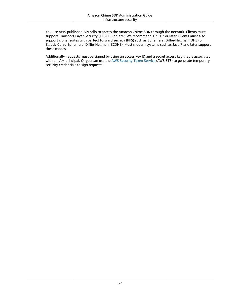You use AWS published API calls to access the Amazon Chime SDK through the network. Clients must support Transport Layer Security (TLS) 1.0 or later. We recommend TLS 1.2 or later. Clients must also support cipher suites with perfect forward secrecy (PFS) such as Ephemeral Diffie-Hellman (DHE) or Elliptic Curve Ephemeral Diffie-Hellman (ECDHE). Most modern systems such as Java 7 and later support these modes.

Additionally, requests must be signed by using an access key ID and a secret access key that is associated with an IAM principal. Or you can use the AWS [Security](https://docs.aws.amazon.com/STS/latest/APIReference/Welcome.html) Token Service (AWS STS) to generate temporary security credentials to sign requests.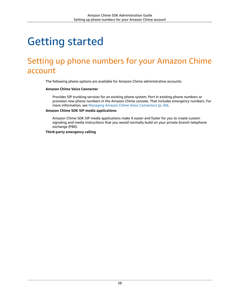# Getting started

## Setting up phone numbers for your Amazon Chime account

The following phone options are available for Amazon Chime administrative accounts:

#### **Amazon Chime Voice Connector**

Provides SIP trunking services for an existing phone system. Port in existing phone numbers or provision new phone numbers in the Amazon Chime console. That includes emergency numbers. For more information, see Managing Amazon Chime Voice [Connectors \(p. 60\)](#page-63-0).

#### **Amazon Chime SDK SIP media applications**

Amazon Chime SDK SIP media applications make it easier and faster for you to create custom signaling and media instructions that you would normally build on your private branch telephone exchange (PBX).

#### **Third-party emergency calling**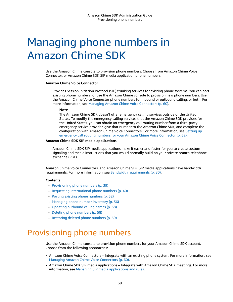# Managing phone numbers in Amazon Chime SDK

Use the Amazon Chime console to provision phone numbers. Choose from Amazon Chime Voice Connector, or Amazon Chime SDK SIP media application phone numbers.

#### **Amazon Chime Voice Connector**

Provides Session Initiation Protocol (SIP) trunking services for existing phone systems. You can port existing phone numbers, or use the Amazon Chime console to provision new phone numbers. Use the Amazon Chime Voice Connector phone numbers for inbound or outbound calling, or both. For more information, see Managing Amazon Chime Voice [Connectors \(p. 60\)](#page-63-0).

#### **Note**

The Amazon Chime SDK doesn't offer emergency calling services outside of the United States. To modify the emergency calling services that the Amazon Chime SDK provides for the United States, you can obtain an emergency call routing number from a third-party emergency service provider, give that number to the Amazon Chime SDK, and complete the configuration with Amazon Chime Voice Connectors. For more information, see [Setting](#page-65-0) up [emergency](#page-65-0) call routing numbers for your Amazon Chime Voice Connector [\(p. 62\).](#page-65-0)

#### **Amazon Chime SDK SIP media applications**

Amazon Chime SDK SIP media applications make it easier and faster for you to create custom signaling and media instructions that you would normally build on your private branch telephone exchange (PBX).

Amazon Chime Voice Connectors, and Amazon Chime SDK SIP media applications have bandwidth requirements. For more information, see Bandwidth [requirements \(p. 80\).](#page-83-0)

#### **Contents**

- Provisioning phone [numbers \(p. 39\)](#page-42-0)
- Requesting international phone [numbers \(p. 40\)](#page-43-0)
- Porting existing phone [numbers \(p. 52\)](#page-55-0)
- Managing phone number [inventory \(p. 56\)](#page-59-0)
- [Updating outbound calling names \(p. 58\)](#page-61-0)
- [Deleting phone numbers \(p. 58\)](#page-61-1)
- Restoring deleted phone [numbers \(p. 59\)](#page-62-0)

## <span id="page-42-0"></span>Provisioning phone numbers

Use the Amazon Chime console to provision phone numbers for your Amazon Chime SDK account. Choose from the following approaches:

- Amazon Chime Voice Connectors Integrate with an existing phone system. For more information, see Managing Amazon Chime Voice [Connectors \(p. 60\)](#page-63-0).
- Amazon Chime SDK SIP media applications Integrate with Amazon Chime SDK meetings. For more information, see [Managing SIP media applications and rules](https://docs.aws.amazon.com/chime/latest/ag/manage-sip-applications.html).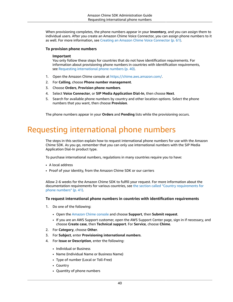When provisioning completes, the phone numbers appear in your **Inventory**, and you can assign them to individual users. After you create an Amazon Chime Voice Connector, you can assign phone numbers to it as well. For more information, see Creating an Amazon Chime Voice [Connector \(p. 61\).](#page-64-0)

#### **To provision phone numbers**

#### **Important**

You only follow these steps for countries that do not have identification requirements. For information about provisioning phone numbers in countries with identification requirements, see Requesting [international](#page-43-0) phone numbers [\(p. 40\)](#page-43-0).

- 1. Open the Amazon Chime console at [https://chime.aws.amazon.com/.](https://chime.aws.amazon.com)
- 2. For **Calling**, choose **Phone number management**.
- 3. Choose **Orders**, **Provision phone numbers**.
- 4. Select **Voice Connector**, or **SIP Media Application Dial-In**, then choose **Next**.
- 5. Search for available phone numbers by country and other location options. Select the phone numbers that you want, then choose **Provision**.

The phone numbers appear in your **Orders** and **Pending** lists while the provisioning occurs.

## <span id="page-43-0"></span>Requesting international phone numbers

The steps in this section explain how to request international phone numbers for use with the Amazon Chime SDK. As you go, remember that you can only use international numbers with the SIP Media Application Dial-In product type.

To purchase international numbers, regulations in many countries require you to have:

- A local address
- Proof of your identity, from the Amazon Chime SDK or our carriers

Allow 2-6 weeks for the Amazon Chime SDK to fulfill your request. For more information about the documentation requirements for various countries, see the section called "Country [requirements](#page-44-0) for phone [numbers" \(p. 41\)](#page-44-0).

#### **To request international phone numbers in countries with identification requirements**

- 1. Do one of the following:
	- Open the [Amazon](https://chime.aws.amazon.com/) Chime console and choose **Support**, then **Submit request**.
	- If you are an AWS Support customer, open the AWS Support Center page, sign in if necessary, and choose **Create case**, then **Technical support**. For **Service**, choose **Chime**.
- 2. For **Category**, choose **Other**.
- 3. For **Subject**, enter **Provisioning international numbers**.
- 4. For **Issue or Description**, enter the following:
	- Individual or Business
	- Name (Individual Name or Business Name)
	- Type of number (Local or Toll-Free)
	- Country
	- Quantity of phone numbers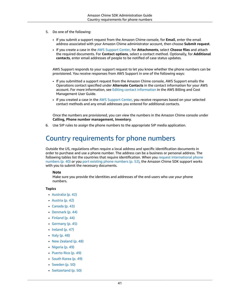- 5. Do one of the following:
	- If you submit a support request from the Amazon Chime console, for **Email**, enter the email address associated with your Amazon Chime administrator account, then choose **Submit request**.
	- If you create a case in the AWS [Support](https://console.aws.amazon.com/support/home#/) Center, for **Attachments**, select **Choose files** and attach the required documents. For **Contact options**, select a contact method. Optionally, for **Additional contacts**, enter email addresses of people to be notified of case status updates.

AWS Support responds to your support request to let you know whether the phone numbers can be provisioned. You receive responses from AWS Support in one of the following ways:

- If you submitted a support request from the Amazon Chime console, AWS Support emails the Operations contact specified under **Alternate Contacts** in the contact information for your AWS account. For more information, see Editing contact [information](https://docs.aws.amazon.com/awsaccountbilling/latest/aboutv2/manage-account-payment.html#manage-account-payment-edit-contacts) in the AWS Billing and Cost Management User Guide.
- If you created a case in the AWS [Support](https://console.aws.amazon.com/support/home#/) Center, you receive responses based on your selected contact methods and any email addresses you entered for additional contacts.

Once the numbers are provisioned, you can view the numbers in the Amazon Chime console under **Calling, Phone number management, Inventory**.

6. Use SIP rules to assign the phone numbers to the appropriate SIP media application.

### <span id="page-44-0"></span>Country requirements for phone numbers

Outside the US, regulations often require a local address and specific identification documents in order to purchase and use a phone number. The address can be a business or personal address. The following tables list the countries that require identification. When you request [international](#page-43-0) phone [numbers \(p. 40\)](#page-43-0) or you port existing phone [numbers \(p. 52\),](#page-55-0) the Amazon Chime SDK support works with you to submit the necessary documents.

#### **Note**

Make sure you provide the identities and addresses of the end-users who use your phone numbers.

#### **Topics**

- [Australia \(p. 42\)](#page-45-0)
- [Austria \(p. 42\)](#page-45-1)
- [Canada \(p. 43\)](#page-46-0)
- [Denmark \(p. 44\)](#page-47-0)
- [Finland \(p. 44\)](#page-47-1)
- [Germany \(p. 45\)](#page-48-0)
- $\cdot$  [Ireland \(p. 47\)](#page-50-0)
- [Italy \(p. 48\)](#page-51-0)
- New [Zealand \(p. 48\)](#page-51-1)
- [Nigeria \(p. 49\)](#page-52-0)
- Puerto [Rico \(p. 49\)](#page-52-1)
- South [Korea \(p. 49\)](#page-52-2)
- [Sweden \(p. 50\)](#page-53-0)
- [Switzerland \(p. 50\)](#page-53-1)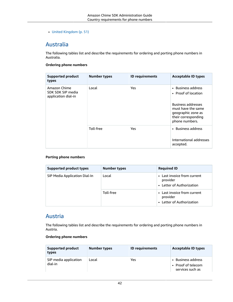• [United Kingdom \(p. 51\)](#page-54-0)

### <span id="page-45-0"></span>Australia

The following tables list and describe the requirements for ordering and porting phone numbers in Australia.

#### **Ordering phone numbers**

| <b>Supported product</b><br>types                        | Number types | <b>ID</b> requirements | <b>Acceptable ID types</b>                                                                                     |
|----------------------------------------------------------|--------------|------------------------|----------------------------------------------------------------------------------------------------------------|
| Amazon Chime<br>SDK SDK SIP media<br>application dial-in | Local        | Yes                    | • Business address<br>• Proof of location                                                                      |
|                                                          |              |                        | <b>Business addresses</b><br>must have the same<br>geographic zone as<br>their corresponding<br>phone numbers. |
|                                                          | Toll-free    | Yes                    | • Business address                                                                                             |
|                                                          |              |                        | International addresses<br>accepted.                                                                           |

#### **Porting phone numbers**

| <b>Supported product types</b> | Number types | <b>Required ID</b>                                                   |
|--------------------------------|--------------|----------------------------------------------------------------------|
| SIP Media Application Dial-In  | Local        | • Last invoice from current<br>provider<br>• Letter of Authorization |
|                                | Toll-free    | • Last invoice from current<br>provider<br>• Letter of Authorization |

### <span id="page-45-1"></span>Austria

The following tables list and describe the requirements for ordering and porting phone numbers in Austria.

#### **Ordering phone numbers**

| <b>Supported product</b><br>types | Number types | <b>ID</b> requirements | <b>Acceptable ID types</b>                                   |
|-----------------------------------|--------------|------------------------|--------------------------------------------------------------|
| SIP media application<br>dial-in  | Local        | Yes                    | • Business address<br>• Proof of telecom<br>services such as |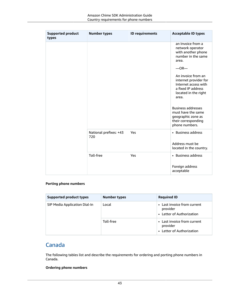| <b>Supported product</b><br>types | <b>Number types</b>           | <b>ID requirements</b> | <b>Acceptable ID types</b>                                                                                                                                                                                                         |
|-----------------------------------|-------------------------------|------------------------|------------------------------------------------------------------------------------------------------------------------------------------------------------------------------------------------------------------------------------|
|                                   |                               |                        | an Invoice from a<br>network operator<br>with another phone<br>number in the same<br>area.<br>$-OR-$<br>An invoice from an<br>internet provider for<br>Internet access with<br>a fixed IP address<br>located in the right<br>area. |
|                                   |                               |                        | <b>Business addresses</b><br>must have the same<br>geographic zone as<br>their corresponding<br>phone numbers.                                                                                                                     |
|                                   | National prefixes: +43<br>720 | Yes                    | • Business address<br>Address must be<br>located in the country.                                                                                                                                                                   |
|                                   | Toll-free                     | Yes                    | • Business address<br>Foreign address<br>acceptable                                                                                                                                                                                |

#### **Porting phone numbers**

| <b>Supported product types</b> | <b>Number types</b> | <b>Required ID</b>                                                   |
|--------------------------------|---------------------|----------------------------------------------------------------------|
| SIP Media Application Dial-In  | Local               | • Last invoice from current<br>provider<br>• Letter of Authorization |
|                                | Toll-free           | • Last invoice from current<br>provider<br>• Letter of Authorization |

### <span id="page-46-0"></span>Canada

The following tables list and describe the requirements for ordering and porting phone numbers in Canada.

#### **Ordering phone numbers**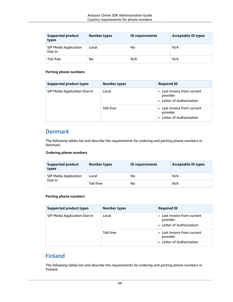| <b>Supported product</b><br>types | Number types | <b>ID</b> requirements | <b>Acceptable ID types</b> |
|-----------------------------------|--------------|------------------------|----------------------------|
| SIP Media Application<br>Dial-In  | Local        | No                     | N/A                        |
| Toll-free                         | No           | N/A                    | N/A                        |

#### **Porting phone numbers**

| Supported product types       | <b>Number types</b> | <b>Required ID</b>                                                   |
|-------------------------------|---------------------|----------------------------------------------------------------------|
| SIP Media Application Dial-In | Local               | • Last invoice from current<br>provider<br>• Letter of Authorization |
|                               | Toll-free           | • Last invoice from current<br>provider<br>• Letter of Authorization |

### <span id="page-47-0"></span>Denmark

The following tables list and describe the requirements for ordering and porting phone numbers in Denmark.

#### **Ordering phone numbers**

| <b>Supported product</b><br>types | Number types | <b>ID</b> requirements | <b>Acceptable ID types</b> |
|-----------------------------------|--------------|------------------------|----------------------------|
| SIP Media Application             | Local        | No                     | N/A                        |
| Dial-In                           | Toll-free    | No                     | N/A                        |

#### **Porting phone numbers**

| <b>Supported product types</b> | Number types | <b>Required ID</b>                                                   |
|--------------------------------|--------------|----------------------------------------------------------------------|
| SIP Media Application Dial-In  | Local        | • Last invoice from current<br>provider<br>• Letter of Authorization |
|                                | Toll-free    | • Last invoice from current<br>provider<br>• Letter of Authorization |

### <span id="page-47-1"></span>Finland

The following tables list and describe the requirements for ordering and porting phone numbers in Finland.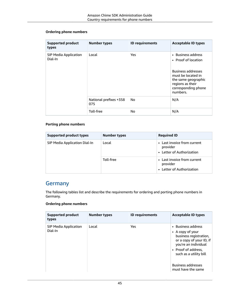#### **Ordering phone numbers**

| <b>Supported product</b><br>types | Number types                  | <b>ID requirements</b> | <b>Acceptable ID types</b>                                                                   |
|-----------------------------------|-------------------------------|------------------------|----------------------------------------------------------------------------------------------|
| SIP Media Application<br>Dial-In  | Local                         | <b>Yes</b>             | • Business address<br>• Proof of location<br><b>Business addresses</b><br>must be located in |
|                                   |                               |                        | the same geographic<br>regions as their<br>corresponding phone<br>numbers.                   |
|                                   | National prefixes +358<br>075 | <b>No</b>              | N/A                                                                                          |
|                                   | Toll-free                     | No                     | N/A                                                                                          |

#### **Porting phone numbers**

| <b>Supported product types</b> | <b>Number types</b> | <b>Required ID</b>                                                   |
|--------------------------------|---------------------|----------------------------------------------------------------------|
| SIP Media Application Dial-In  | Local               | • Last invoice from current<br>provider<br>• Letter of Authorization |
|                                | Toll-free           | • Last invoice from current<br>provider<br>• Letter of Authorization |

### <span id="page-48-0"></span>**Germany**

The following tables list and describe the requirements for ordering and porting phone numbers in Germany.

#### **Ordering phone numbers**

| <b>Supported product</b><br>types | <b>Number types</b> | <b>ID</b> requirements | <b>Acceptable ID types</b>                                                                                                                                                                                               |
|-----------------------------------|---------------------|------------------------|--------------------------------------------------------------------------------------------------------------------------------------------------------------------------------------------------------------------------|
| SIP Media Application<br>Dial-In  | Local               | Yes                    | • Business address<br>• A copy of your<br>business registration,<br>or a copy of your ID, if<br>you're an individual<br>• Proof of address,<br>such as a utility bill<br><b>Business addresses</b><br>must have the same |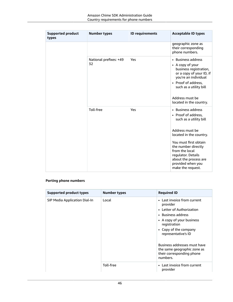| <b>Supported product</b><br>types | <b>Number types</b>          | <b>ID requirements</b> | <b>Acceptable ID types</b>                                                                                                                                                                                                                                                   |
|-----------------------------------|------------------------------|------------------------|------------------------------------------------------------------------------------------------------------------------------------------------------------------------------------------------------------------------------------------------------------------------------|
|                                   |                              |                        | geographic zone as<br>their corresponding<br>phone numbers.                                                                                                                                                                                                                  |
|                                   | National prefixes: +49<br>32 | Yes                    | • Business address<br>• A copy of your<br>business registration,<br>or a copy of your ID, if<br>you're an individual<br>• Proof of address,<br>such as a utility bill<br>Address must be<br>located in the country.                                                          |
|                                   | Toll-free                    | Yes                    | • Business address<br>• Proof of address,<br>such as a utility bill<br>Address must be<br>located in the country.<br>You must first obtain<br>the number directly<br>from the local<br>regulator. Details<br>about the process are<br>provided when you<br>make the request. |

#### **Porting phone numbers**

| <b>Supported product types</b> | Number types | <b>Required ID</b>                                                                                                                                                                                                                                                                              |
|--------------------------------|--------------|-------------------------------------------------------------------------------------------------------------------------------------------------------------------------------------------------------------------------------------------------------------------------------------------------|
| SIP Media Application Dial-In  | Local        | • Last invoice from current<br>provider<br>• Letter of Authorization<br>• Business address<br>• A copy of your business<br>registration<br>• Copy of the company<br>representative's ID<br>Business addresses must have<br>the same geographic zone as<br>their corresponding phone<br>numbers. |
|                                | Toll-free    | • Last invoice from current<br>provider                                                                                                                                                                                                                                                         |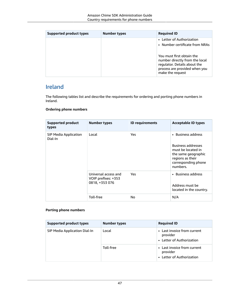| <b>Supported product types</b> | Number types | <b>Required ID</b>                                                                                                                               |
|--------------------------------|--------------|--------------------------------------------------------------------------------------------------------------------------------------------------|
|                                |              | • Letter of Authorization<br>• Number certificate from NRAs                                                                                      |
|                                |              | You must first obtain the<br>number directly from the local<br>regulator. Details about the<br>process are provided when you<br>make the request |

### <span id="page-50-0"></span>Ireland

The following tables list and describe the requirements for ordering and porting phone numbers in Ireland.

#### **Ordering phone numbers**

| <b>Supported product</b><br>types | Number types                                                  | <b>ID</b> requirements | <b>Acceptable ID types</b>                                                                                                                          |
|-----------------------------------|---------------------------------------------------------------|------------------------|-----------------------------------------------------------------------------------------------------------------------------------------------------|
| SIP Media Application<br>Dial-In  | Local                                                         | Yes                    | • Business address<br><b>Business addresses</b><br>must be located in<br>the same geographic<br>regions as their<br>corresponding phone<br>numbers. |
|                                   | Universal access and<br>VOIP prefixes: +353<br>0818, +353 076 | <b>Yes</b>             | • Business address<br>Address must be<br>located in the country.                                                                                    |
|                                   | Toll-free                                                     | No                     | N/A                                                                                                                                                 |

#### **Porting phone numbers**

| Supported product types       | Number types | <b>Required ID</b>                                                   |
|-------------------------------|--------------|----------------------------------------------------------------------|
| SIP Media Application Dial-In | Local        | • Last invoice from current<br>provider<br>• Letter of Authorization |
|                               | Toll-free    | • Last invoice from current<br>provider<br>• Letter of Authorization |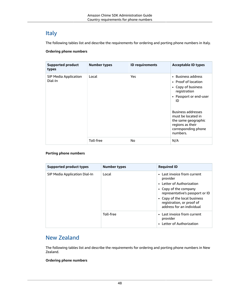### <span id="page-51-0"></span>Italy

The following tables list and describe the requirements for ordering and porting phone numbers in Italy.

#### **Ordering phone numbers**

| <b>Supported product</b><br>types | <b>Number types</b> | <b>ID</b> requirements | <b>Acceptable ID types</b>                                                                                                                                                                                                                       |
|-----------------------------------|---------------------|------------------------|--------------------------------------------------------------------------------------------------------------------------------------------------------------------------------------------------------------------------------------------------|
| SIP Media Application<br>Dial-In  | Local               | <b>Yes</b>             | • Business address<br>• Proof of location<br>• Copy of business<br>registration<br>• Passport or end-user<br>ID<br><b>Business addresses</b><br>must be located in<br>the same geographic<br>regions as their<br>corresponding phone<br>numbers. |
|                                   | Toll-free           | No                     | N/A                                                                                                                                                                                                                                              |

#### **Porting phone numbers**

| <b>Supported product types</b> | <b>Number types</b> | <b>Required ID</b>                                                                                                                                                                                                         |
|--------------------------------|---------------------|----------------------------------------------------------------------------------------------------------------------------------------------------------------------------------------------------------------------------|
| SIP Media Application Dial-In  | Local               | • Last invoice from current<br>provider<br>• Letter of Authorization<br>• Copy of the company<br>representative's passport or ID<br>• Copy of the local business<br>registration, or proof of<br>address for an individual |
|                                | Toll-free           | • Last invoice from current<br>provider<br>• Letter of Authorization                                                                                                                                                       |

### <span id="page-51-1"></span>New Zealand

The following tables list and describe the requirements for ordering and porting phone numbers in New Zealand.

#### **Ordering phone numbers**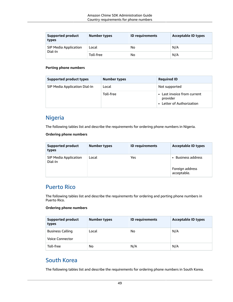| <b>Supported product</b><br>types | Number types | <b>ID</b> requirements | <b>Acceptable ID types</b> |
|-----------------------------------|--------------|------------------------|----------------------------|
| SIP Media Application             | Local        | No                     | N/A                        |
| Dial-In                           | Toll-free    | No                     | N/A                        |

#### **Porting phone numbers**

| Supported product types       | Number types | <b>Required ID</b>                                                   |
|-------------------------------|--------------|----------------------------------------------------------------------|
| SIP Media Application Dial-In | Local        | Not supported                                                        |
|                               | Toll-free    | • Last invoice from current<br>provider<br>• Letter of Authorization |

### <span id="page-52-0"></span>Nigeria

The following tables list and describe the requirements for ordering phone numbers in Nigeria.

#### **Ordering phone numbers**

| <b>Supported product</b><br>types | Number types | <b>ID</b> requirements | <b>Acceptable ID types</b>     |
|-----------------------------------|--------------|------------------------|--------------------------------|
| SIP Media Application<br>Dial-In  | Local        | Yes                    | • Business address             |
|                                   |              |                        | Foreign address<br>acceptable. |

### <span id="page-52-1"></span>Puerto Rico

The following tables list and describe the requirements for ordering and porting phone numbers in Puerto Rico.

#### **Ordering phone numbers**

| <b>Supported product</b><br>types | Number types | <b>ID</b> requirements | <b>Acceptable ID types</b> |
|-----------------------------------|--------------|------------------------|----------------------------|
| <b>Business Calling</b>           | Local        | No                     | N/A                        |
| <b>Voice Connector</b>            |              |                        |                            |
| Toll-free                         | No           | N/A                    | N/A                        |

### <span id="page-52-2"></span>South Korea

The following tables list and describe the requirements for ordering phone numbers in South Korea.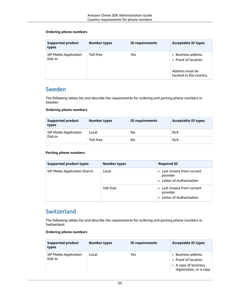#### **Ordering phone numbers**

| <b>Supported product</b><br>types | <b>Number types</b> | <b>ID</b> requirements | <b>Acceptable ID types</b>                 |
|-----------------------------------|---------------------|------------------------|--------------------------------------------|
| SIP Media Application<br>Dial-In  | Toll-free           | Yes                    | • Business address<br>• Proof of location  |
|                                   |                     |                        | Address must be<br>located in the country. |

### <span id="page-53-0"></span>Sweden

The following tables list and describe the requirements for ordering and porting phone numbers in Sweden.

#### **Ordering phone numbers**

| <b>Supported product</b><br>types | Number types | <b>ID</b> requirements | <b>Acceptable ID types</b> |
|-----------------------------------|--------------|------------------------|----------------------------|
| SIP Media Application<br>Dial-In  | Local        | No                     | N/A                        |
|                                   | Toll-free    | No                     | N/A                        |

#### **Porting phone numbers**

| Supported product types       | <b>Number types</b> | <b>Required ID</b>                                                   |
|-------------------------------|---------------------|----------------------------------------------------------------------|
| SIP Media Application Dial-In | Local               | • Last invoice from current<br>provider<br>• Letter of Authorization |
|                               | Toll-free           | • Last invoice from current<br>provider<br>• Letter of Authorization |

### <span id="page-53-1"></span>Switzerland

The following tables list and describe the requirements for ordering and porting phone numbers in Switzerland.

#### **Ordering phone numbers**

| <b>Supported product</b><br>types | Number types | <b>ID</b> requirements | <b>Acceptable ID types</b>                                                                   |
|-----------------------------------|--------------|------------------------|----------------------------------------------------------------------------------------------|
| SIP Media Application<br>Dial-In  | Local        | Yes                    | • Business address<br>• Proof of location<br>• A copy of business<br>registration, or a copy |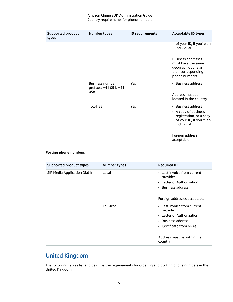| <b>Supported product</b><br>types | <b>Number types</b>                                     | <b>ID requirements</b> | <b>Acceptable ID types</b>                                                                                      |
|-----------------------------------|---------------------------------------------------------|------------------------|-----------------------------------------------------------------------------------------------------------------|
|                                   |                                                         |                        | of your ID, if you're an<br>individual                                                                          |
|                                   |                                                         |                        | <b>Business addresses</b><br>must have the same<br>geographic zone as<br>their corresponding<br>phone numbers.  |
|                                   | <b>Business number</b><br>prefixes: +41 051, +41<br>058 | Yes                    | • Business address<br>Address must be<br>located in the country.                                                |
|                                   | Toll-free                                               | Yes                    | • Business address<br>• A copy of business<br>registration, or a copy<br>of your ID, if you're an<br>individual |
|                                   |                                                         |                        | Foreign address<br>acceptable                                                                                   |

#### **Porting phone numbers**

| <b>Supported product types</b> | Number types | <b>Required ID</b>                                                                                                                                              |
|--------------------------------|--------------|-----------------------------------------------------------------------------------------------------------------------------------------------------------------|
| SIP Media Application Dial-In  | Local        | • Last invoice from current<br>provider<br>• Letter of Authorization<br>• Business address<br>Foreign addresses acceptable                                      |
|                                | Toll-free    | • Last invoice from current<br>provider<br>• Letter of Authorization<br>• Business address<br>• Certificate from NRAs<br>Address must be within the<br>country. |

### <span id="page-54-0"></span>United Kingdom

The following tables list and describe the requirements for ordering and porting phone numbers in the United Kingdom.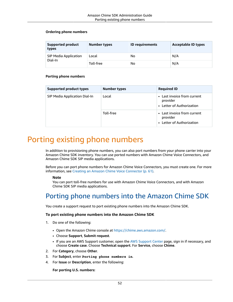#### **Ordering phone numbers**

| <b>Supported product</b><br>types | Number types | <b>ID</b> requirements | <b>Acceptable ID types</b> |
|-----------------------------------|--------------|------------------------|----------------------------|
| SIP Media Application<br>Dial-In  | Local        | No                     | N/A                        |
|                                   | Toll-free    | No                     | N/A                        |

#### **Porting phone numbers**

| <b>Supported product types</b> | Number types | <b>Required ID</b>                                                   |
|--------------------------------|--------------|----------------------------------------------------------------------|
| SIP Media Application Dial-In  | Local        | • Last invoice from current<br>provider<br>• Letter of Authorization |
|                                | Toll-free    | • Last invoice from current<br>provider<br>• Letter of Authorization |

## <span id="page-55-0"></span>Porting existing phone numbers

In addition to provisioning phone numbers, you can also port numbers from your phone carrier into your Amazon Chime SDK inventory. You can use ported numbers with Amazon Chime Voice Connectors, and Amazon Chime SDK SIP media applications.

Before you can port phone numbers for Amazon Chime Voice Connectors, you must create one. For more information, see Creating an Amazon Chime Voice [Connector \(p. 61\).](#page-64-0)

#### **Note**

You can port toll-free numbers for use with Amazon Chime Voice Connectors, and with Amazon Chime SDK SIP media applications.

### Porting phone numbers into the Amazon Chime SDK

You create a support request to port existing phone numbers into the Amazon Chime SDK.

#### **To port existing phone numbers into the Amazon Chime SDK**

- 1. Do one of the following:
	- Open the Amazon Chime console at [https://chime.aws.amazon.com/.](https://chime.aws.amazon.com)
	- Choose **Support**, **Submit request**.
	- If you are an AWS Support customer, open the AWS [Support](https://console.aws.amazon.com/support/home#/) Center page, sign in if necessary, and choose **Create case**. Choose **Technical support**. For **Service**, choose **Chime**.
- 2. For **Category**, choose **Other**.
- 3. For **Subject**, enter **Porting phone numbers in**.
- 4. For **Issue** or **Description**, enter the following:

**For porting U.S. numbers:**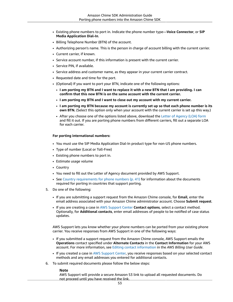- Existing phone numbers to port in. Indicate the phone number type—**Voice Connector**, or **SIP Media Application Dial-In**.
- Billing Telephone Number (BTN) of the account.
- Authorizing person's name. This is the person in charge of account billing with the current carrier.
- Current carrier, if known.
- Service account number, if this information is present with the current carrier.
- Service PIN, if available.
- Service address and customer name, as they appear in your current carrier contract.
- Requested date and time for the port.
- (Optional) If you want to port your BTN, indicate one of the following options:
	- I am porting my BTN and I want to replace it with a new BTN that I am providing. I can **confirm that this new BTN is on the same account with the current carrier.**
	- **I am porting my BTN and I want to close out my account with my current carrier.**
	- I am porting my BTN because my account is currently set up so that each phone number is its **own BTN.** (Select this option only when your account with the current carrier is set up this way.)
	- After you choose one of the options listed above, download the Letter of [Agency](https://d1.awsstatic.com/whitepapers/AmazonChimeLOA.pdf) (LOA) form and fill it out. If you are porting phone numbers from different carriers, fill out a separate LOA for each carrier.

#### **For porting international numbers:**

- You must use the SIP Media Application Dial-In product type for non-US phone numbers.
- Type of number (Local or Toll-Free)
- Existing phone numbers to port in.
- Estimate usage volume
- Country
- You need to fill out the Letter of Agency document provided by AWS Support.
- See Country [requirements](#page-44-0) for phone numbers [\(p. 41\)](#page-44-0) for information about the documents required for porting in countries that support porting.
- 5. Do one of the following:
	- If you are submitting a support request from the Amazon Chime console, for **Email**, enter the email address associated with your Amazon Chime administrator account. Choose **Submit request**.
	- If you are creating a case in AWS [Support](https://console.aws.amazon.com/support/home#/) Center **Contact options**, select a contact method. Optionally, for **Additional contacts**, enter email addresses of people to be notified of case status updates.

AWS Support lets you know whether your phone numbers can be ported from your existing phone carrier. You receive responses from AWS Support in one of the following ways:

- If you submitted a support request from the Amazon Chime console, AWS Support emails the **Operations** contact specified under **Alternate Contacts** in the **Contact Information** for your AWS account. For more information, see Editing contact [information](https://docs.aws.amazon.com/awsaccountbilling/latest/aboutv2/manage-account-payment.html#manage-account-payment-edit-contacts) in the *AWS Billing User Guide*.
- If you created a case in AWS [Support](https://console.aws.amazon.com/support/home#/) Center, you receive responses based on your selected contact methods and any email addresses you entered for additional contacts.
- 6. To submit required documents please follow the below steps:

#### **Note**

AWS Support will provide a secure Amazon S3 link to upload all requested documents. Do not proceed until you have received the link.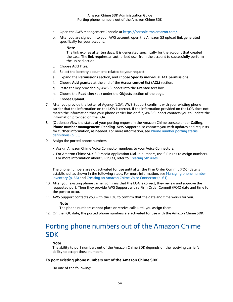- a. Open the AWS Management Console at [https://console.aws.amazon.com/.](https://console.aws.amazon.com/)
- b. After you are signed in to your AWS account, open the Amazon S3 upload link generated specifically for your account.

#### **Note**

The link expires after ten days. It is generated specifically for the account that created the case. The link requires an authorized user from the account to successfully perform the upload action.

- c. Choose **Add Files**.
- d. Select the identity documents related to your request.
- e. Expand the **Permissions** section, and choose **Specify individual ACL permissions**.
- f. Choose **Add grantee** at the end of the **Access control list (ACL)** section.
- g. Paste the key provided by AWS Support into the **Grantee** text box.
- h. Choose the **Read** checkbox under the **Objects** section of the page.
- i. Choose **Upload**.
- 7. After you provide the Letter of Agency (LOA), AWS Support confirms with your existing phone carrier that the information on the LOA is correct. If the information provided on the LOA does not match the information that your phone carrier has on file, AWS Support contacts you to update the information provided on the LOA.
- 8. (Optional) View the status of your porting request in the Amazon Chime console under **Calling**, **Phone number management**, **Pending**. AWS Support also contacts you with updates and requests for further information, as needed. For more information, see Phone [number](#page-58-0) porting status [definitions \(p. 55\).](#page-58-0)
- 9. Assign the ported phone numbers.
	- Assign Amazon Chime Voice Connector numbers to your Voice Connectors.
	- For Amazon Chime SDK SIP Media Application Dial-In numbers, use SIP rules to assign numbers. For more information about SIP rules, refer to [Creating](https://docs.aws.amazon.com/chime/latest/ag/create-sip-rule.html) SIP rules.

The phone numbers are not activated for use until after the Firm Order Commit (FOC) date is established, as shown in the following steps. For more information, see [Managing phone number](#page-59-0) [inventory \(p. 56\)](#page-59-0) and Creating an Amazon Chime Voice [Connector \(p. 61\)](#page-64-0).

- 10. After your existing phone carrier confirms that the LOA is correct, they review and approve the requested port. Then they provide AWS Support with a Firm Order Commit (FOC) date and time for the port to occur.
- 11. AWS Support contacts you with the FOC to confirm that the date and time works for you.

#### **Note**

The phone numbers cannot place or receive calls until you assign them.

12. On the FOC date, the ported phone numbers are activated for use with the Amazon Chime SDK.

### Porting phone numbers out of the Amazon Chime SDK

#### **Note**

The ability to port numbers out of the Amazon Chime SDK depends on the receiving carrier's ability to accept those numbers.

#### **To port existing phone numbers out of the Amazon Chime SDK**

1. Do one of the following: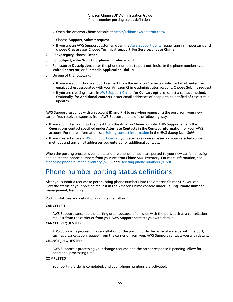• Open the Amazon Chime console at [https://chime.aws.amazon.com/.](https://chime.aws.amazon.com)

Choose **Support**, **Submit request**.

- If you are an AWS Support customer, open the AWS [Support](https://console.aws.amazon.com/support/home#/) Center page, sign in if necessary, and choose **Create case**. Choose **Technical support**. For **Service**, choose **Chime**.
- 2. For **Category**, choose **Other**.
- 3. For **Subject**, enter **Porting phone numbers out**.
- 4. For **Issue** or **Description**, enter the phone numbers to port out. Indicate the phone number type **Voice Connector**, or **SIP Media Application Dial-In**.
- 5. Do one of the following:
	- If you are submitting a support request from the Amazon Chime console, for **Email**, enter the email address associated with your Amazon Chime administrator account. Choose **Submit request**.
	- If you are creating a case in AWS [Support](https://console.aws.amazon.com/support/home#/) Center for **Contact options**, select a contact method. Optionally, for **Additional contacts**, enter email addresses of people to be notified of case status updates.

AWS Support responds with an account ID and PIN to use when requesting the port from your new carrier. You receive responses from AWS Support in one of the following ways:

- If you submitted a support request from the Amazon Chime console, AWS Support emails the **Operations** contact specified under **Alternate Contacts** in the **Contact Information** for your AWS account. For more information, see Editing contact [information](https://docs.aws.amazon.com/awsaccountbilling/latest/aboutv2/manage-account-payment.html#manage-account-payment-edit-contacts) in the *AWS Billing User Guide*.
- If you created a case in AWS [Support](https://console.aws.amazon.com/support/home#/) Center, you receive responses based on your selected contact methods and any email addresses you entered for additional contacts.

When the porting process is complete and the phone numbers are ported to your new carrier, unassign and delete the phone numbers from your Amazon Chime SDK inventory. For more information, see [Managing](#page-59-0) phone number inventor[y \(p. 56\)](#page-59-0) and [Deleting phone numbers \(p. 58\)](#page-61-1).

### <span id="page-58-0"></span>Phone number porting status definitions

After you submit a request to port existing phone numbers into the Amazon Chime SDK, you can view the status of your porting request in the Amazon Chime console under **Calling**, **Phone number management**, **Pending**.

Porting statuses and definitions include the following:

#### **CANCELLED**

AWS Support cancelled the porting order because of an issue with the port, such as a cancellation request from the carrier or from you. AWS Support contacts you with details.

#### **CANCEL\_REQUESTED**

AWS Support is processing a cancellation of the porting order because of an issue with the port, such as a cancellation request from the carrier or from you. AWS Support contacts you with details.

#### **CHANGE\_REQUESTED**

AWS Support is processing your change request, and the carrier response is pending. Allow for additional processing time.

#### **COMPLETED**

Your porting order is completed, and your phone numbers are activated.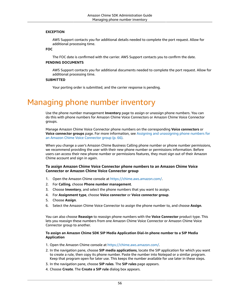#### **EXCEPTION**

AWS Support contacts you for additional details needed to complete the port request. Allow for additional processing time.

#### **FOC**

The FOC date is confirmed with the carrier. AWS Support contacts you to confirm the date.

#### **PENDING DOCUMENTS**

AWS Support contacts you for additional documents needed to complete the port request. Allow for additional processing time.

#### **SUBMITTED**

Your porting order is submitted, and the carrier response is pending.

## <span id="page-59-0"></span>Managing phone number inventory

Use the phone number management **Inventory** page to assign or unassign phone numbers. You can do this with phone numbers for Amazon Chime Voice Connectors or Amazon Chime Voice Connector groups.

Manage Amazon Chime Voice Connector phone numbers on the corresponding **Voice connectors** or **Voice connector groups** page. For more information, see [Assigning and unassigning phone numbers for](#page-69-1) an Amazon Chime Voice [Connector](#page-69-1) group [\(p. 66\).](#page-69-1)

When you change a user's Amazon Chime Business Calling phone number or phone number permissions, we recommend providing the user with their new phone number or permissions information. Before users can access their new phone number or permissions features, they must sign out of their Amazon Chime account and sign in again.

#### **To assign Amazon Chime Voice Connector phone numbers to an Amazon Chime Voice Connector or Amazon Chime Voice Connector group**

- 1. Open the Amazon Chime console at [https://chime.aws.amazon.com/.](https://chime.aws.amazon.com)
- 2. For **Calling**, choose **Phone number management**.
- 3. Choose **Inventory**, and select the phone numbers that you want to assign.
- 4. For **Assignment type**, choose **Voice connector** or **Voice connector group**.
- 5. Choose **Assign**.
- 6. Select the Amazon Chime Voice Connector to assign the phone number to, and choose **Assign**.

You can also choose **Reassign** to reassign phone numbers with the **Voice Connector** product type. This lets you reassign these numbers from one Amazon Chime Voice Connector or Amazon Chime Voice Connector group to another.

#### **To assign an Amazon Chime SDK SIP Media Application Dial-In phone number to a SIP Media Application**

- 1. Open the Amazon Chime console at [https://chime.aws.amazon.com/](https://chime.aws.amazon.com).
- 2. In the navigation pane, choose **SIP media applications**, locate the SIP application for which you want to create a rule, then copy its phone number. Paste the number into Notepad or a similar program. Keep that program open for later use. This keeps the number available for use later in these steps.
- 3. In the navigation pane, choose **SIP rules**. The **SIP rules** page appears.
- 4. Choose **Create**. The **Create a SIP rule** dialog box appears.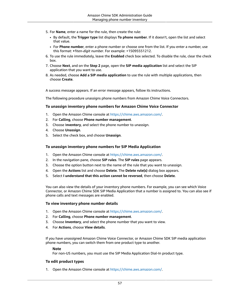- 5. For **Name**, enter a name for the rule, then create the rule:
	- By default, the **Trigger type** list displays **To phone number**. If it doesn't, open the list and select that value.
	- For **Phone number**, enter a phone number or choose one from the list. If you enter a number, use this format: **+1***ten-digit number*. For example: +15095551212.
- 6. To use the rule immediately, leave the **Enabled** check box selected. To disable the rule, clear the check box.
- 7. Choose **Next**, and on the **Step 2** page, open the **SIP media application** list and select the SIP application that you want to use.
- 8. As needed, choose **Add a SIP media application** to use the rule with multiple applications, then choose **Create**.

A success message appears. If an error message appears, follow its instructions.

The following procedure unassigns phone numbers from Amazon Chime Voice Connectors.

#### **To unassign inventory phone numbers for Amazon Chime Voice Connector**

- 1. Open the Amazon Chime console at [https://chime.aws.amazon.com/.](https://chime.aws.amazon.com)
- 2. For **Calling**, choose **Phone number management**.
- 3. Choose I**nventory**, and select the phone number to unassign.
- 4. Choose **Unassign**.
- 5. Select the check box, and choose **Unassign**.

#### **To unassign inventory phone numbers for SIP Media Application**

- 1. Open the Amazon Chime console at [https://chime.aws.amazon.com/.](https://chime.aws.amazon.com)
- 2. In the navigation pane, choose **SIP rules**. The **SIP rules** page appears.
- 3. Choose the option button next to the name of the rule that you want to unassign.
- 4. Open the **Actions** list and choose **Delete**. The **Delete rule(s)** dialog box appears.
- 5. Select **I understand that this action cannot be reversed**, then choose **Delete**.

You can also view the details of your inventory phone numbers. For example, you can see which Voice Connector, or Amazon Chime SDK SIP Media Application that a number is assigned to. You can also see if phone calls and text messages are enabled.

#### **To view inventory phone number details**

- 1. Open the Amazon Chime console at [https://chime.aws.amazon.com/.](https://chime.aws.amazon.com)
- 2. For **Calling**, choose **Phone number management**.
- 3. Choose **Inventory**, and select the phone number that you want to view.
- 4. For **Actions**, choose **View details**.

If you have unassigned Amazon Chime Voice Connector, or Amazon Chime SDK SIP media application phone numbers, you can switch them from one product type to another.

#### **Note**

For non-US numbers, you must use the SIP Media Application Dial-In product type.

#### **To edit product types**

1. Open the Amazon Chime console at [https://chime.aws.amazon.com/.](https://chime.aws.amazon.com)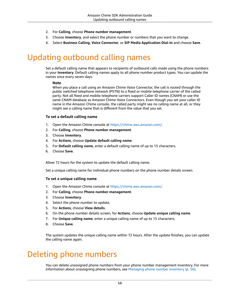- 2. For **Calling**, choose **Phone number management**.
- 3. Choose **Inventory**, and select the phone number or numbers that you want to change.
- 4. Select **Business Calling**, **Voice Connector**, or **SIP Media Application Dial-In** and choose **Save**.

## <span id="page-61-0"></span>Updating outbound calling names

Set a default calling name that appears to recipients of outbound calls made using the phone numbers in your **Inventory**. Default calling names apply to all phone number product types. You can update the names once every seven days.

#### **Note**

When you place a call using an Amazon Chime Voice Connector, the call is routed through the public switched telephone network (PSTN) to a fixed or mobile telephone carrier of the called party. Not all fixed and mobile telephone carriers support Caller ID names (CNAM) or use the same CNAM database as Amazon Chime Voice Connectors. Even though you set your caller ID name in the Amazon Chime console, the called party might see no calling name at all, or they might see a calling name that is different from the value that you set.

#### **To set a default calling name**

- 1. Open the Amazon Chime console at [https://chime.aws.amazon.com/.](https://chime.aws.amazon.com)
- 2. For **Calling**, choose **Phone number management**.
- 3. Choose **Inventory**.
- 4. For **Actions**, choose **Update default calling name**.
- 5. For **Default calling name**, enter a default calling name of up to 15 characters.
- 6. Choose **Save**.

Allow 72 hours for the system to update the default calling name.

Set a unique calling name for individual phone numbers on the phone number details screen.

#### **To set a unique calling name**

- 1. Open the Amazon Chime console at [https://chime.aws.amazon.com/.](https://chime.aws.amazon.com)
- 2. For **Calling**, choose **Phone number management**.
- 3. Choose **Inventory**.
- 4. Select the phone number to update.
- 5. For **Actions**, choose **View details**.
- 6. On the phone number details screen, for **Actions**, choose **Update unique calling name**.
- 7. For **Unique calling name**, enter a unique calling name of up to 15 characters.
- 8. Choose **Save**.

The system updates the unique calling name within 72 hours. After the update finishes, you can update the calling name again.

## <span id="page-61-1"></span>Deleting phone numbers

You can delete unassigned phone numbers from your phone number management inventory. For more information about unassigning phone numbers, see [Managing](#page-59-0) phone number inventory [\(p. 56\).](#page-59-0)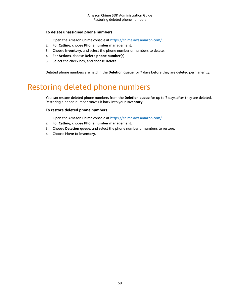#### **To delete unassigned phone numbers**

- 1. Open the Amazon Chime console at [https://chime.aws.amazon.com/.](https://chime.aws.amazon.com)
- 2. For **Calling**, choose **Phone number management**.
- 3. Choose **Inventory**, and select the phone number or numbers to delete.
- 4. For **Actions**, choose **Delete phone number(s)**.
- 5. Select the check box, and choose **Delete**.

Deleted phone numbers are held in the **Deletion queue** for 7 days before they are deleted permanently.

## <span id="page-62-0"></span>Restoring deleted phone numbers

You can restore deleted phone numbers from the **Deletion queue** for up to 7 days after they are deleted. Restoring a phone number moves it back into your **Inventory**.

#### **To restore deleted phone numbers**

- 1. Open the Amazon Chime console at [https://chime.aws.amazon.com/.](https://chime.aws.amazon.com)
- 2. For **Calling**, choose **Phone number management**.
- 3. Choose **Deletion queue**, and select the phone number or numbers to restore.
- 4. Choose **Move to inventory**.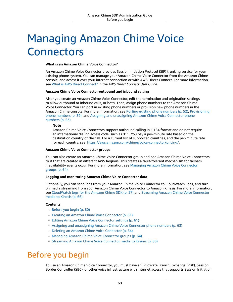# <span id="page-63-0"></span>Managing Amazon Chime Voice **Connectors**

#### **What is an Amazon Chime Voice Connector?**

An Amazon Chime Voice Connector provides Session Initiation Protocol (SIP) trunking service for your existing phone system. You can manage your Amazon Chime Voice Connector from the Amazon Chime console, and access it over your internet connection or with AWS Direct Connect. For more information, see What is AWS Direct [Connect?](https://docs.aws.amazon.com/directconnect/latest/UserGuide/Welcome.html) in the *AWS Direct Connect User Guide*.

#### **Amazon Chime Voice Connector outbound and inbound calling**

After you create an Amazon Chime Voice Connector, edit the termination and origination settings to allow outbound or inbound calls, or both. Then, assign phone numbers to the Amazon Chime Voice Connector. You can port in existing phone numbers or provision new phone numbers in the Amazon Chime console. For more information, see Porting existing phone [numbers \(p. 52\),](#page-55-0) [Provisioning](#page-42-0) [phone numbers \(p. 39\),](#page-42-0) and Assigning and [unassigning](#page-66-0) Amazon Chime Voice Connector phone [numbers \(p. 63\).](#page-66-0)

#### **Note**

Amazon Chime Voice Connectors support outbound calling in E.164 format and do not require an international dialing access code, such as 011. You pay a per-minute rate based on the destination country of the call. For a current list of supported countries, and the per-minute rate for each country, see <https://aws.amazon.com/chime/voice-connector/pricing/>.

#### **Amazon Chime Voice Connector groups**

You can also create an Amazon Chime Voice Connector group and add Amazon Chime Voice Connectors to it that are created in different AWS Regions. This creates a fault-tolerant mechanism for fallback if availability events occur. For more information, see Managing Amazon Chime Voice [Connector](#page-67-0) [groups \(p. 64\).](#page-67-0)

#### **Logging and monitoring Amazon Chime Voice Connector data**

Optionally, you can send logs from your Amazon Chime Voice Connector to CloudWatch Logs, and turn on media streaming from your Amazon Chime Voice Connector to Amazon Kinesis. For more information, see [CloudWatch](#page-30-0) logs for the Amazon Chime SD[K \(p. 27\)](#page-30-0) and Streaming Amazon Chime Voice [Connector](#page-69-0) [media to Kinesis \(p. 66\)](#page-69-0).

#### **Contents**

- Before you [begin \(p. 60\)](#page-63-1)
- Creating an Amazon Chime Voice [Connector \(p. 61\)](#page-64-0)
- Editing Amazon Chime Voice Connector [settings \(p. 61\)](#page-64-1)
- Assigning and unassigning Amazon Chime Voice Connector phone [numbers \(p. 63\)](#page-66-0)
- Deleting an Amazon Chime Voice [Connector \(p. 64\)](#page-67-1)
- Managing Amazon Chime Voice Connector [groups \(p. 64\)](#page-67-0)
- Streaming Amazon Chime Voice Connector media to [Kinesis \(p. 66\)](#page-69-0)

### <span id="page-63-1"></span>Before you begin

To use an Amazon Chime Voice Connector, you must have an IP Private Branch Exchange (PBX), Session Border Controller (SBC), or other voice infrastructure with internet access that supports Session Initiation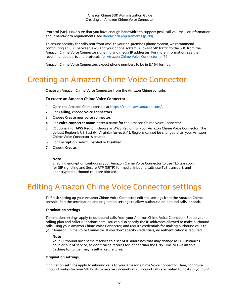Protocol (SIP). Make sure that you have enough bandwidth to support peak call volume. For information about bandwidth requirements, see Bandwidth [requirements \(p. 80\)](#page-83-0).

To ensure security for calls sent from AWS to your on-premises phone system, we recommend configuring an SBC between AWS and your phone system. Allowlist SIP traffic to the SBC from the Amazon Chime Voice Connector signaling and media IP addresses. For more information, see the recommended ports and protocols for Amazon Chime Voice [Connector \(p. 79\)](#page-82-0).

Amazon Chime Voice Connectors expect phone numbers to be in E.164 format.

## <span id="page-64-0"></span>Creating an Amazon Chime Voice Connector

Create an Amazon Chime Voice Connector from the Amazon Chime console.

#### **To create an Amazon Chime Voice Connector**

- 1. Open the Amazon Chime console at [https://chime.aws.amazon.com/.](https://chime.aws.amazon.com)
- 2. For **Calling**, choose **Voice connectors**.
- 3. Choose **Create new voice connector**.
- 4. For **Voice connector name**, enter a name for the Amazon Chime Voice Connector.
- 5. (Optional) For **AWS Region**, choose an AWS Region for your Amazon Chime Voice Connector. The default Region is US East (N. Virginia) (**us-east-1**). Regions cannot be changed after your Amazon Chime Voice Connector is created.
- 6. For **Encryption**, select **Enabled** or **Disabled**.
- 7. Choose **Create**.

#### **Note**

Enabling encryption configures your Amazon Chime Voice Connector to use TLS transport for SIP signaling and Secure RTP (SRTP) for media. Inbound calls use TLS transport, and unencrypted outbound calls are blocked.

## <span id="page-64-1"></span>Editing Amazon Chime Voice Connector settings

To finish setting up your Amazon Chime Voice Connector, edit the settings from the Amazon Chime console. Edit the termination and origination settings to allow outbound or inbound calls, or both.

#### **Termination settings**

Termination settings apply to outbound calls from your Amazon Chime Voice Connector. Set up your calling plan and caller ID options here. You can also specify the IP addresses allowed to make outbound calls using your Amazon Chime Voice Connector, and require credentials for making outbound calls to your Amazon Chime Voice Connector. If you don't specify credentials, no authentication is required.

#### **Note**

Your Outbound host name resolves to a set of IP addresses that may change as EC2 instances go in or out of service, so don't cache records for longer than the DNS Time to Live interval. Caching for longer may result in call failures.

#### **Origination settings**

Origination settings apply to inbound calls to your Amazon Chime Voice Connector. Here, configure inbound routes for your SIP hosts to receive inbound calls. Inbound calls are routed to hosts in your SIP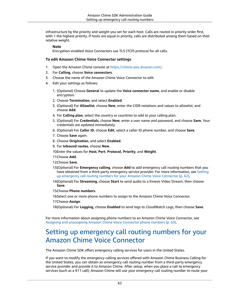infrastructure by the priority and weight you set for each host. Calls are routed in priority order first, with 1 the highest priority. If hosts are equal in priority, calls are distributed among them based on their relative weight.

#### **Note**

Encryption-enabled Voice Connectors use TLS (TCP) protocol for all calls.

#### **To edit Amazon Chime Voice Connector settings**

- 1. Open the Amazon Chime console at [https://chime.aws.amazon.com/.](https://chime.aws.amazon.com)
- 2. For **Calling**, choose **Voice connectors**.
- 3. Choose the name of the Amazon Chime Voice Connector to edit.
- 4. Edit your settings as follows:
	- 1. (Optional) Choose **General** to update the **Voice connector name**, and enable or disable encryption.
	- 2. Choose **Termination**, and select **Enabled**.
	- 3. (Optional) For **Allowlist**, choose **New**, enter the CIDR notations and values to allowlist, and choose **Add**.
	- 4. For **Calling plan**, select the country or countries to add to your calling plan.
	- 5. (Optional) For **Credentials**, choose **New**, enter a user name and password, and choose **Save**. Your credentials are updated immediately.
	- 6. (Optional) For **Caller ID**, choose **Edit**, select a caller ID phone number, and choose **Save**.
	- 7. Choose **Save** again.
	- 8. Choose **Origination**, and select **Enabled**.
	- 9. For **Inbound routes**, choose **New**.
	- 10.Enter the values for **Host**, **Port**, **Protocol**, **Priority**, and **Weight**.
	- 11.Choose **Add**.
	- 12.Choose **Save**.
	- 13.(Optional) For **Emergency calling**, choose **Add** to add emergency call routing numbers that you have obtained from a third-party emergency service provider. For more information, see [Setting](#page-65-0) up [emergency](#page-65-0) call routing numbers for your Amazon Chime Voice Connecto[r \(p. 62\).](#page-65-0)
	- 14.(Optional) For **Streaming**, choose **Start** to send audio to a Kinesis Video Stream, then choose **Save**.
	- 15.Choose **Phone numbers**.
	- 16.Select one or more phone numbers to assign to the Amazon Chime Voice Connector.
	- 17.Choose **Assign**.
	- 18.(Optional) For **Logging**, choose **Enabled** to send logs to CloudWatch Logs, then choose **Save**.

For more information about assigning phone numbers to an Amazon Chime Voice Connector, see Assigning and [unassigning](#page-66-0) Amazon Chime Voice Connector phone numbers [\(p. 63\).](#page-66-0)

### <span id="page-65-0"></span>Setting up emergency call routing numbers for your Amazon Chime Voice Connector

The Amazon Chime SDK offers emergency calling services for users in the United States.

If you want to modify the emergency calling services offered with Amazon Chime Business Calling for the United States, you can obtain an emergency call routing number from a third-party emergency service provider and provide it to Amazon Chime. After setup, when you place a call to emergency services (such as a 911 call), Amazon Chime will use your emergency call routing number to route your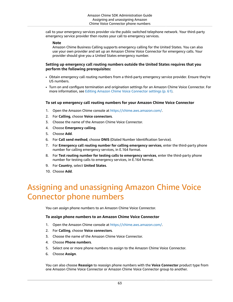call to your emergency services provider via the public switched telephone network. Your third-party emergency service provider then routes your call to emergency services.

#### **Note**

Amazon Chime Business Calling supports emergency calling for the United States. You can also use your own provider and set up an Amazon Chime Voice Connector for emergency calls. Your provider should give you a United States emergency number.

#### **Setting up emergency call routing numbers outside the United States requires that you perform the following prerequisites:**

- Obtain emergency call routing numbers from a third-party emergency service provider. Ensure they're US numbers.
- Turn on and configure termination and origination settings for an Amazon Chime Voice Connector. For more information, see Editing Amazon Chime Voice [Connector](#page-64-1) setting[s \(p. 61\)](#page-64-1).

#### **To set up emergency call routing numbers for your Amazon Chime Voice Connector**

- 1. Open the Amazon Chime console at [https://chime.aws.amazon.com/.](https://chime.aws.amazon.com)
- 2. For **Calling**, choose **Voice connectors**.
- 3. Choose the name of the Amazon Chime Voice Connector.
- 4. Choose **Emergency calling**.
- 5. Choose **Add**.
- 6. For **Call send method**, choose **DNIS** (Dialed Number Identification Service).
- 7. For **Emergency call routing number for calling emergency services**, enter the third-party phone number for calling emergency services, in E.164 format.
- 8. For **Test routing number for testing calls to emergency services**, enter the third-party phone number for testing calls to emergency services, in E.164 format.
- 9. For **Country**, select **United States**.
- 10. Choose **Add**.

## <span id="page-66-0"></span>Assigning and unassigning Amazon Chime Voice Connector phone numbers

You can assign phone numbers to an Amazon Chime Voice Connector.

#### **To assign phone numbers to an Amazon Chime Voice Connector**

- 1. Open the Amazon Chime console at [https://chime.aws.amazon.com/.](https://chime.aws.amazon.com)
- 2. For **Calling**, choose **Voice connectors**.
- 3. Choose the name of the Amazon Chime Voice Connector.
- 4. Choose **Phone numbers**.
- 5. Select one or more phone numbers to assign to the Amazon Chime Voice Connector.
- 6. Choose **Assign**.

You can also choose **Reassign** to reassign phone numbers with the **Voice Connector** product type from one Amazon Chime Voice Connector or Amazon Chime Voice Connector group to another.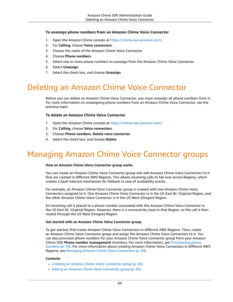#### **To unassign phone numbers from an Amazon Chime Voice Connector**

- 1. Open the Amazon Chime console at [https://chime.aws.amazon.com/.](https://chime.aws.amazon.com)
- 2. For **Calling**, choose **Voice connectors**.
- 3. Choose the name of the Amazon Chime Voice Connector.
- 4. Choose **Phone numbers**.
- 5. Select one or more phone numbers to unassign from the Amazon Chime Voice Connector.
- 6. Select **Unassign**.
- 7. Select the check box, and choose **Unassign**.

## <span id="page-67-1"></span>Deleting an Amazon Chime Voice Connector

Before you can delete an Amazon Chime Voice Connector, you must unassign all phone numbers from it. For more information on unassigning phone numbers from an Amazon Chime Voice Connector, see the previous topic.

#### **To delete an Amazon Chime Voice Connector**

- 1. Open the Amazon Chime console at [https://chime.aws.amazon.com/.](https://chime.aws.amazon.com)
- 2. For **Calling**, choose **Voice connectors**.
- 3. Choose **Phone numbers**, **Delete voice connector**.
- 4. Select the check box, and choose **Delete**.

## <span id="page-67-0"></span>Managing Amazon Chime Voice Connector groups

#### **How an Amazon Chime Voice Connector group works**

You can create an Amazon Chime Voice Connector group and add Amazon Chime Voice Connectors to it that are created in different AWS Regions. This allows incoming calls to fail over across Regions, which creates a fault-tolerant mechanism for fallback in case of availability events.

For example, an Amazon Chime Voice Connector group is created with two Amazon Chime Voice Connectors assigned to it. One Amazon Chime Voice Connector is in the US East (N. Virginia) Region, and the other Amazon Chime Voice Connector is in the US West (Oregon) Region.

An incoming call is placed to a phone number associated with the Amazon Chime Voice Connector in the US East (N. Virginia) Region. However, there is a connectivity issue in that Region, so the call is then routed through the US West (Oregon) Region.

#### **Get started with an Amazon Chime Voice Connector group**

To get started, first create Amazon Chime Voice Connectors in different AWS Regions. Then, create an Amazon Chime Voice Connector group and assign the Amazon Chime Voice Connectors to it. You can also provision phone numbers for your Amazon Chime Voice Connector group from your Amazon Chime SDK **Phone number management** inventory. For more information, see [Provisioning](#page-42-0) phone [numbers \(p. 39\).](#page-42-0) For more information about creating Amazon Chime Voice Connectors in different AWS Regions, see Managing Amazon Chime Voice [Connectors \(p. 60\)](#page-63-0).

#### **Contents**

- Creating an Amazon Chime Voice Connector [group \(p. 65\)](#page-68-0)
- Editing an Amazon Chime Voice Connector [group \(p. 65\)](#page-68-1)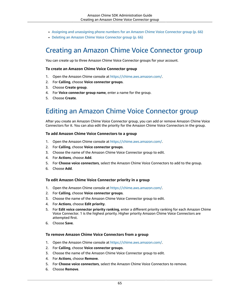- Assigning and unassigning phone numbers for an Amazon Chime Voice Connector [group \(p. 66\)](#page-69-1)
- Deleting an Amazon Chime Voice Connector [group \(p. 66\)](#page-69-2)

## <span id="page-68-0"></span>Creating an Amazon Chime Voice Connector group

You can create up to three Amazon Chime Voice Connector groups for your account.

#### **To create an Amazon Chime Voice Connector group**

- 1. Open the Amazon Chime console at [https://chime.aws.amazon.com/.](https://chime.aws.amazon.com)
- 2. For **Calling**, choose **Voice connector groups**.
- 3. Choose **Create group**.
- 4. For **Voice connector group name**, enter a name for the group.
- 5. Choose **Create**.

## <span id="page-68-1"></span>Editing an Amazon Chime Voice Connector group

After you create an Amazon Chime Voice Connector group, you can add or remove Amazon Chime Voice Connectors for it. You can also edit the priority for the Amazon Chime Voice Connectors in the group.

#### **To add Amazon Chime Voice Connectors to a group**

- 1. Open the Amazon Chime console at [https://chime.aws.amazon.com/.](https://chime.aws.amazon.com)
- 2. For **Calling**, choose **Voice connector groups**.
- 3. Choose the name of the Amazon Chime Voice Connector group to edit.
- 4. For **Actions**, choose **Add**.
- 5. For **Choose voice connectors**, select the Amazon Chime Voice Connectors to add to the group.
- 6. Choose **Add**.

#### **To edit Amazon Chime Voice Connector priority in a group**

- 1. Open the Amazon Chime console at [https://chime.aws.amazon.com/.](https://chime.aws.amazon.com)
- 2. For **Calling**, choose **Voice connector groups**.
- 3. Choose the name of the Amazon Chime Voice Connector group to edit.
- 4. For **Actions**, choose **Edit priority**.
- 5. For **Edit voice connector priority ranking**, enter a different priority ranking for each Amazon Chime Voice Connector. 1 is the highest priority. Higher priority Amazon Chime Voice Connectors are attempted first.
- 6. Choose **Save**.

#### **To remove Amazon Chime Voice Connectors from a group**

- 1. Open the Amazon Chime console at [https://chime.aws.amazon.com/.](https://chime.aws.amazon.com)
- 2. For **Calling**, choose **Voice connector groups**.
- 3. Choose the name of the Amazon Chime Voice Connector group to edit.
- 4. For **Actions**, choose **Remove**.
- 5. For **Choose voice connectors**, select the Amazon Chime Voice Connectors to remove.
- 6. Choose **Remove**.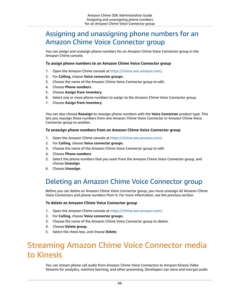### <span id="page-69-1"></span>Assigning and unassigning phone numbers for an Amazon Chime Voice Connector group

You can assign and unassign phone numbers for an Amazon Chime Voice Connector group in the Amazon Chime console.

#### **To assign phone numbers to an Amazon Chime Voice Connector group**

- 1. Open the Amazon Chime console at [https://chime.aws.amazon.com/.](https://chime.aws.amazon.com)
- 2. For **Calling**, choose **Voice connector groups**.
- 3. Choose the name of the Amazon Chime Voice Connector group to edit.
- 4. Choose **Phone numbers**.
- 5. Choose **Assign from inventory**.
- 6. Select one or more phone numbers to assign to the Amazon Chime Voice Connector group.
- 7. Choose **Assign from inventory**.

You can also choose **Reassign** to reassign phone numbers with the **Voice Connector** product type. This lets you reassign these numbers from one Amazon Chime Voice Connector or Amazon Chime Voice Connector group to another.

#### **To unassign phone numbers from an Amazon Chime Voice Connector group**

- 1. Open the Amazon Chime console at [https://chime.aws.amazon.com/.](https://chime.aws.amazon.com)
- 2. For **Calling**, choose **Voice connector groups**.
- 3. Choose the name of the Amazon Chime Voice Connector group to edit.
- 4. Choose **Phone numbers**.
- 5. Select the phone numbers that you want from the Amazon Chime Voice Connector group, and choose **Unassign**.
- 6. Choose **Unassign**.

### <span id="page-69-2"></span>Deleting an Amazon Chime Voice Connector group

Before you can delete an Amazon Chime Voice Connector group, you must unassign all Amazon Chime Voice Connectors and phone numbers from it. For more information, see the previous section.

#### **To delete an Amazon Chime Voice Connector group**

- 1. Open the Amazon Chime console at [https://chime.aws.amazon.com/.](https://chime.aws.amazon.com)
- 2. For **Calling**, choose **Voice connector groups**.
- 3. Choose the name of the Amazon Chime Voice Connector group to delete.
- 4. Choose **Delete group**.
- 5. Select the check box, and choose **Delete**.

## <span id="page-69-0"></span>Streaming Amazon Chime Voice Connector media to Kinesis

You can stream phone call audio from Amazon Chime Voice Connectors to Amazon Kinesis Video Streams for analytics, machine learning, and other processing. Developers can store and encrypt audio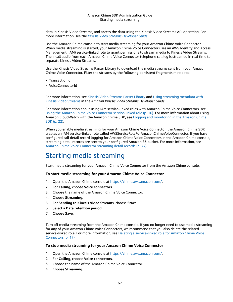data in Kinesis Video Streams, and access the data using the Kinesis Video Streams API operation. For more information, see the *[Kinesis Video Streams Developer Guide](https://docs.aws.amazon.com/kinesisvideostreams/latest/dg/what-is-kinesis-video.html)*.

Use the Amazon Chime console to start media streaming for your Amazon Chime Voice Connector. When media streaming is started, your Amazon Chime Voice Connector uses an AWS Identity and Access Management (IAM) service-linked role to grant permissions to stream media to Kinesis Video Streams. Then, call audio from each Amazon Chime Voice Connector telephone call leg is streamed in real time to separate Kinesis Video Streams.

Use the Kinesis Video Streams Parser Library to download the media streams sent from your Amazon Chime Voice Connector. Filter the streams by the following persistent fragments metadata:

- TransactionId
- VoiceConnectorId

For more information, see Kinesis Video [Streams](https://docs.aws.amazon.com/kinesisvideostreams/latest/dg/parser-library.html) Parser Library and Using [streaming](https://docs.aws.amazon.com/kinesisvideostreams/latest/dg/how-meta.html) metadata with Kinesis Video [Streams](https://docs.aws.amazon.com/kinesisvideostreams/latest/dg/how-meta.html) in the *Amazon Kinesis Video Streams Developer Guide*.

For more information about using IAM service-linked roles with Amazon Chime Voice Connectors, see Using the Amazon Chime Voice Connector [service-linked](#page-19-0) role [\(p. 16\).](#page-19-0) For more information about using Amazon CloudWatch with the Amazon Chime SDK, see Logging and [monitoring](#page-25-0) in the Amazon Chime [SDK \(p. 22\)](#page-25-0).

When you enable media streaming for your Amazon Chime Voice Connector, the Amazon Chime SDK creates an IAM service-linked role called AWSServiceRoleForAmazonChimeVoiceConnector. If you have configured call detail record logging for Amazon Chime Voice Connectors in the Amazon Chime console, streaming detail records are sent to your configured Amazon S3 bucket. For more information, see Amazon Chime Voice [Connector](#page-80-0) streaming detail record[s \(p. 77\)](#page-80-0).

### <span id="page-70-0"></span>Starting media streaming

Start media streaming for your Amazon Chime Voice Connector from the Amazon Chime console.

#### **To start media streaming for your Amazon Chime Voice Connector**

- 1. Open the Amazon Chime console at [https://chime.aws.amazon.com/.](https://chime.aws.amazon.com)
- 2. For **Calling**, choose **Voice connectors**.
- 3. Choose the name of the Amazon Chime Voice Connector.
- 4. Choose **Streaming**.
- 5. For **Sending to Kinesis Video Streams**, choose **Start**.
- 6. Select a **Data retention period**.
- 7. Choose **Save**.

Turn off media streaming from the Amazon Chime console. If you no longer need to use media streaming for any of your Amazon Chime Voice Connectors, we recommend that you also delete the related service-linked role. For more information, see Deleting a [service-linked](#page-20-0) role for Amazon Chime Voice [Connectors \(p. 17\)](#page-20-0).

#### **To stop media streaming for your Amazon Chime Voice Connector**

- 1. Open the Amazon Chime console at [https://chime.aws.amazon.com/.](https://chime.aws.amazon.com)
- 2. For **Calling**, choose **Voice connectors**.
- 3. Choose the name of the Amazon Chime Voice Connector.
- 4. Choose **Streaming**.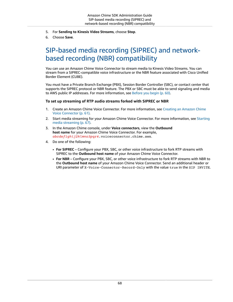- 5. For **Sending to Kinesis Video Streams**, choose **Stop**.
- 6. Choose **Save**.

### SIP-based media recording (SIPREC) and networkbased recording (NBR) compatibility

You can use an Amazon Chime Voice Connector to stream media to Kinesis Video Streams. You can stream from a SIPREC-compatible voice infrastructure or the NBR feature associated with Cisco Unified Border Element (CUBE).

You must have a Private Branch Exchange (PBX), Session Border Controller (SBC), or contact center that supports the SIPREC protocol or NBR feature. The PBX or SBC must be able to send signaling and media to AWS public IP addresses. For more information, see [Before](#page-63-1) you begi[n \(p. 60\)](#page-63-1).

#### **To set up streaming of RTP audio streams forked with SIPREC or NBR**

- 1. Create an Amazon Chime Voice Connector. For more information, see [Creating](#page-64-0) an Amazon Chime Voice [Connector \(p. 61\)](#page-64-0).
- 2. Start media streaming for your Amazon Chime Voice Connector. For more information, see [Starting](#page-70-0) media [streaming \(p. 67\)](#page-70-0).
- 3. In the Amazon Chime console, under **Voice connectors**, view the **Outbound host name** for your Amazon Chime Voice Connector. For example, *abcdef1ghij2klmno3pqr4*.voiceconnector.chime.aws.
- 4. Do one of the following:
	- **For SIPREC** Configure your PBX, SBC, or other voice infrastructure to fork RTP streams with SIPREC to the **Outbound host name** of your Amazon Chime Voice Connector.
	- **For NBR** Configure your PBX, SBC, or other voice infrastructure to fork RTP streams with NBR to the **Outbound host name** of your Amazon Chime Voice Connector. Send an additional header or URI parameter of X-Voice-Connector-Record-Only with the value true in the SIP INVITE.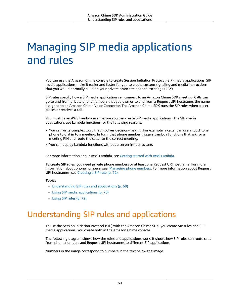# Managing SIP media applications and rules

You can use the Amazon Chime console to create Session Initiation Protocol (SIP) media applications. SIP media applications make it easier and faster for you to create custom signaling and media instructions that you would normally build on your private branch telephone exchange (PBX).

SIP rules specify how a SIP media application can connect to an Amazon Chime SDK meeting. Calls can go to and from private phone numbers that you own or to and from a Request URI hostname, the name assigned to an Amazon Chime Voice Connector. The Amazon Chime SDK runs the SIP rules when a user places or receives a call.

You must be an AWS Lambda user before you can create SIP media applications. The SIP media applications use Lambda functions for the following reasons:

- You can write complex logic that involves decision-making. For example, a caller can use a touchtone phone to dial in to a meeting. In turn, that phone number triggers Lambda functions that ask for a meeting PIN and route the caller to the correct meeting.
- You can deploy Lambda functions without a server infrastructure.

For more information about AWS Lambda, see Getting started with AWS [Lambda](https://docs.aws.amazon.com/lambda/latest/dg/getting-started.html).

To create SIP rules, you need private phone numbers or at least one Request URI hostname. For more information about phone numbers, see [Managing phone numbers.](https://docs.aws.amazon.com/chime/latest/ag/phone-numbers.html) For more information about Request URI hostnames, see [Creating](#page-75-0) a SIP rul[e \(p. 72\)](#page-75-0).

#### **Topics**

- [Understanding SIP rules and applications \(p. 69\)](#page-72-0)
- [Using SIP media applications \(p. 70\)](#page-73-0)
- [Using SIP rules \(p. 72\)](#page-75-1)

## <span id="page-72-0"></span>Understanding SIP rules and applications

To use the Session Initiation Protocol (SIP) with the Amazon Chime SDK, you create SIP rules and SIP media applications. You create both in the Amazon Chime console.

The following diagram shows how the rules and applications work. It shows how SIP rules can route calls from phone numbers and Request URI hostnames to different SIP applications.

Numbers in the image correspond to numbers in the text below the image.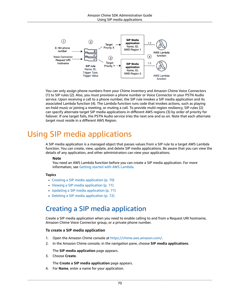

You can only assign phone numbers from your Chime inventory and Amazon Chime Voice Connectors (1) to SIP rules (2). Also, you must provision a phone number or Voice Connector in your PSTN Audio service. Upon receiving a call to a phone number, the SIP rule invokes a SIP media application and its associated Lambda function (4). The Lambda function runs code that invokes actions, such as playing on-hold music or joining a meeting, or muting a call. To provide multi-region resiliency, SIP rules (2) can specify alternate target SIP media applications in different AWS regions (3) by order of priority for failover. If one target fails, the PSTN Audio service tries the next one and so on. Note that each alternate target must reside in a different AWS Region.

# <span id="page-73-0"></span>Using SIP media applications

A SIP media application is a managed object that passes values from a SIP rule to a target AWS Lambda function. You can create, view, update, and delete SIP media applications. Be aware that you can view the details of any application, and other administrators can view your applications.

#### **Note**

You need an AWS Lambda function before you can create a SIP media application. For more information, see Getting started with AWS [Lambda.](https://docs.aws.amazon.com/lambda/latest/dg/getting-started.html)

#### **Topics**

- Creating a SIP media [application \(p. 70\)](#page-73-1)
- [Viewing a SIP media application \(p. 71\)](#page-74-0)
- [Updating a SIP media application \(p. 71\)](#page-74-1)
- [Deleting a SIP media application \(p. 72\)](#page-75-2)

### <span id="page-73-1"></span>Creating a SIP media application

Create a SIP media application when you need to enable calling to and from a Request URI hostname, Amazon Chime Voice Connector group, or a private phone number.

#### **To create a SIP media application**

- 1. Open the Amazon Chime console at [https://chime.aws.amazon.com/.](https://chime.aws.amazon.com)
- 2. In the Amazon Chime console, in the navigation pane, choose **SIP media applications**.

#### The **SIP media application** page appears.

3. Choose **Create**.

The **Create a SIP media application** page appears.

4. For **Name**, enter a name for your application.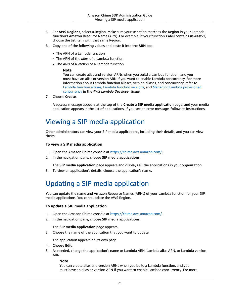- 5. For **AWS Regions**, select a Region. Make sure your selection matches the Region in your Lambda function's Amazon Resource Name (ARN). For example, if your function's ARN contains **us-east-1**, choose the list item with that same Region.
- 6. Copy one of the following values and paste it into the **ARN** box:
	- The ARN of a Lambda function
	- The ARN of the *alias* of a Lambda function
	- The ARN of a *version* of a Lambda function

#### **Note**

You can create alias and version ARNs when you build a Lambda function, and you must have an alias or version ARN if you want to enable Lambda concurrency. For more information about Lambda function aliases, version aliases, and concurrency, refer to Lambda [function](https://docs.aws.amazon.com/lambda/latest/dg/configuration-aliases.html) aliases, Lambda [function](https://docs.aws.amazon.com/lambda/latest/dg/configuration-versions.html) versions, and Managing Lambda [provisioned](https://docs.aws.amazon.com/lambda/latest/dg/provisioned-concurrency.html) [concurrency](https://docs.aws.amazon.com/lambda/latest/dg/provisioned-concurrency.html) in the *AWS Lambda Developer Guide*.

7. Choose **Create**.

A success message appears at the top of the **Create a SIP media application** page, and your media application appears in the list of applications. If you see an error message, follow its instructions.

## <span id="page-74-0"></span>Viewing a SIP media application

Other administrators can view your SIP media applications, including their details, and you can view theirs.

#### **To view a SIP media application**

- 1. Open the Amazon Chime console at [https://chime.aws.amazon.com/.](https://chime.aws.amazon.com)
- 2. In the navigation pane, choose **SIP media applications**.

The **SIP media application** page appears and displays all the applications in your organization.

3. To view an application's details, choose the application's name.

## <span id="page-74-1"></span>Updating a SIP media application

You can update the name and Amazon Resource Names (ARNs) of your Lambda function for your SIP media applications. You can't update the AWS Region.

#### **To update a SIP media application**

- 1. Open the Amazon Chime console at [https://chime.aws.amazon.com/.](https://chime.aws.amazon.com)
- 2. In the navigation pane, choose **SIP media applications**.

#### The **SIP media application** page appears.

3. Choose the name of the application that you want to update.

The application appears on its own page.

- 4. Choose **Edit**.
- 5. As needed, change the application's name or Lambda ARN, Lambda alias ARN, or Lambda version ARN.

#### **Note**

You can create alias and version ARNs when you build a Lambda function, and you must have an alias or version ARN if you want to enable Lambda concurrency. For more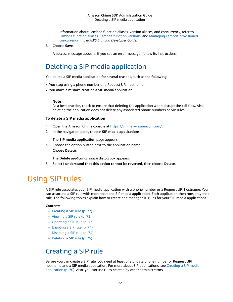information about Lambda function aliases, version aliases, and concurrency, refer to Lambda [function](https://docs.aws.amazon.com/lambda/latest/dg/configuration-aliases.html) aliases, Lambda [function](https://docs.aws.amazon.com/lambda/latest/dg/configuration-versions.html) versions, and Managing Lambda [provisioned](https://docs.aws.amazon.com/lambda/latest/dg/provisioned-concurrency.html) [concurrency](https://docs.aws.amazon.com/lambda/latest/dg/provisioned-concurrency.html) in the *AWS Lambda Developer Guide*.

6. Choose **Save**.

A success message appears. If you see an error message, follow its instructions.

## <span id="page-75-2"></span>Deleting a SIP media application

You delete a SIP media application for several reasons, such as the following:

- You stop using a phone number or a Request URI hostname.
- You make a mistake creating a SIP media application.

#### **Note**

As a best practice, check to ensure that deleting the application won't disrupt the call flow. Also, deleting the application does not delete any associated phone numbers or SIP rules.

#### **To delete a SIP media application**

- 1. Open the Amazon Chime console at [https://chime.aws.amazon.com/.](https://chime.aws.amazon.com)
- 2. In the navigation pane, choose **SIP media applications**.

The **SIP media application** page appears.

- 3. Choose the option button next to the application name.
- 4. Choose **Delete**.

The **Delete** *application name* dialog box appears.

5. Select **I understand that this action cannot be reversed**, then choose **Delete**.

## <span id="page-75-1"></span>Using SIP rules

A SIP rule associates your SIP media application with a phone number or a Request URI hostname. You can associate a SIP rule with more than one SIP media application. Each application then runs only that rule. The following topics explain how to create and manage SIP rules for your SIP media applications.

#### **Contents**

- Creating a SIP [rule \(p. 72\)](#page-75-0)
- [Viewing a SIP rule \(p. 73\)](#page-76-0)
- [Updating a SIP rule \(p. 73\)](#page-76-1)
- [Enabling a SIP rule \(p. 74\)](#page-77-0)
- [Disabling a SIP rule \(p. 74\)](#page-77-1)
- [Deleting a SIP rule \(p. 75\)](#page-78-0)

## <span id="page-75-0"></span>Creating a SIP rule

Before you can create a SIP rule, you need at least one private phone number or Request URI hostname and a SIP media application. For more about SIP applications, see [Creating](#page-73-1) a SIP media [application \(p. 70\)](#page-73-1). Also, you can use rules created by other administrators.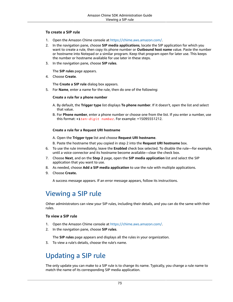#### **To create a SIP rule**

- 1. Open the Amazon Chime console at [https://chime.aws.amazon.com/.](https://chime.aws.amazon.com)
- 2. In the navigation pane, choose **SIP media applications**, locate the SIP application for which you want to create a rule, then copy its phone number or **Outbound host name** value. Paste the number or hostname into Notepad or a similar program. Keep that program open for later use. This keeps the number or hostname available for use later in these steps.
- 3. In the navigation pane, choose **SIP rules**.

The **SIP rules** page appears.

4. Choose **Create**.

The **Create a SIP rule** dialog box appears.

5. For **Name**, enter a name for the rule, then do one of the following:

#### **Create a rule for a phone number**

- A. By default, the **Trigger type** list displays **To phone number**. If it doesn't, open the list and select that value.
- B. For **Phone number**, enter a phone number or choose one from the list. If you enter a number, use this format: **+1***ten-digit number*. For example: +15095551212.

#### **Create a rule for a Request URI hostname**

A. Open the **Trigger type** list and choose **Request URI hostname**.

- B. Paste the hostname that you copied in step 2 into the **Request URI hostname** box.
- 6. To use the rule immediately, leave the **Enabled** check box selected. To disable the rule—for example, until a voice connector and its hostname become available—clear the check box.
- 7. Choose **Next**, and on the **Step 2** page, open the **SIP media application** list and select the SIP application that you want to use.
- 8. As needed, choose **Add a SIP media application** to use the rule with multiple applications.
- 9. Choose **Create.**

A success message appears. If an error message appears, follow its instructions.

### <span id="page-76-0"></span>Viewing a SIP rule

Other administrators can view your SIP rules, including their details, and you can do the same with their rules.

#### **To view a SIP rule**

- 1. Open the Amazon Chime console at [https://chime.aws.amazon.com/.](https://chime.aws.amazon.com)
- 2. In the navigation pane, choose **SIP rules**.

The **SIP rules** page appears and displays all the rules in your organization.

3. To view a rule's details, choose the rule's name.

### <span id="page-76-1"></span>Updating a SIP rule

The only update you can make to a SIP rule is to change its name. Typically, you change a rule name to match the name of its corresponding SIP media application.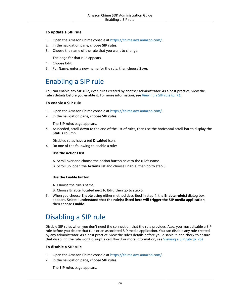#### **To update a SIP rule**

- 1. Open the Amazon Chime console at [https://chime.aws.amazon.com/.](https://chime.aws.amazon.com)
- 2. In the navigation pane, choose **SIP rules**.
- 3. Choose the name of the rule that you want to change.

The page for that rule appears.

- 4. Choose **Edit**.
- 5. For **Name**, enter a new name for the rule, then choose **Save**.

## <span id="page-77-0"></span>Enabling a SIP rule

You can enable any SIP rule, even rules created by another administrator. As a best practice, view the rule's details before you enable it. For more information, see [Viewing a SIP rule \(p. 73\).](#page-76-0)

#### **To enable a SIP rule**

- 1. Open the Amazon Chime console at [https://chime.aws.amazon.com/.](https://chime.aws.amazon.com)
- 2. In the navigation pane, choose **SIP rules**.

The **SIP rules** page appears.

3. As needed, scroll down to the end of the list of rules, then use the horizontal scroll bar to display the **Status** column.

Disabled rules have a red **Disabled** icon.

4. Do one of the following to enable a rule:

#### **Use the Actions list**

- A. Scroll over and choose the option button next to the rule's name.
- B. Scroll up, open the **Actions** list and choose **Enable**, then go to step 5.

#### **Use the Enable button**

- A. Choose the rule's name.
- B. Choose **Enable**, located next to **Edit**, then go to step 5.
- 5. When you choose **Enable** using either method described in step 4, the **Enable rule(s)** dialog box appears. Select **I understand that the rule(s) listed here will trigger the SIP media application**, then choose **Enable**.

## <span id="page-77-1"></span>Disabling a SIP rule

Disable SIP rules when you don't need the connection that the rule provides. Also, you must disable a SIP rule before you delete that rule or an associated SIP media application. You can disable any rule created by any administrator. As a best practice, view the rule's details before you disable it, and check to ensure that disabling the rule won't disrupt a call flow. For more information, see [Viewing a SIP rule \(p. 73\)](#page-76-0)

#### **To disable a SIP rule**

- 1. Open the Amazon Chime console at [https://chime.aws.amazon.com/.](https://chime.aws.amazon.com)
- 2. In the navigation pane, choose **SIP rules**.

The **SIP rules** page appears.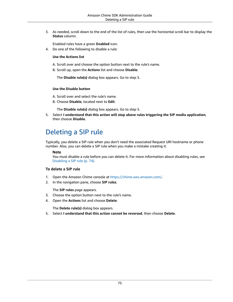3. As needed, scroll down to the end of the list of rules, then use the horizontal scroll bar to display the **Status** column.

Enabled rules have a green **Enabled** icon.

4. Do one of the following to disable a rule:

#### **Use the Actions list**

- A. Scroll over and choose the option button next to the rule's name.
- B. Scroll up, open the **Actions** list and choose **Disable**.

The **Disable rule(s)** dialog box appears. Go to step 5.

#### **Use the Disable button**

- A. Scroll over and select the rule's name.
- B. Choose **Disable**, located next to **Edit**.

The **Disable rule(s)** dialog box appears. Go to step 5.

5. Select **I understand that this action will stop above rules triggering the SIP media application**, then choose **Disable**.

## <span id="page-78-0"></span>Deleting a SIP rule

Typically, you delete a SIP rule when you don't need the associated Request URI hostname or phone number. Also, you can delete a SIP rule when you make a mistake creating it.

#### **Note**

You must disable a rule before you can delete it. For more information about disabling rules, see [Disabling a SIP rule \(p. 74\)](#page-77-1).

#### **To delete a SIP rule**

- 1. Open the Amazon Chime console at [https://chime.aws.amazon.com/.](https://chime.aws.amazon.com)
- 2. In the navigation pane, choose **SIP rules**.

The **SIP rules** page appears.

- 3. Choose the option button next to the rule's name.
- 4. Open the **Actions** list and choose **Delete**.

The **Delete rule(s)** dialog box appears.

5. Select **I understand that this action cannot be reversed**, then choose **Delete**.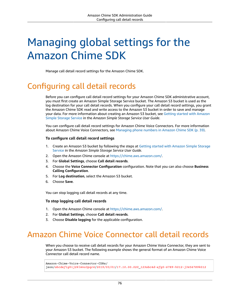# Managing global settings for the Amazon Chime SDK

Manage call detail record settings for the Amazon Chime SDK.

# Configuring call detail records

Before you can configure call detail record settings for your Amazon Chime SDK administrative account, you must first create an Amazon Simple Storage Service bucket. The Amazon S3 bucket is used as the log destination for your call detail records. When you configure your call detail record settings, you grant the Amazon Chime SDK read and write access to the Amazon S3 bucket in order to save and manage your data. For more information about creating an Amazon S3 bucket, see Getting started with [Amazon](https://docs.aws.amazon.com/AmazonS3/latest/gsg/GetStartedWithS3.html) Simple [Storage](https://docs.aws.amazon.com/AmazonS3/latest/gsg/GetStartedWithS3.html) Service in the *Amazon Simple Storage Service User Guide*.

You can configure call detail record settings for Amazon Chime Voice Connectors. For more information about Amazon Chime Voice Connectors, see [Managing](#page-42-0) phone numbers in Amazon Chime SDK [\(p. 39\)](#page-42-0).

#### **To configure call detail record settings**

- 1. Create an Amazon S3 bucket by following the steps at Getting started with [Amazon](https://docs.aws.amazon.com/AmazonS3/latest/gsg/GetStartedWithS3.html) Simple Storage [Service](https://docs.aws.amazon.com/AmazonS3/latest/gsg/GetStartedWithS3.html) in the *Amazon Simple Storage Service User Guide*.
- 2. Open the Amazon Chime console at [https://chime.aws.amazon.com/.](https://chime.aws.amazon.com)
- 3. For **Global Settings**, choose **Call detail records**.
- 4. Choose the **Voice Connector Configuration** configuration. Note that you can also choose **Business Calling Configuration**.
- 5. For **Log destination**, select the Amazon S3 bucket.
- 6. Choose **Save**.

You can stop logging call detail records at any time.

#### **To stop logging call detail records**

- 1. Open the Amazon Chime console at [https://chime.aws.amazon.com/.](https://chime.aws.amazon.com)
- 2. For **Global Settings**, choose **Call detail records**.
- 3. Choose **Disable logging** for the applicable configuration.

## Amazon Chime Voice Connector call detail records

When you choose to receive call detail records for your Amazon Chime Voice Connector, they are sent to your Amazon S3 bucket. The following example shows the general format of an Amazon Chime Voice Connector call detail record name.

```
Amazon-Chime-Voice-Connector-CDRs/
json/abcdef1ghij2klmno3pqr4/2019/03/01/17.10.00.020_123abc4d-efg5-6789-h012-j3456789k012
```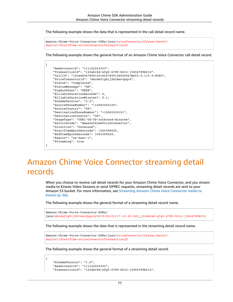The following example shows the data that is represented in the call detail record name.

```
Amazon-Chime-Voice-Connector-CDRs/json/voiceConnectorID/year/month/
day/callStartTime-voiceConnectorTransactionID
```
The following example shows the general format of an Amazon Chime Voice Connector call detail record.

```
{
     "AwsAccountId": "111122223333",
     "TransactionId": "123abc4d-efg5-6789-h012-j3456789k012",
     "CallId": "123a4b567890123c456789012d3456e7@203.0.113.9:8080",
    "VoiceConnectorId": "abcdef1ghij2klmno3pqr4",
    "Status": "Completed",
     "StatusMessage": "OK",
     "SipAuthUser": "XXXX",
     "BillableDurationSeconds": 6,
    "BillableDurationMinutes": 0.1,
    "SchemaVersion": "2.0",
     "SourcePhoneNumber": "+12065550100",
     "SourceCountry": "US",
     "DestinationPhoneNumber": "+12065550101",
    "DestinationCountry": "US",
    "UsageType": "USE1-US-US-outbound-minutes",
     "ServiceCode": "AmazonChimeVoiceConnector",
     "Direction": "Outbound",
     "StartTimeEpochSeconds": 1565399625,
     "EndTimeEpochSeconds": 1565399629,
     "Region": "us-east-1",
     "Streaming": true
}
```
# Amazon Chime Voice Connector streaming detail records

When you choose to receive call detail records for your Amazon Chime Voice Connector, and you stream media to Kinesis Video Streams or send SIPREC requests, streaming detail records are sent to your Amazon S3 bucket. For more information, see Streaming Amazon Chime Voice [Connector](#page-69-0) media to [Kinesis \(p. 66\).](#page-69-0)

The following example shows the general format of a streaming detail record name.

```
Amazon-Chime-Voice-Connector-SDRs/
json/abcdef1ghij2klmno3pqr4/2019/03/01/17.10.00.020_123abc4d-efg5-6789-h012-j3456789k012
```
The following example shows the data that is represented in the streaming detail record name.

```
Amazon-Chime-Voice-Connector-SDRs/json/voiceConnectorID/year/month/
day/callStartTime-voiceConnectorTransactionID
```
The following example shows the general format of a streaming detail record.

```
{
     "SchemaVersion": "1.0",
     "AwsAccountId": "111122223333",
     "TransactionId": "123abc4d-efg5-6789-h012-j3456789k012",
```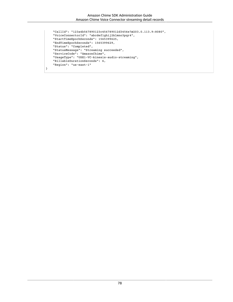```
 "CallId": "123a4b567890123c456789012d3456e7@203.0.113.9:8080",
 "VoiceConnectorId": "abcdef1ghij2klmno3pqr4",
 "StartTimeEpochSeconds": 1565399625,
 "EndTimeEpochSeconds": 1565399629,
 "Status": "Completed",
 "StatusMessage": "Streaming succeeded",
 "ServiceCode": "AmazonChime",
 "UsageType": "USE1-VC-kinesis-audio-streaming",
 "BillableDurationSeconds": 6,
 "Region": "us-east-1"
```
}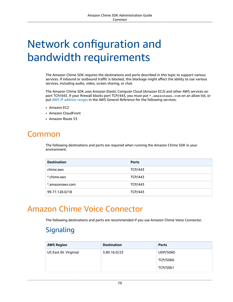# Network configuration and bandwidth requirements

The Amazon Chime SDK requires the destinations and ports described in this topic to support various services. If inbound or outbound traffic is blocked, this blockage might affect the ability to use various services, including audio, video, screen sharing, or chat.

The Amazon Chime SDK uses Amazon Elastic Compute Cloud (Amazon EC2) and other AWS services on port TCP/443. If your firewall blocks port TCP/443, you must put \*.amazonaws.com on an allow list, or put AWS IP [address](https://docs.aws.amazon.com/general/latest/gr/aws-ip-ranges.html) ranges in the *AWS General Reference* for the following services:

- Amazon EC2
- Amazon CloudFront
- Amazon Route 53

## Common

The following destinations and ports are required when running the Amazon Chime SDK in your environment.

| <b>Destination</b> | <b>Ports</b>   |
|--------------------|----------------|
| chime.aws          | <b>TCP/443</b> |
| *.chime.aws        | <b>TCP/443</b> |
| *.amazonaws.com    | <b>TCP/443</b> |
| 99.77.128.0/18     | <b>TCP/443</b> |

## Amazon Chime Voice Connector

The following destinations and ports are recommended if you use Amazon Chime Voice Connector.

### Signaling

| <b>AWS Region</b>     | <b>Destination</b> | <b>Ports</b>    |
|-----------------------|--------------------|-----------------|
| US East (N. Virginia) | 3.80.16.0/23       | UDP/5060        |
|                       |                    | <b>TCP/5060</b> |
|                       |                    | TCP/5061        |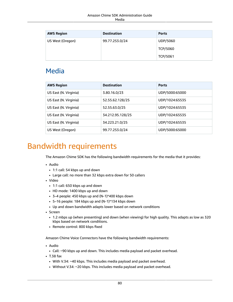| <b>AWS Region</b> | <b>Destination</b> | <b>Ports</b>    |
|-------------------|--------------------|-----------------|
| US West (Oregon)  | 99.77.253.0/24     | UDP/5060        |
|                   |                    | <b>TCP/5060</b> |
|                   |                    | TCP/5061        |

### Media

| <b>AWS Region</b>     | <b>Destination</b> | <b>Ports</b>   |
|-----------------------|--------------------|----------------|
| US East (N. Virginia) | 3.80.16.0/23       | UDP/5000:65000 |
| US East (N. Virginia) | 52.55.62.128/25    | UDP/1024:65535 |
| US East (N. Virginia) | 52.55.63.0/25      | UDP/1024:65535 |
| US East (N. Virginia) | 34.212.95.128/25   | UDP/1024:65535 |
| US East (N. Virginia) | 34.223.21.0/25     | UDP/1024:65535 |
| US West (Oregon)      | 99.77.253.0/24     | UDP/5000:65000 |

## Bandwidth requirements

The Amazon Chime SDK has the following bandwidth requirements for the media that it provides:

- Audio
	- 1:1 call: 54 kbps up and down
	- Large call: no more than 32 kbps extra down for 50 callers
- Video
	- 1:1 call: 650 kbps up and down
	- HD mode: 1400 kbps up and down
	- 3–4 people: 450 kbps up and (N-1)\*400 kbps down
	- 5–16 people: 184 kbps up and (N-1)\*134 kbps down
	- Up and down bandwidth adapts lower based on network conditions
- Screen
	- 1.2 mbps up (when presenting) and down (when viewing) for high quality. This adapts as low as 320 kbps based on network conditions.
	- Remote control: 800 kbps fixed

Amazon Chime Voice Connectors have the following bandwidth requirements:

- Audio
	- Call: ~90 kbps up and down. This includes media payload and packet overhead.
- T.38 fax
	- With V.34: ~40 kbps. This includes media payload and packet overhead.
	- Without V.34: ~20 kbps. This includes media payload and packet overhead.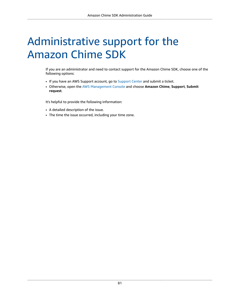# Administrative support for the Amazon Chime SDK

If you are an administrator and need to contact support for the Amazon Chime SDK, choose one of the following options:

- If you have an AWS [Support](https://console.aws.amazon.com/support/home) account, go to Support Center and submit a ticket.
- Otherwise, open the AWS [Management](https://console.aws.amazon.com/) Console and choose **Amazon Chime**, **Support**, **Submit request**.

It's helpful to provide the following information:

- A detailed description of the issue.
- The time the issue occurred, including your time zone.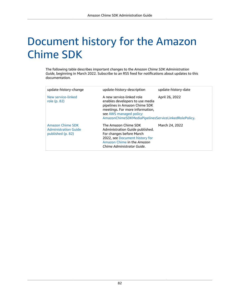# <span id="page-85-0"></span>Document history for the Amazon Chime SDK

The following table describes important changes to the *Amazon Chime SDK Administration Guide*, beginning in March 2022. Subscribe to an RSS feed for notifications about updates to this documentation.

| update-history-change                                                | update-history-description                                                                                                                                                                                          | update-history-date |
|----------------------------------------------------------------------|---------------------------------------------------------------------------------------------------------------------------------------------------------------------------------------------------------------------|---------------------|
| New service-linked<br>role (p. 82)                                   | A new service-linked role<br>enables developers to use media<br>pipelines in Amazon Chime SDK<br>meetings. For more information,<br>see AWS managed policy:<br>AmazonChimeSDKMediaPipelinesServiceLinkedRolePolicy. | April 26, 2022      |
| Amazon Chime SDK<br><b>Administration Guide</b><br>published (p. 82) | The Amazon Chime SDK<br>Administration Guide published.<br>For changes before March<br>2022, see Document history for<br>Amazon Chime in the Amazon<br>Chime Administrator Guide.                                   | March 24, 2022      |